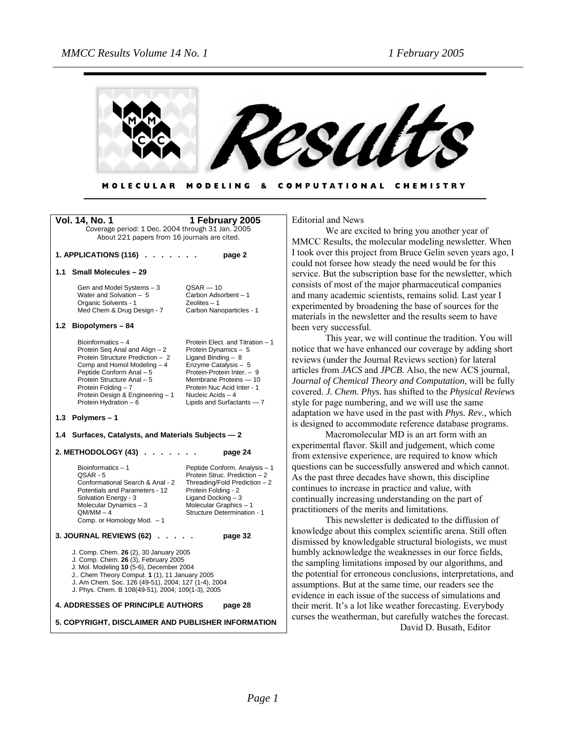

#### MODELING & COMPUTATIONAL CHEMISTRY **MOLECULAR**

| Vol. 14, No. 1                                                                                                                                                                                                                                                                         | 1 February 2005                                                                                                                                                                                                                                 |
|----------------------------------------------------------------------------------------------------------------------------------------------------------------------------------------------------------------------------------------------------------------------------------------|-------------------------------------------------------------------------------------------------------------------------------------------------------------------------------------------------------------------------------------------------|
| Coverage period: 1 Dec. 2004 through 31 Jan. 2005                                                                                                                                                                                                                                      |                                                                                                                                                                                                                                                 |
| About 221 papers from 16 journals are cited.                                                                                                                                                                                                                                           |                                                                                                                                                                                                                                                 |
| 1. APPLICATIONS (116)                                                                                                                                                                                                                                                                  | page 2                                                                                                                                                                                                                                          |
| <b>Small Molecules - 29</b><br>1.1                                                                                                                                                                                                                                                     |                                                                                                                                                                                                                                                 |
| Gen and Model Systems - 3<br>Water and Solvation - 5<br>Organic Solvents - 1<br>Med Chem & Drug Design - 7                                                                                                                                                                             | $QSAR - 10$<br>Carbon Adsorbent - 1<br>$Zeolites - 1$<br>Carbon Nanoparticles - 1                                                                                                                                                               |
| 1.2<br>Biopolymers-84                                                                                                                                                                                                                                                                  |                                                                                                                                                                                                                                                 |
| Bioinformatics-4<br>Protein Seq Anal and Align - 2<br>Protein Structure Prediction - 2<br>Comp and Homol Modeling - 4<br>Peptide Conform Anal - 5<br>Protein Structure Anal - 5<br>Protein Folding - 7<br>Protein Design & Engineering - 1<br>Protein Hydration - 6                    | Protein Elect. and Titration - 1<br>Protein Dynamics - 5<br>Ligand Binding - 8<br>Enzyme Catalysis - 5<br>Protein-Protein Inter. - 9<br>Membrane Proteins - 10<br>Protein Nuc Acid Inter - 1<br>Nucleic Acids - 4<br>Lipids and Surfactants - 7 |
| 1.3 Polymers-1                                                                                                                                                                                                                                                                         |                                                                                                                                                                                                                                                 |
| Surfaces, Catalysts, and Materials Subjects - 2<br>1.4                                                                                                                                                                                                                                 |                                                                                                                                                                                                                                                 |
| 2. METHODOLOGY (43)                                                                                                                                                                                                                                                                    | page 24                                                                                                                                                                                                                                         |
| Bioinformatics - 1<br>QSAR - 5<br>Conformational Search & Anal - 2<br>Potentials and Parameters - 12<br>Solvation Energy - 3<br>Molecular Dynamics - 3<br>$QM/MM - 4$<br>Comp. or Homology Mod. - 1                                                                                    | Peptide Conform. Analysis - 1<br>Protein Struc. Prediction - 2<br>Threading/Fold Prediction - 2<br>Protein Folding - 2<br>Ligand Docking - 3<br>Molecular Graphics - 1<br><b>Structure Determination - 1</b>                                    |
| 3. JOURNAL REVIEWS (62).                                                                                                                                                                                                                                                               | page 32                                                                                                                                                                                                                                         |
| J. Comp. Chem. 26 (2), 30 January 2005<br>J. Comp. Chem. 26 (3), February 2005<br>J. Mol. Modeling 10 (5-6), December 2004<br>J Chem Theory Comput. 1 (1), 11 January 2005<br>J. Am Chem. Soc. 126 (49-51), 2004; 127 (1-4), 2004<br>J. Phys. Chem. B 108(49-51), 2004; 109(1-3), 2005 |                                                                                                                                                                                                                                                 |
| <b>4. ADDRESSES OF PRINCIPLE AUTHORS</b><br>page 28                                                                                                                                                                                                                                    |                                                                                                                                                                                                                                                 |
| 5. COPYRIGHT, DISCLAIMER AND PUBLISHER INFORMATION                                                                                                                                                                                                                                     |                                                                                                                                                                                                                                                 |

Editorial and News

We are excited to bring you another year of MMCC Results, the molecular modeling newsletter. When I took over this project from Bruce Gelin seven years ago, I could not forsee how steady the need would be for this service. But the subscription base for the newsletter, which consists of most of the major pharmaceutical companies and many academic scientists, remains solid. Last year I experimented by broadening the base of sources for the materials in the newsletter and the results seem to have been very successful.

This year, we will continue the tradition. You will notice that we have enhanced our coverage by adding short reviews (under the Journal Reviews section) for lateral articles from *JACS* and *JPCB.* Also, the new ACS journal, *Journal of Chemical Theory and Computation,* will be fully covered. *J. Chem. Phys.* has shifted to the *Physical Reviews*  style for page numbering, and we will use the same adaptation we have used in the past with *Phys. Rev.,* which is designed to accommodate reference database programs.

 Macromolecular MD is an art form with an experimental flavor. Skill and judgement, which come from extensive experience, are required to know which questions can be successfully answered and which cannot. As the past three decades have shown, this discipline continues to increase in practice and value, with continually increasing understanding on the part of practitioners of the merits and limitations.

This newsletter is dedicated to the diffusion of knowledge about this complex scientific arena. Still often dismissed by knowledgable structural biologists, we must humbly acknowledge the weaknesses in our force fields, the sampling limitations imposed by our algorithms, and the potential for erroneous conclusions, interpretations, and assumptions. But at the same time, our readers see the evidence in each issue of the success of simulations and their merit. It's a lot like weather forecasting. Everybody curses the weatherman, but carefully watches the forecast. David D. Busath, Editor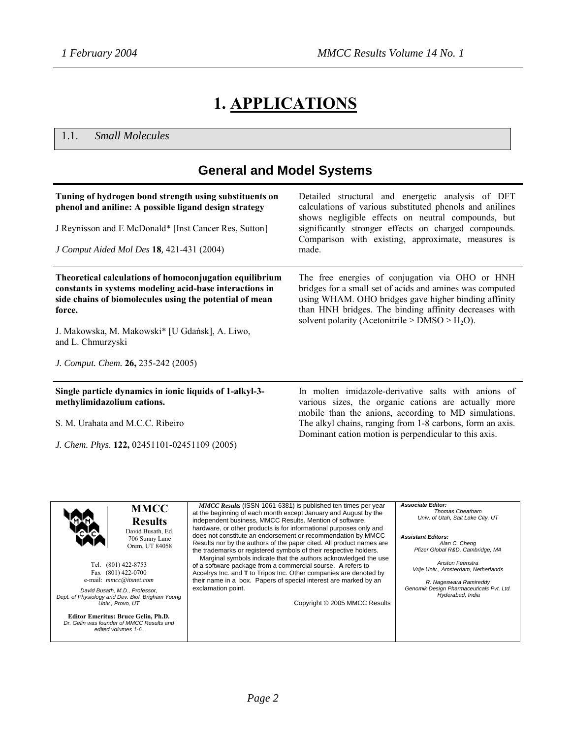# **1. APPLICATIONS**

1.1. *Small Molecules*

| <b>General and Model Systems</b>                                                                                                                                                        |                                                                                                                                                                                                                                                                                  |  |
|-----------------------------------------------------------------------------------------------------------------------------------------------------------------------------------------|----------------------------------------------------------------------------------------------------------------------------------------------------------------------------------------------------------------------------------------------------------------------------------|--|
| Tuning of hydrogen bond strength using substituents on<br>phenol and aniline: A possible ligand design strategy                                                                         | Detailed structural and energetic analysis of DFT<br>calculations of various substituted phenols and anilines<br>shows negligible effects on neutral compounds, but                                                                                                              |  |
| J Reynisson and E McDonald* [Inst Cancer Res, Sutton]                                                                                                                                   | significantly stronger effects on charged compounds.<br>Comparison with existing, approximate, measures is                                                                                                                                                                       |  |
| J Comput Aided Mol Des 18, 421-431 (2004)                                                                                                                                               | made.                                                                                                                                                                                                                                                                            |  |
| Theoretical calculations of homoconjugation equilibrium<br>constants in systems modeling acid-base interactions in<br>side chains of biomolecules using the potential of mean<br>force. | The free energies of conjugation via OHO or HNH<br>bridges for a small set of acids and amines was computed<br>using WHAM. OHO bridges gave higher binding affinity<br>than HNH bridges. The binding affinity decreases with<br>solvent polarity (Acetonitrile > $DMSO > H2O$ ). |  |
| J. Makowska, M. Makowski* [U Gdańsk], A. Liwo,<br>and L. Chmurzyski                                                                                                                     |                                                                                                                                                                                                                                                                                  |  |
| J. Comput. Chem. 26, 235-242 (2005)                                                                                                                                                     |                                                                                                                                                                                                                                                                                  |  |
| Single particle dynamics in ionic liquids of 1-alkyl-3-<br>methylimidazolium cations.                                                                                                   | In molten imidazole-derivative salts with anions of<br>various sizes, the organic cations are actually more<br>mobile than the anions, according to MD simulations.                                                                                                              |  |
| S. M. Urahata and M.C.C. Ribeiro                                                                                                                                                        | The alkyl chains, ranging from 1-8 carbons, form an axis.<br>Dominant cation motion is perpendicular to this axis.                                                                                                                                                               |  |
| J. Chem. Phys. 122, 02451101-02451109 (2005)                                                                                                                                            |                                                                                                                                                                                                                                                                                  |  |

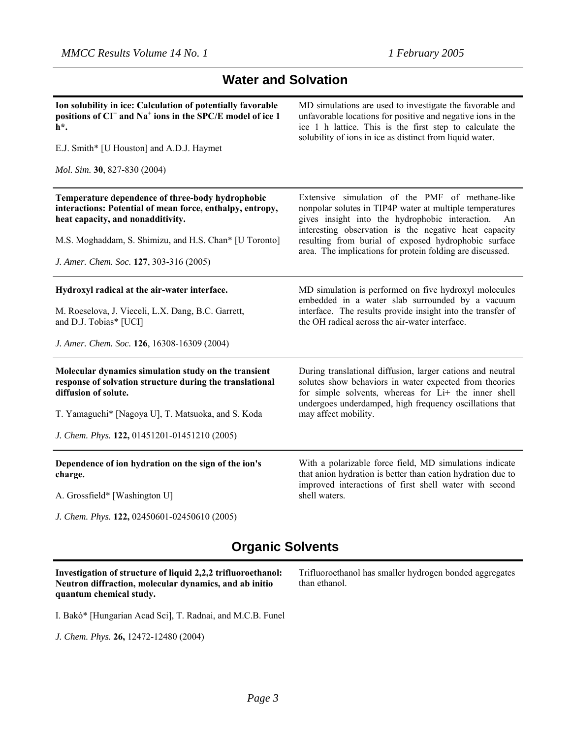## **Water and Solvation**

| Ion solubility in ice: Calculation of potentially favorable<br>positions of CI <sup><math>-</math></sup> and Na <sup><math>+</math></sup> ions in the SPC/E model of ice 1<br>$h^*$ . | MD simulations are used to investigate the favorable and<br>unfavorable locations for positive and negative ions in the<br>ice 1 h lattice. This is the first step to calculate the<br>solubility of ions in ice as distinct from liquid water. |
|---------------------------------------------------------------------------------------------------------------------------------------------------------------------------------------|-------------------------------------------------------------------------------------------------------------------------------------------------------------------------------------------------------------------------------------------------|
| E.J. Smith* [U Houston] and A.D.J. Haymet                                                                                                                                             |                                                                                                                                                                                                                                                 |
| Mol. Sim. 30, 827-830 (2004)                                                                                                                                                          |                                                                                                                                                                                                                                                 |
| Temperature dependence of three-body hydrophobic<br>interactions: Potential of mean force, enthalpy, entropy,<br>heat capacity, and nonadditivity.                                    | Extensive simulation of the PMF of methane-like<br>nonpolar solutes in TIP4P water at multiple temperatures<br>gives insight into the hydrophobic interaction.<br>An<br>interesting observation is the negative heat capacity                   |
| M.S. Moghaddam, S. Shimizu, and H.S. Chan* [U Toronto]                                                                                                                                | resulting from burial of exposed hydrophobic surface<br>area. The implications for protein folding are discussed.                                                                                                                               |
| J. Amer. Chem. Soc. 127, 303-316 (2005)                                                                                                                                               |                                                                                                                                                                                                                                                 |
| Hydroxyl radical at the air-water interface.                                                                                                                                          | MD simulation is performed on five hydroxyl molecules<br>embedded in a water slab surrounded by a vacuum                                                                                                                                        |
| M. Roeselova, J. Vieceli, L.X. Dang, B.C. Garrett,<br>and D.J. Tobias* [UCI]                                                                                                          | interface. The results provide insight into the transfer of<br>the OH radical across the air-water interface.                                                                                                                                   |
| J. Amer. Chem. Soc. 126, 16308-16309 (2004)                                                                                                                                           |                                                                                                                                                                                                                                                 |
| Molecular dynamics simulation study on the transient<br>response of solvation structure during the translational<br>diffusion of solute.                                              | During translational diffusion, larger cations and neutral<br>solutes show behaviors in water expected from theories<br>for simple solvents, whereas for Li+ the inner shell<br>undergoes underdamped, high frequency oscillations that         |
| T. Yamaguchi* [Nagoya U], T. Matsuoka, and S. Koda                                                                                                                                    | may affect mobility.                                                                                                                                                                                                                            |
| J. Chem. Phys. 122, 01451201-01451210 (2005)                                                                                                                                          |                                                                                                                                                                                                                                                 |
| Dependence of ion hydration on the sign of the ion's<br>charge.                                                                                                                       | With a polarizable force field, MD simulations indicate<br>that anion hydration is better than cation hydration due to<br>improved interactions of first shell water with second                                                                |
| A. Grossfield* [Washington U]                                                                                                                                                         | shell waters.                                                                                                                                                                                                                                   |
| J. Chem. Phys. 122, 02450601-02450610 (2005)                                                                                                                                          |                                                                                                                                                                                                                                                 |

## **Organic Solvents**

**Investigation of structure of liquid 2,2,2 trifluoroethanol: Neutron diffraction, molecular dynamics, and ab initio quantum chemical study.** 

Trifluoroethanol has smaller hydrogen bonded aggregates than ethanol.

I. Bakó\* [Hungarian Acad Sci], T. Radnai, and M.C.B. Funel

*J. Chem. Phys.* **26,** 12472-12480 (2004)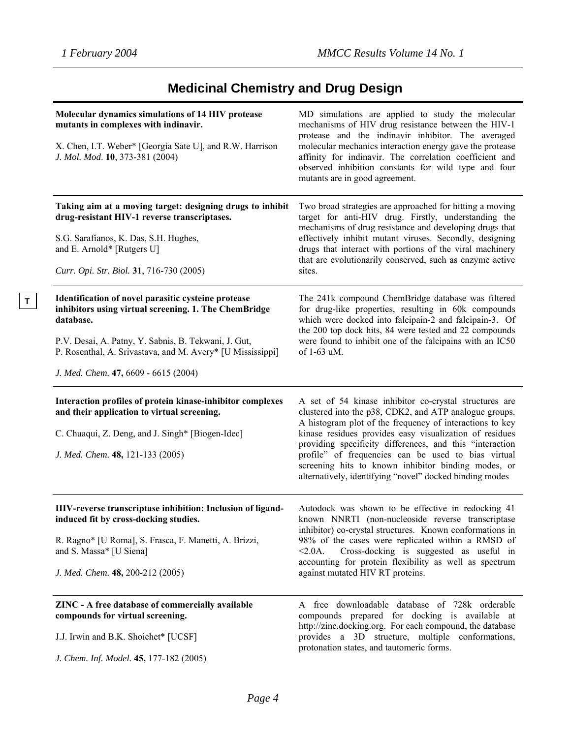**T**

# **Medicinal Chemistry and Drug Design**

| Molecular dynamics simulations of 14 HIV protease<br>mutants in complexes with indinavir.<br>X. Chen, I.T. Weber* [Georgia Sate U], and R.W. Harrison<br>J. Mol. Mod. 10, 373-381 (2004)                                                                                                | MD simulations are applied to study the molecular<br>mechanisms of HIV drug resistance between the HIV-1<br>protease and the indinavir inhibitor. The averaged<br>molecular mechanics interaction energy gave the protease<br>affinity for indinavir. The correlation coefficient and<br>observed inhibition constants for wild type and four<br>mutants are in good agreement.                                                                                              |
|-----------------------------------------------------------------------------------------------------------------------------------------------------------------------------------------------------------------------------------------------------------------------------------------|------------------------------------------------------------------------------------------------------------------------------------------------------------------------------------------------------------------------------------------------------------------------------------------------------------------------------------------------------------------------------------------------------------------------------------------------------------------------------|
| Taking aim at a moving target: designing drugs to inhibit<br>drug-resistant HIV-1 reverse transcriptases.<br>S.G. Sarafianos, K. Das, S.H. Hughes,<br>and E. Arnold* [Rutgers U]<br>Curr. Opi. Str. Biol. 31, 716-730 (2005)                                                            | Two broad strategies are approached for hitting a moving<br>target for anti-HIV drug. Firstly, understanding the<br>mechanisms of drug resistance and developing drugs that<br>effectively inhibit mutant viruses. Secondly, designing<br>drugs that interact with portions of the viral machinery<br>that are evolutionarily conserved, such as enzyme active<br>sites.                                                                                                     |
| Identification of novel parasitic cysteine protease<br>inhibitors using virtual screening. 1. The ChemBridge<br>database.<br>P.V. Desai, A. Patny, Y. Sabnis, B. Tekwani, J. Gut,<br>P. Rosenthal, A. Srivastava, and M. Avery* [U Mississippi]<br>J. Med. Chem. 47, 6609 - 6615 (2004) | The 241k compound ChemBridge database was filtered<br>for drug-like properties, resulting in 60k compounds<br>which were docked into falcipain-2 and falcipain-3. Of<br>the 200 top dock hits, 84 were tested and 22 compounds<br>were found to inhibit one of the falcipains with an IC50<br>of 1-63 uM.                                                                                                                                                                    |
| Interaction profiles of protein kinase-inhibitor complexes<br>and their application to virtual screening.<br>C. Chuaqui, Z. Deng, and J. Singh* [Biogen-Idec]<br>J. Med. Chem. 48, 121-133 (2005)                                                                                       | A set of 54 kinase inhibitor co-crystal structures are<br>clustered into the p38, CDK2, and ATP analogue groups.<br>A histogram plot of the frequency of interactions to key<br>kinase residues provides easy visualization of residues<br>providing specificity differences, and this "interaction<br>profile" of frequencies can be used to bias virtual<br>screening hits to known inhibitor binding modes, or<br>alternatively, identifying "novel" docked binding modes |
| HIV-reverse transcriptase inhibition: Inclusion of ligand-<br>induced fit by cross-docking studies.<br>R. Ragno* [U Roma], S. Frasca, F. Manetti, A. Brizzi,<br>and S. Massa* [U Siena]<br>J. Med. Chem. 48, 200-212 (2005)                                                             | Autodock was shown to be effective in redocking 41<br>known NNRTI (non-nucleoside reverse transcriptase<br>inhibitor) co-crystal structures. Known conformations in<br>98% of the cases were replicated within a RMSD of<br>Cross-docking is suggested as useful in<br>$< 2.0A$ .<br>accounting for protein flexibility as well as spectrum<br>against mutated HIV RT proteins.                                                                                              |
| ZINC - A free database of commercially available<br>compounds for virtual screening.<br>J.J. Irwin and B.K. Shoichet* [UCSF]<br>J. Chem. Inf. Model. 45, 177-182 (2005)                                                                                                                 | A free downloadable database of 728k orderable<br>compounds prepared for docking is available at<br>http://zinc.docking.org. For each compound, the database<br>provides a 3D structure, multiple conformations,<br>protonation states, and tautomeric forms.                                                                                                                                                                                                                |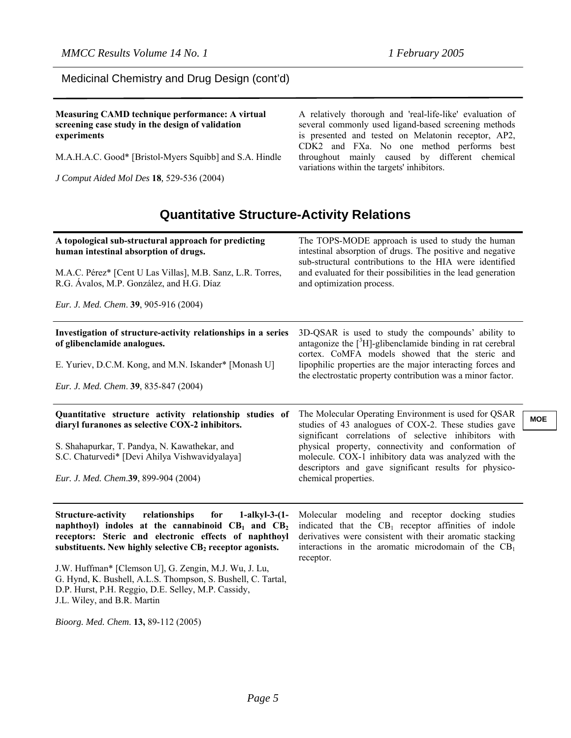Medicinal Chemistry and Drug Design (cont'd)

**Measuring CAMD technique performance: A virtual screening case study in the design of validation experiments**

M.A.H.A.C. Good\* [Bristol-Myers Squibb] and S.A. Hindle

*J Comput Aided Mol Des* **18***,* 529-536 (2004)

A relatively thorough and 'real-life-like' evaluation of several commonly used ligand-based screening methods is presented and tested on Melatonin receptor, AP2, CDK2 and FXa. No one method performs best throughout mainly caused by different chemical variations within the targets' inhibitors.

## **Quantitative Structure-Activity Relations**

| A topological sub-structural approach for predicting<br>human intestinal absorption of drugs.<br>M.A.C. Pérez* [Cent U Las Villas], M.B. Sanz, L.R. Torres,                                                                                           | The TOPS-MODE approach is used to study the human<br>intestinal absorption of drugs. The positive and negative<br>sub-structural contributions to the HIA were identified<br>and evaluated for their possibilities in the lead generation    |            |
|-------------------------------------------------------------------------------------------------------------------------------------------------------------------------------------------------------------------------------------------------------|----------------------------------------------------------------------------------------------------------------------------------------------------------------------------------------------------------------------------------------------|------------|
| R.G. Ávalos, M.P. González, and H.G. Díaz<br>Eur. J. Med. Chem. 39, 905-916 (2004)                                                                                                                                                                    | and optimization process.                                                                                                                                                                                                                    |            |
| Investigation of structure-activity relationships in a series<br>of glibenclamide analogues.                                                                                                                                                          | 3D-QSAR is used to study the compounds' ability to<br>antagonize the $\int^3 H$ -glibenclamide binding in rat cerebral<br>cortex. CoMFA models showed that the steric and                                                                    |            |
| E. Yuriev, D.C.M. Kong, and M.N. Iskander* [Monash U]<br>Eur. J. Med. Chem. 39, 835-847 (2004)                                                                                                                                                        | lipophilic properties are the major interacting forces and<br>the electrostatic property contribution was a minor factor.                                                                                                                    |            |
| Quantitative structure activity relationship studies of<br>diaryl furanones as selective COX-2 inhibitors.                                                                                                                                            | The Molecular Operating Environment is used for QSAR<br>studies of 43 analogues of COX-2. These studies gave                                                                                                                                 | <b>MOE</b> |
| S. Shahapurkar, T. Pandya, N. Kawathekar, and<br>S.C. Chaturvedi* [Devi Ahilya Vishwavidyalaya]                                                                                                                                                       | significant correlations of selective inhibitors with<br>physical property, connectivity and conformation of<br>molecule. COX-1 inhibitory data was analyzed with the<br>descriptors and gave significant results for physico-               |            |
| Eur. J. Med. Chem.39, 899-904 (2004)                                                                                                                                                                                                                  | chemical properties.                                                                                                                                                                                                                         |            |
| relationships<br><b>Structure-activity</b><br>for<br>$1-alkyl-3-(1-$<br>naphthoyl) indoles at the cannabinoid $CB_1$ and $CB_2$<br>receptors: Steric and electronic effects of naphthoyl<br>substituents. New highly selective CB2 receptor agonists. | Molecular modeling and receptor docking studies<br>indicated that the $CB_1$ receptor affinities of indole<br>derivatives were consistent with their aromatic stacking<br>interactions in the aromatic microdomain of the $CB1$<br>receptor. |            |
| J.W. Huffman* [Clemson U], G. Zengin, M.J. Wu, J. Lu,<br>G. Hynd, K. Bushell, A.L.S. Thompson, S. Bushell, C. Tartal,<br>D.P. Hurst, P.H. Reggio, D.E. Selley, M.P. Cassidy,<br>J.L. Wiley, and B.R. Martin                                           |                                                                                                                                                                                                                                              |            |
| Bioorg. Med. Chem. 13, 89-112 (2005)                                                                                                                                                                                                                  |                                                                                                                                                                                                                                              |            |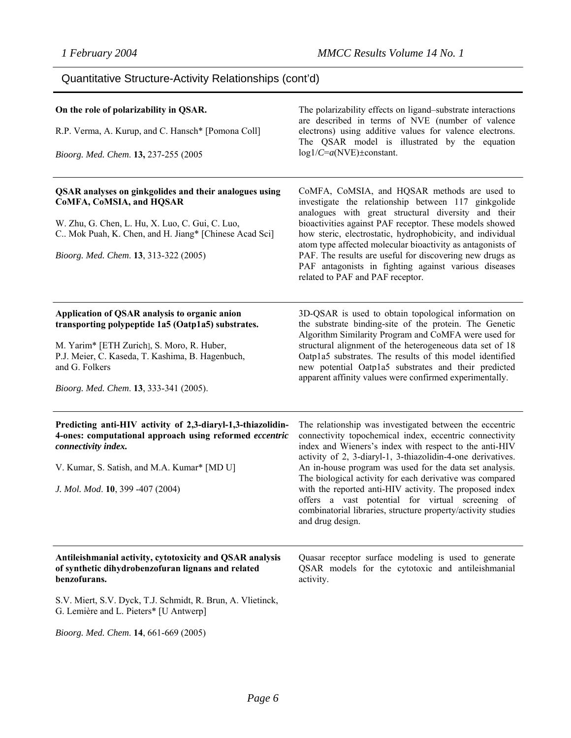Quantitative Structure-Activity Relationships (cont'd)

| On the role of polarizability in QSAR.<br>R.P. Verma, A. Kurup, and C. Hansch* [Pomona Coll]<br>Bioorg. Med. Chem. 13, 237-255 (2005                                                                                                                              | The polarizability effects on ligand-substrate interactions<br>are described in terms of NVE (number of valence<br>electrons) using additive values for valence electrons.<br>The QSAR model is illustrated by the equation<br>$log1/C=a(NVE) \pm constant.$                                                                                                                                                                                                                                                                                                          |
|-------------------------------------------------------------------------------------------------------------------------------------------------------------------------------------------------------------------------------------------------------------------|-----------------------------------------------------------------------------------------------------------------------------------------------------------------------------------------------------------------------------------------------------------------------------------------------------------------------------------------------------------------------------------------------------------------------------------------------------------------------------------------------------------------------------------------------------------------------|
| QSAR analyses on ginkgolides and their analogues using<br>CoMFA, CoMSIA, and HQSAR<br>W. Zhu, G. Chen, L. Hu, X. Luo, C. Gui, C. Luo,<br>C Mok Puah, K. Chen, and H. Jiang* [Chinese Acad Sci]<br>Bioorg. Med. Chem. 13, 313-322 (2005)                           | CoMFA, CoMSIA, and HQSAR methods are used to<br>investigate the relationship between 117 ginkgolide<br>analogues with great structural diversity and their<br>bioactivities against PAF receptor. These models showed<br>how steric, electrostatic, hydrophobicity, and individual<br>atom type affected molecular bioactivity as antagonists of<br>PAF. The results are useful for discovering new drugs as<br>PAF antagonists in fighting against various diseases<br>related to PAF and PAF receptor.                                                              |
| Application of QSAR analysis to organic anion<br>transporting polypeptide 1a5 (Oatp1a5) substrates.<br>M. Yarim* [ETH Zurich], S. Moro, R. Huber,<br>P.J. Meier, C. Kaseda, T. Kashima, B. Hagenbuch,<br>and G. Folkers<br>Bioorg. Med. Chem. 13, 333-341 (2005). | 3D-QSAR is used to obtain topological information on<br>the substrate binding-site of the protein. The Genetic<br>Algorithm Similarity Program and CoMFA were used for<br>structural alignment of the heterogeneous data set of 18<br>Oatp1a5 substrates. The results of this model identified<br>new potential Oatp1a5 substrates and their predicted<br>apparent affinity values were confirmed experimentally.                                                                                                                                                     |
| Predicting anti-HIV activity of 2,3-diaryl-1,3-thiazolidin-<br>4-ones: computational approach using reformed eccentric<br>connectivity index.<br>V. Kumar, S. Satish, and M.A. Kumar* [MD U]<br>J. Mol. Mod. 10, 399 -407 (2004)                                  | The relationship was investigated between the eccentric<br>connectivity topochemical index, eccentric connectivity<br>index and Wieners's index with respect to the anti-HIV<br>activity of 2, 3-diaryl-1, 3-thiazolidin-4-one derivatives.<br>An in-house program was used for the data set analysis.<br>The biological activity for each derivative was compared<br>with the reported anti-HIV activity. The proposed index<br>offers a vast potential for virtual screening of<br>combinatorial libraries, structure property/activity studies<br>and drug design. |
| Antileishmanial activity, cytotoxicity and QSAR analysis<br>of synthetic dihydrobenzofuran lignans and related<br>benzofurans.                                                                                                                                    | Quasar receptor surface modeling is used to generate<br>QSAR models for the cytotoxic and antileishmanial<br>activity.                                                                                                                                                                                                                                                                                                                                                                                                                                                |
| S.V. Miert, S.V. Dyck, T.J. Schmidt, R. Brun, A. Vlietinck,<br>G. Lemière and L. Pieters* [U Antwerp]                                                                                                                                                             |                                                                                                                                                                                                                                                                                                                                                                                                                                                                                                                                                                       |
| Bioorg. Med. Chem. 14, 661-669 (2005)                                                                                                                                                                                                                             |                                                                                                                                                                                                                                                                                                                                                                                                                                                                                                                                                                       |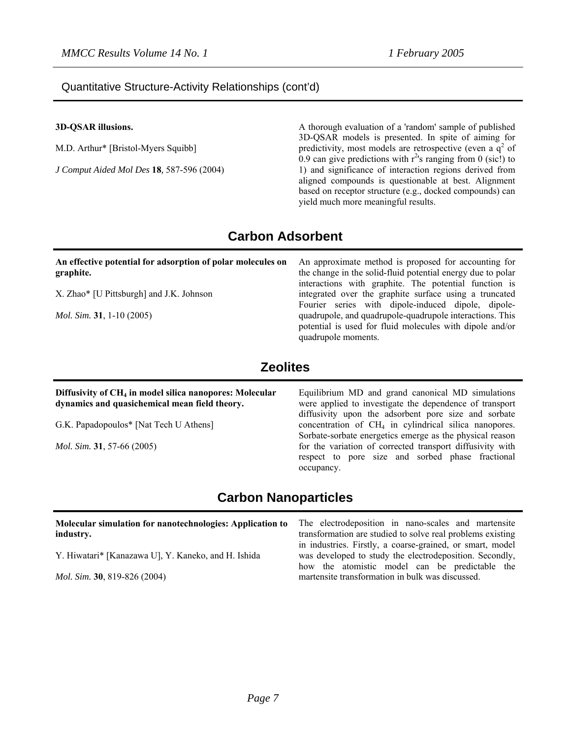#### Quantitative Structure-Activity Relationships (cont'd)

#### **3D-QSAR illusions.**

M.D. Arthur\* [Bristol-Myers Squibb]

*J Comput Aided Mol Des* **18***,* 587-596 (2004)

A thorough evaluation of a 'random' sample of published 3D-QSAR models is presented. In spite of aiming for predictivity, most models are retrospective (even a  $q^2$  of 0.9 can give predictions with  $r^2$ 's ranging from 0 (sic!) to 1) and significance of interaction regions derived from aligned compounds is questionable at best. Alignment based on receptor structure (e.g., docked compounds) can yield much more meaningful results.

## **Carbon Adsorbent**

#### **An effective potential for adsorption of polar molecules on graphite.**

X. Zhao\* [U Pittsburgh] and J.K. Johnson

*Mol. Sim.* **31**, 1-10 (2005)

An approximate method is proposed for accounting for the change in the solid-fluid potential energy due to polar interactions with graphite. The potential function is integrated over the graphite surface using a truncated Fourier series with dipole-induced dipole, dipolequadrupole, and quadrupole-quadrupole interactions. This potential is used for fluid molecules with dipole and/or quadrupole moments.

## **Zeolites**

#### **Diffusivity of CH4 in model silica nanopores: Molecular dynamics and quasichemical mean field theory.**

G.K. Papadopoulos\* [Nat Tech U Athens]

*Mol. Sim.* **31**, 57-66 (2005)

Equilibrium MD and grand canonical MD simulations were applied to investigate the dependence of transport diffusivity upon the adsorbent pore size and sorbate concentration of  $CH<sub>4</sub>$  in cylindrical silica nanopores. Sorbate-sorbate energetics emerge as the physical reason for the variation of corrected transport diffusivity with respect to pore size and sorbed phase fractional occupancy.

## **Carbon Nanoparticles**

| Molecular simulation for nanotechnologies: Application to<br>industry. | The electrodeposition in nano-scales and martensite<br>transformation are studied to solve real problems existing                                                      |
|------------------------------------------------------------------------|------------------------------------------------------------------------------------------------------------------------------------------------------------------------|
| Y. Hiwatari* [Kanazawa U], Y. Kaneko, and H. Ishida                    | in industries. Firstly, a coarse-grained, or smart, model<br>was developed to study the electrodeposition. Secondly,<br>how the atomistic model can be predictable the |
| <i>Mol. Sim.</i> <b>30</b> , 819-826 (2004)                            | martensite transformation in bulk was discussed.                                                                                                                       |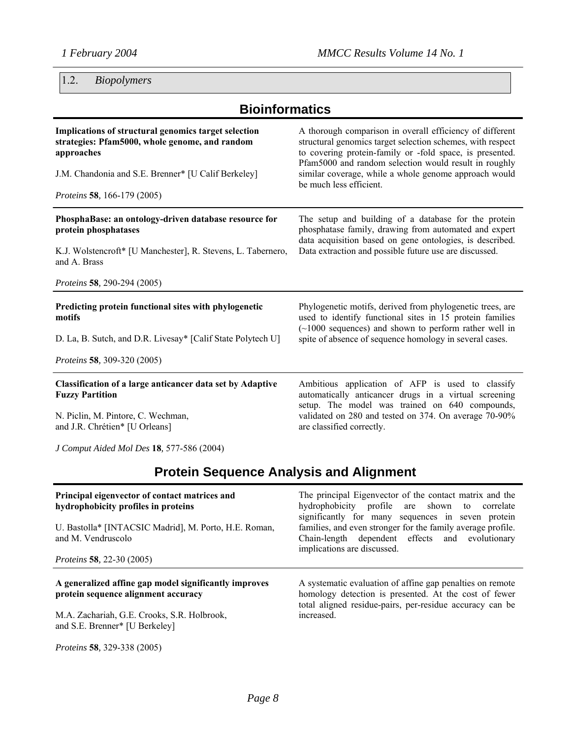1.2. *Biopolymers* 

# **Bioinformatics**

| Implications of structural genomics target selection<br>strategies: Pfam5000, whole genome, and random<br>approaches<br>J.M. Chandonia and S.E. Brenner* [U Calif Berkeley]<br><i>Proteins</i> 58, 166-179 (2005) | A thorough comparison in overall efficiency of different<br>structural genomics target selection schemes, with respect<br>to covering protein-family or -fold space, is presented.<br>Pfam5000 and random selection would result in roughly<br>similar coverage, while a whole genome approach would<br>be much less efficient. |
|-------------------------------------------------------------------------------------------------------------------------------------------------------------------------------------------------------------------|---------------------------------------------------------------------------------------------------------------------------------------------------------------------------------------------------------------------------------------------------------------------------------------------------------------------------------|
| PhosphaBase: an ontology-driven database resource for<br>protein phosphatases<br>K.J. Wolstencroft* [U Manchester], R. Stevens, L. Tabernero,<br>and A. Brass                                                     | The setup and building of a database for the protein<br>phosphatase family, drawing from automated and expert<br>data acquisition based on gene ontologies, is described.<br>Data extraction and possible future use are discussed.                                                                                             |
| <i>Proteins</i> 58, 290-294 (2005)                                                                                                                                                                                |                                                                                                                                                                                                                                                                                                                                 |
| Predicting protein functional sites with phylogenetic<br>motifs                                                                                                                                                   | Phylogenetic motifs, derived from phylogenetic trees, are<br>used to identify functional sites in 15 protein families<br>$(\sim 1000$ sequences) and shown to perform rather well in                                                                                                                                            |
| D. La, B. Sutch, and D.R. Livesay* [Calif State Polytech U]                                                                                                                                                       | spite of absence of sequence homology in several cases.                                                                                                                                                                                                                                                                         |
| <i>Proteins</i> 58, 309-320 (2005)                                                                                                                                                                                |                                                                                                                                                                                                                                                                                                                                 |
| <b>Classification of a large anticancer data set by Adaptive</b><br><b>Fuzzy Partition</b>                                                                                                                        | Ambitious application of AFP is used to classify<br>automatically anticancer drugs in a virtual screening<br>setup. The model was trained on 640 compounds,                                                                                                                                                                     |
| N. Piclin, M. Pintore, C. Wechman,<br>and J.R. Chrétien* [U Orleans]                                                                                                                                              | validated on 280 and tested on 374. On average 70-90%<br>are classified correctly.                                                                                                                                                                                                                                              |

*J Comput Aided Mol Des* **18***,* 577-586 (2004)

# **Protein Sequence Analysis and Alignment**

| Principal eigenvector of contact matrices and<br>hydrophobicity profiles in proteins<br>U. Bastolla* [INTACSIC Madrid], M. Porto, H.E. Roman,<br>and M. Vendruscolo<br><i>Proteins</i> 58, 22-30 (2005) | The principal Eigenvector of the contact matrix and the<br>hydrophobicity profile are shown to correlate<br>significantly for many sequences in seven protein<br>families, and even stronger for the family average profile.<br>Chain-length dependent effects and evolutionary<br>implications are discussed. |
|---------------------------------------------------------------------------------------------------------------------------------------------------------------------------------------------------------|----------------------------------------------------------------------------------------------------------------------------------------------------------------------------------------------------------------------------------------------------------------------------------------------------------------|
| A generalized affine gap model significantly improves<br>protein sequence alignment accuracy<br>M.A. Zachariah, G.E. Crooks, S.R. Holbrook,<br>and S.E. Brenner* [U Berkeley]                           | A systematic evaluation of affine gap penalties on remote<br>homology detection is presented. At the cost of fewer<br>total aligned residue-pairs, per-residue accuracy can be<br>increased.                                                                                                                   |
| <i>Proteins</i> 58, 329-338 (2005)                                                                                                                                                                      |                                                                                                                                                                                                                                                                                                                |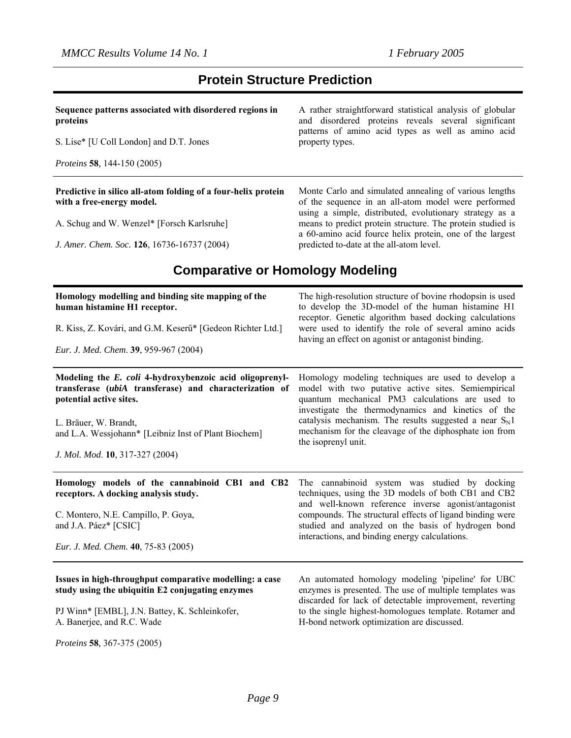## **Protein Structure Prediction**

| Sequence patterns associated with disordered regions in<br>proteins | A rather straightforward statistical analysis of globular<br>and disordered proteins reveals several significant<br>patterns of amino acid types as well as amino acid |
|---------------------------------------------------------------------|------------------------------------------------------------------------------------------------------------------------------------------------------------------------|
| S. Lise* [U Coll London] and D.T. Jones                             | property types.                                                                                                                                                        |
| <i>Proteins</i> 58, 144-150 (2005)                                  |                                                                                                                                                                        |
| Predictive in silico all-atom folding of a four-helix protein       | Monte Carlo and simulated annealing of various lengths                                                                                                                 |

**with a free-energy model.**

A. Schug and W. Wenzel\* [Forsch Karlsruhe]

*J. Amer. Chem. Soc.* **126**, 16736-16737 (2004)

of the sequence in an all-atom model were performed using a simple, distributed, evolutionary strategy as a means to predict protein structure. The protein studied is a 60-amino acid fource helix protein, one of the largest predicted to-date at the all-atom level.

## **Comparative or Homology Modeling**

| Homology modelling and binding site mapping of the<br>human histamine H1 receptor.                                                                                                                                            | The high-resolution structure of bovine rhodopsin is used<br>to develop the 3D-model of the human histamine H1<br>receptor. Genetic algorithm based docking calculations                                                                                                                                                                  |
|-------------------------------------------------------------------------------------------------------------------------------------------------------------------------------------------------------------------------------|-------------------------------------------------------------------------------------------------------------------------------------------------------------------------------------------------------------------------------------------------------------------------------------------------------------------------------------------|
| R. Kiss, Z. Kovári, and G.M. Keserű* [Gedeon Richter Ltd.]                                                                                                                                                                    | were used to identify the role of several amino acids<br>having an effect on agonist or antagonist binding.                                                                                                                                                                                                                               |
| Eur. J. Med. Chem. 39, 959-967 (2004)                                                                                                                                                                                         |                                                                                                                                                                                                                                                                                                                                           |
| Modeling the E. coli 4-hydroxybenzoic acid oligoprenyl-<br>transferase (ubiA transferase) and characterization of<br>potential active sites.<br>L. Bräuer, W. Brandt,<br>and L.A. Wessjohann* [Leibniz Inst of Plant Biochem] | Homology modeling techniques are used to develop a<br>model with two putative active sites. Semiempirical<br>quantum mechanical PM3 calculations are used to<br>investigate the thermodynamics and kinetics of the<br>catalysis mechanism. The results suggested a near $S_N$ 1<br>mechanism for the cleavage of the diphosphate ion from |
| J. Mol. Mod. 10, 317-327 (2004)                                                                                                                                                                                               | the isoprenyl unit.                                                                                                                                                                                                                                                                                                                       |
| Homology models of the cannabinoid CB1 and CB2<br>receptors. A docking analysis study.                                                                                                                                        | The cannabinoid system was studied by docking<br>techniques, using the 3D models of both CB1 and CB2<br>and well-known reference inverse agonist/antagonist                                                                                                                                                                               |
| C. Montero, N.E. Campillo, P. Goya,<br>and J.A. Páez* [CSIC]                                                                                                                                                                  | compounds. The structural effects of ligand binding were<br>studied and analyzed on the basis of hydrogen bond<br>interactions, and binding energy calculations.                                                                                                                                                                          |
| Eur. J. Med. Chem. 40, 75-83 (2005)                                                                                                                                                                                           |                                                                                                                                                                                                                                                                                                                                           |
| Issues in high-throughput comparative modelling: a case<br>study using the ubiquitin E2 conjugating enzymes                                                                                                                   | An automated homology modeling 'pipeline' for UBC<br>enzymes is presented. The use of multiple templates was<br>discarded for lack of detectable improvement, reverting                                                                                                                                                                   |
| PJ Winn* [EMBL], J.N. Battey, K. Schleinkofer,<br>A. Banerjee, and R.C. Wade                                                                                                                                                  | to the single highest-homologues template. Rotamer and<br>H-bond network optimization are discussed.                                                                                                                                                                                                                                      |
| <i>Proteins</i> 58, 367-375 (2005)                                                                                                                                                                                            |                                                                                                                                                                                                                                                                                                                                           |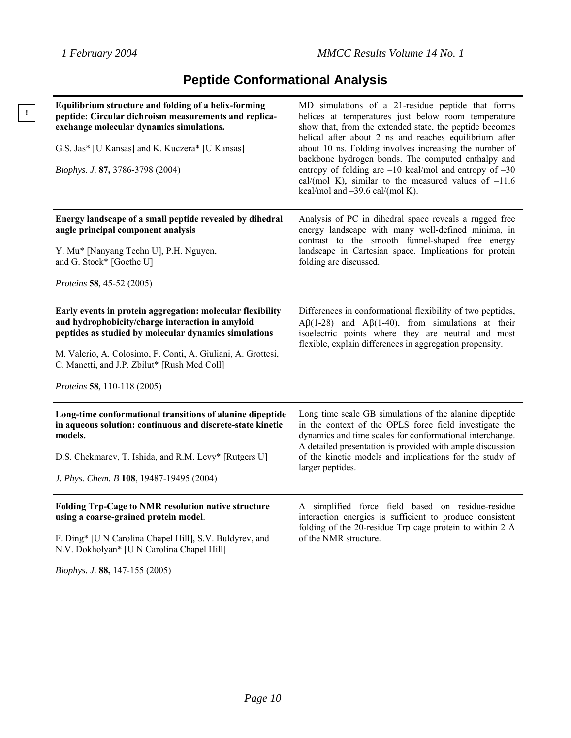**!** 

# **Peptide Conformational Analysis**

| Equilibrium structure and folding of a helix-forming<br>peptide: Circular dichroism measurements and replica-<br>exchange molecular dynamics simulations.<br>G.S. Jas* [U Kansas] and K. Kuczera* [U Kansas]<br>Biophys. J. 87, 3786-3798 (2004)                                                                       | MD simulations of a 21-residue peptide that forms<br>helices at temperatures just below room temperature<br>show that, from the extended state, the peptide becomes<br>helical after about 2 ns and reaches equilibrium after<br>about 10 ns. Folding involves increasing the number of<br>backbone hydrogen bonds. The computed enthalpy and<br>entropy of folding are $-10$ kcal/mol and entropy of $-30$<br>cal/(mol K), similar to the measured values of $-11.6$<br>kcal/mol and $-39.6$ cal/(mol K). |
|------------------------------------------------------------------------------------------------------------------------------------------------------------------------------------------------------------------------------------------------------------------------------------------------------------------------|------------------------------------------------------------------------------------------------------------------------------------------------------------------------------------------------------------------------------------------------------------------------------------------------------------------------------------------------------------------------------------------------------------------------------------------------------------------------------------------------------------|
| Energy landscape of a small peptide revealed by dihedral<br>angle principal component analysis<br>Y. Mu* [Nanyang Techn U], P.H. Nguyen,<br>and G. Stock* [Goethe U]<br><i>Proteins</i> 58, 45-52 (2005)                                                                                                               | Analysis of PC in dihedral space reveals a rugged free<br>energy landscape with many well-defined minima, in<br>contrast to the smooth funnel-shaped free energy<br>landscape in Cartesian space. Implications for protein<br>folding are discussed.                                                                                                                                                                                                                                                       |
| Early events in protein aggregation: molecular flexibility<br>and hydrophobicity/charge interaction in amyloid<br>peptides as studied by molecular dynamics simulations<br>M. Valerio, A. Colosimo, F. Conti, A. Giuliani, A. Grottesi,<br>C. Manetti, and J.P. Zbilut* [Rush Med Coll]<br>Proteins 58, 110-118 (2005) | Differences in conformational flexibility of two peptides,<br>$A\beta(1-28)$ and $A\beta(1-40)$ , from simulations at their<br>isoelectric points where they are neutral and most<br>flexible, explain differences in aggregation propensity.                                                                                                                                                                                                                                                              |
| Long-time conformational transitions of alanine dipeptide<br>in aqueous solution: continuous and discrete-state kinetic<br>models.<br>D.S. Chekmarev, T. Ishida, and R.M. Levy* [Rutgers U]<br>J. Phys. Chem. B 108, 19487-19495 (2004)                                                                                | Long time scale GB simulations of the alanine dipeptide<br>in the context of the OPLS force field investigate the<br>dynamics and time scales for conformational interchange.<br>A detailed presentation is provided with ample discussion<br>of the kinetic models and implications for the study of<br>larger peptides.                                                                                                                                                                                  |
| <b>Folding Trp-Cage to NMR resolution native structure</b><br>using a coarse-grained protein model.<br>F. Ding* [U N Carolina Chapel Hill], S.V. Buldyrev, and<br>N.V. Dokholyan* [U N Carolina Chapel Hill]                                                                                                           | A simplified force field based on residue-residue<br>interaction energies is sufficient to produce consistent<br>folding of the 20-residue Trp cage protein to within 2 $\AA$<br>of the NMR structure.                                                                                                                                                                                                                                                                                                     |

*Biophys. J.* **88,** 147-155 (2005)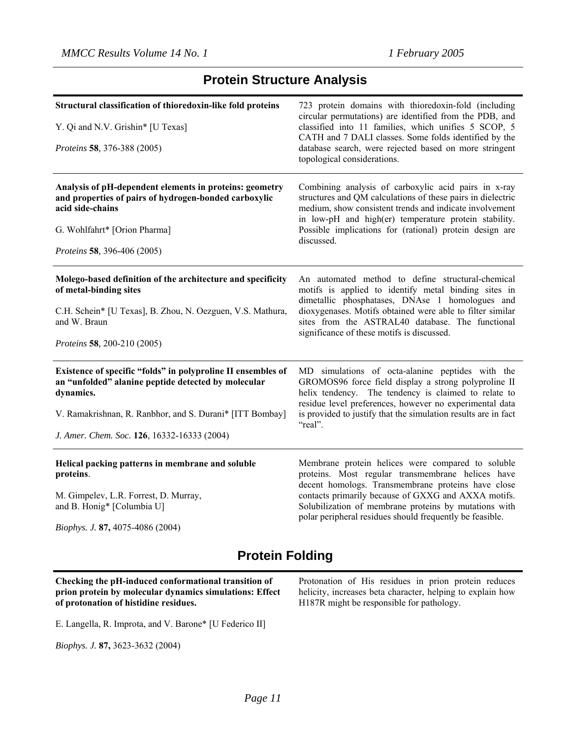## **Protein Structure Analysis**

| Structural classification of thioredoxin-like fold proteins                                                                          | 723 protein domains with thioredoxin-fold (including<br>circular permutations) are identified from the PDB, and                                                                                                                         |
|--------------------------------------------------------------------------------------------------------------------------------------|-----------------------------------------------------------------------------------------------------------------------------------------------------------------------------------------------------------------------------------------|
| Y. Qi and N.V. Grishin* [U Texas]                                                                                                    | classified into 11 families, which unifies 5 SCOP, 5<br>CATH and 7 DALI classes. Some folds identified by the                                                                                                                           |
| Proteins 58, 376-388 (2005)                                                                                                          | database search, were rejected based on more stringent<br>topological considerations.                                                                                                                                                   |
| Analysis of pH-dependent elements in proteins: geometry<br>and properties of pairs of hydrogen-bonded carboxylic<br>acid side-chains | Combining analysis of carboxylic acid pairs in x-ray<br>structures and QM calculations of these pairs in dielectric<br>medium, show consistent trends and indicate involvement<br>in low-pH and high(er) temperature protein stability. |
| G. Wohlfahrt* [Orion Pharma]                                                                                                         | Possible implications for (rational) protein design are<br>discussed.                                                                                                                                                                   |
| <i>Proteins</i> 58, 396-406 (2005)                                                                                                   |                                                                                                                                                                                                                                         |
| Molego-based definition of the architecture and specificity<br>of metal-binding sites                                                | An automated method to define structural-chemical<br>motifs is applied to identify metal binding sites in<br>dimetallic phosphatases, DNAse 1 homologues and                                                                            |
| C.H. Schein* [U Texas], B. Zhou, N. Oezguen, V.S. Mathura,<br>and W. Braun                                                           | dioxygenases. Motifs obtained were able to filter similar<br>sites from the ASTRAL40 database. The functional<br>significance of these motifs is discussed.                                                                             |
| <i>Proteins</i> 58, 200-210 (2005)                                                                                                   |                                                                                                                                                                                                                                         |
| Existence of specific "folds" in polyproline II ensembles of<br>an "unfolded" alanine peptide detected by molecular<br>dynamics.     | MD simulations of octa-alanine peptides with the<br>GROMOS96 force field display a strong polyproline II<br>helix tendency. The tendency is claimed to relate to<br>residue level preferences, however no experimental data             |
| V. Ramakrishnan, R. Ranbhor, and S. Durani* [ITT Bombay]                                                                             | is provided to justify that the simulation results are in fact<br>"real".                                                                                                                                                               |
| J. Amer. Chem. Soc. 126, 16332-16333 (2004)                                                                                          |                                                                                                                                                                                                                                         |
| Helical packing patterns in membrane and soluble<br>proteins.                                                                        | Membrane protein helices were compared to soluble<br>proteins. Most regular transmembrane helices have<br>decent homologs. Transmembrane proteins have close                                                                            |
| M. Gimpelev, L.R. Forrest, D. Murray,<br>and B. Honig* [Columbia U]                                                                  | contacts primarily because of GXXG and AXXA motifs.<br>Solubilization of membrane proteins by mutations with<br>polar peripheral residues should frequently be feasible.                                                                |
| Biophys. J. 87, 4075-4086 (2004)                                                                                                     |                                                                                                                                                                                                                                         |

## **Protein Folding**

**Checking the pH-induced conformational transition of prion protein by molecular dynamics simulations: Effect of protonation of histidine residues.**

Protonation of His residues in prion protein reduces helicity, increases beta character, helping to explain how H187R might be responsible for pathology.

E. Langella, R. Improta, and V. Barone\* [U Federico II]

*Biophys. J.* **87,** 3623-3632 (2004)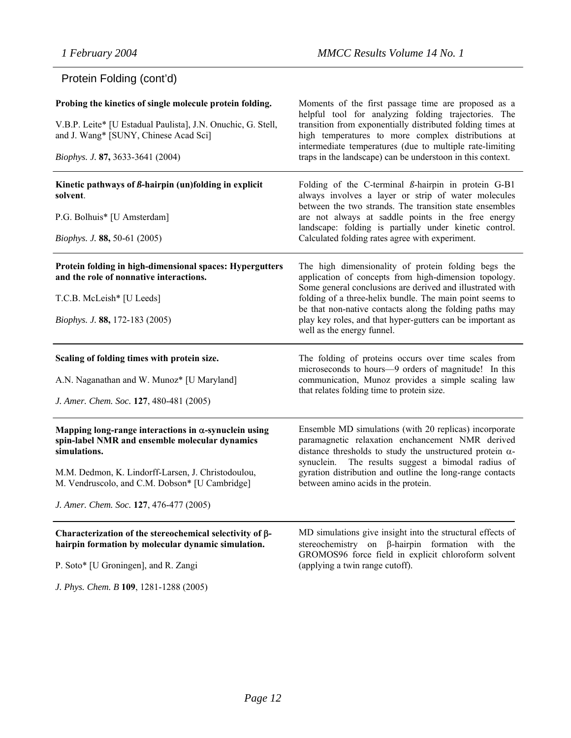## Protein Folding (cont'd)

| Probing the kinetics of single molecule protein folding.<br>V.B.P. Leite* [U Estadual Paulista], J.N. Onuchic, G. Stell,<br>and J. Wang* [SUNY, Chinese Acad Sci]<br>Biophys. J. 87, 3633-3641 (2004)                                                                             | Moments of the first passage time are proposed as a<br>helpful tool for analyzing folding trajectories. The<br>transition from exponentially distributed folding times at<br>high temperatures to more complex distributions at<br>intermediate temperatures (due to multiple rate-limiting<br>traps in the landscape) can be understoon in this context.                                    |
|-----------------------------------------------------------------------------------------------------------------------------------------------------------------------------------------------------------------------------------------------------------------------------------|----------------------------------------------------------------------------------------------------------------------------------------------------------------------------------------------------------------------------------------------------------------------------------------------------------------------------------------------------------------------------------------------|
| Kinetic pathways of $\beta$ -hairpin (un)folding in explicit<br>solvent.<br>P.G. Bolhuis* [U Amsterdam]<br><i>Biophys. J.</i> 88, 50-61 (2005)                                                                                                                                    | Folding of the C-terminal $\beta$ -hairpin in protein G-B1<br>always involves a layer or strip of water molecules<br>between the two strands. The transition state ensembles<br>are not always at saddle points in the free energy<br>landscape: folding is partially under kinetic control.<br>Calculated folding rates agree with experiment.                                              |
| Protein folding in high-dimensional spaces: Hypergutters<br>and the role of nonnative interactions.<br>T.C.B. McLeish* [U Leeds]<br>Biophys. J. 88, 172-183 (2005)                                                                                                                | The high dimensionality of protein folding begs the<br>application of concepts from high-dimension topology.<br>Some general conclusions are derived and illustrated with<br>folding of a three-helix bundle. The main point seems to<br>be that non-native contacts along the folding paths may<br>play key roles, and that hyper-gutters can be important as<br>well as the energy funnel. |
| Scaling of folding times with protein size.<br>A.N. Naganathan and W. Munoz* [U Maryland]<br>J. Amer. Chem. Soc. 127, 480-481 (2005)                                                                                                                                              | The folding of proteins occurs over time scales from<br>microseconds to hours—9 orders of magnitude! In this<br>communication, Munoz provides a simple scaling law<br>that relates folding time to protein size.                                                                                                                                                                             |
| Mapping long-range interactions in $\alpha$ -synuclein using<br>spin-label NMR and ensemble molecular dynamics<br>simulations.<br>M.M. Dedmon, K. Lindorff-Larsen, J. Christodoulou,<br>M. Vendruscolo, and C.M. Dobson* [U Cambridge]<br>J. Amer. Chem. Soc. 127, 476-477 (2005) | Ensemble MD simulations (with 20 replicas) incorporate<br>paramagnetic relaxation enchancement NMR derived<br>distance thresholds to study the unstructured protein $\alpha$ -<br>The results suggest a bimodal radius of<br>synuclein.<br>gyration distribution and outline the long-range contacts<br>between amino acids in the protein.                                                  |
| Characterization of the stereochemical selectivity of $\beta$ -<br>hairpin formation by molecular dynamic simulation.<br>P. Soto* [U Groningen], and R. Zangi<br>J. Phys. Chem. B 109, 1281-1288 (2005)                                                                           | MD simulations give insight into the structural effects of<br>stereochemistry on β-hairpin formation with the<br>GROMOS96 force field in explicit chloroform solvent<br>(applying a twin range cutoff).                                                                                                                                                                                      |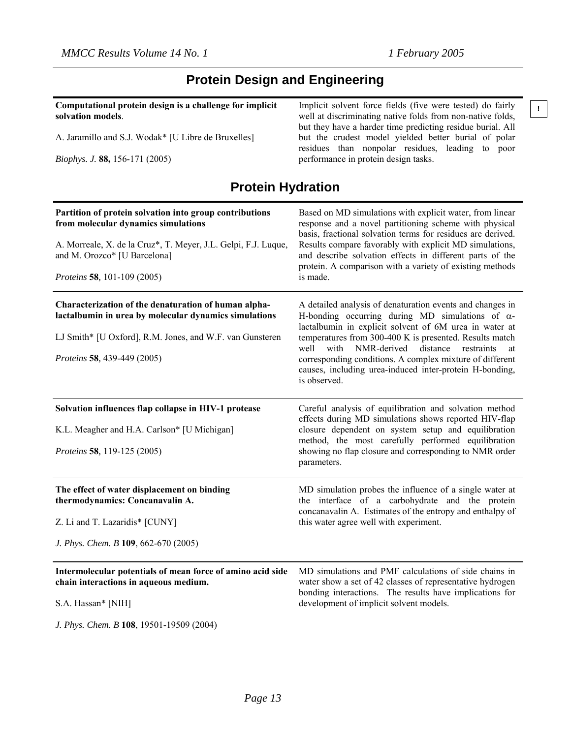## **Protein Design and Engineering**

**Computational protein design is a challenge for implicit solvation models**. A. Jaramillo and S.J. Wodak\* [U Libre de Bruxelles] *Biophys. J.* **88,** 156-171 (2005) Implicit solvent force fields (five were tested) do fairly well at discriminating native folds from non-native folds, but they have a harder time predicting residue burial. All but the crudest model yielded better burial of polar residues than nonpolar residues, leading to poor performance in protein design tasks. **Protein Hydration Partition of protein solvation into group contributions from molecular dynamics simulations** A. Morreale, X. de la Cruz\*, T. Meyer, J.L. Gelpi, F.J. Luque, and M. Orozco\* [U Barcelona] *Proteins* **58***,* 101-109 (2005) Based on MD simulations with explicit water, from linear response and a novel partitioning scheme with physical basis, fractional solvation terms for residues are derived. Results compare favorably with explicit MD simulations, and describe solvation effects in different parts of the protein. A comparison with a variety of existing methods is made. **Characterization of the denaturation of human alphalactalbumin in urea by molecular dynamics simulations** LJ Smith\* [U Oxford], R.M. Jones, and W.F. van Gunsteren *Proteins* **58***,* 439-449 (2005) A detailed analysis of denaturation events and changes in H-bonding occurring during MD simulations of  $\alpha$ lactalbumin in explicit solvent of 6M urea in water at temperatures from 300-400 K is presented. Results match well with NMR-derived distance restraints at corresponding conditions. A complex mixture of different causes, including urea-induced inter-protein H-bonding, is observed. **Solvation influences flap collapse in HIV-1 protease** K.L. Meagher and H.A. Carlson\* [U Michigan] *Proteins* **58***,* 119-125 (2005) Careful analysis of equilibration and solvation method effects during MD simulations shows reported HIV-flap closure dependent on system setup and equilibration method, the most carefully performed equilibration showing no flap closure and corresponding to NMR order parameters. **The effect of water displacement on binding thermodynamics: Concanavalin A.** Z. Li and T. Lazaridis\* [CUNY] *J. Phys. Chem. B* **109**, 662-670 (2005) MD simulation probes the influence of a single water at the interface of a carbohydrate and the protein concanavalin A. Estimates of the entropy and enthalpy of this water agree well with experiment. **Intermolecular potentials of mean force of amino acid side chain interactions in aqueous medium.** S.A. Hassan\* [NIH] *J. Phys. Chem. B* **108**, 19501-19509 (2004) MD simulations and PMF calculations of side chains in water show a set of 42 classes of representative hydrogen bonding interactions. The results have implications for development of implicit solvent models.

```
!
```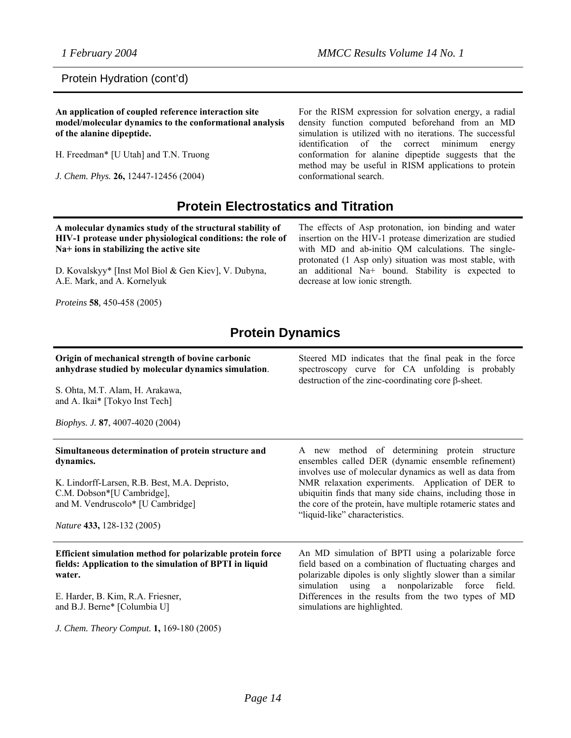Protein Hydration (cont'd)

**An application of coupled reference interaction site model/molecular dynamics to the conformational analysis of the alanine dipeptide.**

H. Freedman\* [U Utah] and T.N. Truong

*J. Chem. Phys.* **26,** 12447-12456 (2004)

For the RISM expression for solvation energy, a radial density function computed beforehand from an MD simulation is utilized with no iterations. The successful identification of the correct minimum energy conformation for alanine dipeptide suggests that the method may be useful in RISM applications to protein conformational search.

## **Protein Electrostatics and Titration**

**A molecular dynamics study of the structural stability of HIV-1 protease under physiological conditions: the role of Na+ ions in stabilizing the active site**

D. Kovalskyy\* [Inst Mol Biol & Gen Kiev], V. Dubyna, A.E. Mark, and A. Kornelyuk

*Proteins* **58***,* 450-458 (2005)

The effects of Asp protonation, ion binding and water insertion on the HIV-1 protease dimerization are studied with MD and ab-initio QM calculations. The singleprotonated (1 Asp only) situation was most stable, with an additional Na+ bound. Stability is expected to decrease at low ionic strength.

## **Protein Dynamics**

| Origin of mechanical strength of bovine carbonic<br>anhydrase studied by molecular dynamics simulation.<br>S. Ohta, M.T. Alam, H. Arakawa,<br>and A. Ikai* [Tokyo Inst Tech]<br><i>Biophys. J.</i> 87, 4007-4020 (2004)                          | Steered MD indicates that the final peak in the force<br>spectroscopy curve for CA unfolding is probably<br>destruction of the zinc-coordinating core $\beta$ -sheet.                                                                                                                                                                                                             |
|--------------------------------------------------------------------------------------------------------------------------------------------------------------------------------------------------------------------------------------------------|-----------------------------------------------------------------------------------------------------------------------------------------------------------------------------------------------------------------------------------------------------------------------------------------------------------------------------------------------------------------------------------|
| Simultaneous determination of protein structure and<br>dynamics.<br>K. Lindorff-Larsen, R.B. Best, M.A. Depristo,<br>C.M. Dobson*[U Cambridge],<br>and M. Vendruscolo* [U Cambridge]<br>Nature 433, 128-132 (2005)                               | A new method of determining protein structure<br>ensembles called DER (dynamic ensemble refinement)<br>involves use of molecular dynamics as well as data from<br>NMR relaxation experiments. Application of DER to<br>ubiquitin finds that many side chains, including those in<br>the core of the protein, have multiple rotameric states and<br>"liquid-like" characteristics. |
| Efficient simulation method for polarizable protein force<br>fields: Application to the simulation of BPTI in liquid<br>water.<br>E. Harder, B. Kim, R.A. Friesner,<br>and B.J. Berne* [Columbia U]<br>J. Chem. Theory Comput. 1, 169-180 (2005) | An MD simulation of BPTI using a polarizable force<br>field based on a combination of fluctuating charges and<br>polarizable dipoles is only slightly slower than a similar<br>simulation using a nonpolarizable force<br>field.<br>Differences in the results from the two types of MD<br>simulations are highlighted.                                                           |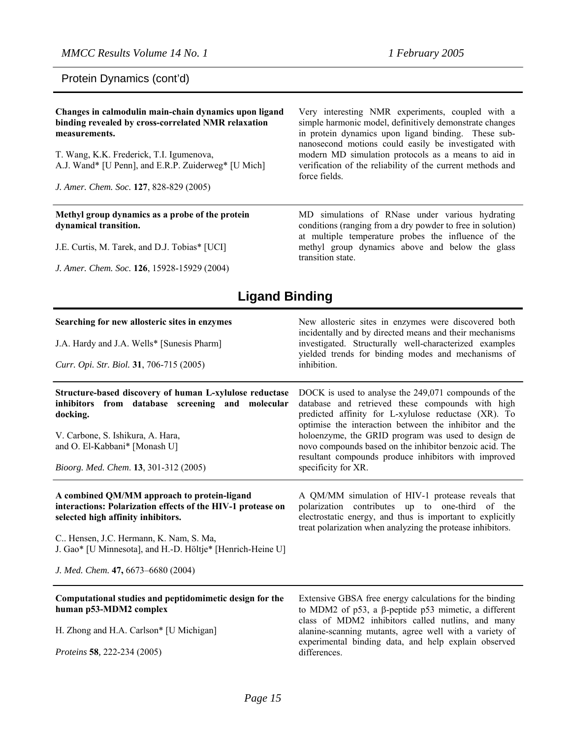Protein Dynamics (cont'd)

| Changes in calmodulin main-chain dynamics upon ligand<br>binding revealed by cross-correlated NMR relaxation<br>measurements.<br>T. Wang, K.K. Frederick, T.I. Igumenova,<br>A.J. Wand* [U Penn], and E.R.P. Zuiderweg* [U Mich]<br>J. Amer. Chem. Soc. 127, 828-829 (2005) | Very interesting NMR experiments, coupled with a<br>simple harmonic model, definitively demonstrate changes<br>in protein dynamics upon ligand binding. These sub-<br>nanosecond motions could easily be investigated with<br>modern MD simulation protocols as a means to aid in<br>verification of the reliability of the current methods and<br>force fields. |
|-----------------------------------------------------------------------------------------------------------------------------------------------------------------------------------------------------------------------------------------------------------------------------|------------------------------------------------------------------------------------------------------------------------------------------------------------------------------------------------------------------------------------------------------------------------------------------------------------------------------------------------------------------|
| Methyl group dynamics as a probe of the protein<br>dynamical transition.                                                                                                                                                                                                    | MD simulations of RNase under various hydrating<br>conditions (ranging from a dry powder to free in solution)<br>$\mathbf{1}$ , and $\mathbf{1}$ , and $\mathbf{1}$ , and $\mathbf{1}$ , and $\mathbf{1}$ , and $\mathbf{1}$ , and $\mathbf{1}$                                                                                                                  |

J.E. Curtis, M. Tarek, and D.J. Tobias\* [UCI]

*J. Amer. Chem. Soc.* **126**, 15928-15929 (2004)

at multiple temperature probes the influence of the methyl group dynamics above and below the glass transition state.

## **Ligand Binding**

| Searching for new allosteric sites in enzymes<br>J.A. Hardy and J.A. Wells* [Sunesis Pharm]<br>Curr. Opi. Str. Biol. 31, 706-715 (2005)                                                                                                                                                        | New allosteric sites in enzymes were discovered both<br>incidentally and by directed means and their mechanisms<br>investigated. Structurally well-characterized examples<br>yielded trends for binding modes and mechanisms of<br>inhibition.                                                                                                                                                                             |
|------------------------------------------------------------------------------------------------------------------------------------------------------------------------------------------------------------------------------------------------------------------------------------------------|----------------------------------------------------------------------------------------------------------------------------------------------------------------------------------------------------------------------------------------------------------------------------------------------------------------------------------------------------------------------------------------------------------------------------|
| Structure-based discovery of human L-xylulose reductase<br>inhibitors from database screening and molecular<br>docking.<br>V. Carbone, S. Ishikura, A. Hara,<br>and O. El-Kabbani* [Monash U]<br>Bioorg. Med. Chem. 13, 301-312 (2005)                                                         | DOCK is used to analyse the 249,071 compounds of the<br>database and retrieved these compounds with high<br>predicted affinity for L-xylulose reductase (XR). To<br>optimise the interaction between the inhibitor and the<br>holoenzyme, the GRID program was used to design de<br>novo compounds based on the inhibitor benzoic acid. The<br>resultant compounds produce inhibitors with improved<br>specificity for XR. |
| A combined QM/MM approach to protein-ligand<br>interactions: Polarization effects of the HIV-1 protease on<br>selected high affinity inhibitors.<br>C Hensen, J.C. Hermann, K. Nam, S. Ma,<br>J. Gao* [U Minnesota], and H.-D. Höltje* [Henrich-Heine U]<br>J. Med. Chem. 47, 6673-6680 (2004) | A QM/MM simulation of HIV-1 protease reveals that<br>polarization contributes up to one-third of the<br>electrostatic energy, and thus is important to explicitly<br>treat polarization when analyzing the protease inhibitors.                                                                                                                                                                                            |
| Computational studies and peptidomimetic design for the<br>human p53-MDM2 complex<br>H. Zhong and H.A. Carlson* [U Michigan]<br><i>Proteins</i> 58, 222-234 (2005)                                                                                                                             | Extensive GBSA free energy calculations for the binding<br>to MDM2 of $p53$ , a $\beta$ -peptide $p53$ mimetic, a different<br>class of MDM2 inhibitors called nutlins, and many<br>alanine-scanning mutants, agree well with a variety of<br>experimental binding data, and help explain observed<br>differences.                                                                                                         |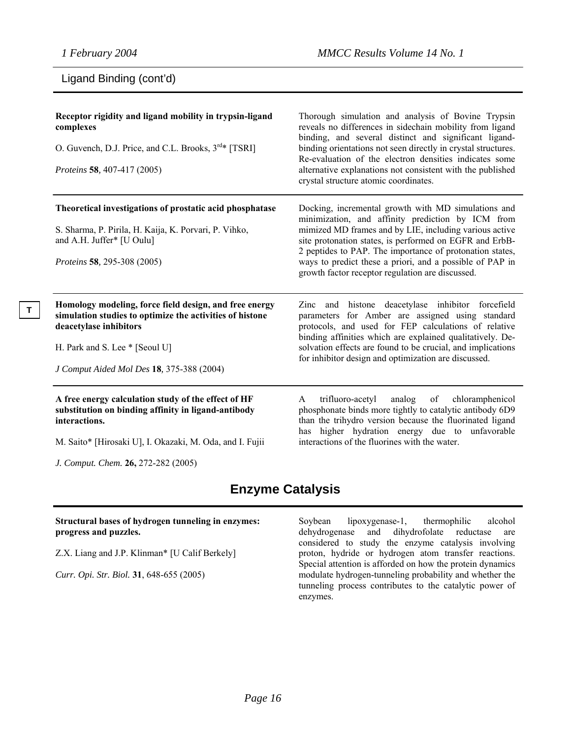**T** 

## Ligand Binding (cont'd)

| Receptor rigidity and ligand mobility in trypsin-ligand<br>complexes<br>O. Guvench, D.J. Price, and C.L. Brooks, 3 <sup>rd</sup> * [TSRI]<br>Proteins 58, 407-417 (2005)                                                           | Thorough simulation and analysis of Bovine Trypsin<br>reveals no differences in sidechain mobility from ligand<br>binding, and several distinct and significant ligand-<br>binding orientations not seen directly in crystal structures.<br>Re-evaluation of the electron densities indicates some<br>alternative explanations not consistent with the published<br>crystal structure atomic coordinates. |
|------------------------------------------------------------------------------------------------------------------------------------------------------------------------------------------------------------------------------------|-----------------------------------------------------------------------------------------------------------------------------------------------------------------------------------------------------------------------------------------------------------------------------------------------------------------------------------------------------------------------------------------------------------|
| Theoretical investigations of prostatic acid phosphatase<br>S. Sharma, P. Pirila, H. Kaija, K. Porvari, P. Vihko,<br>and A.H. Juffer* [U Oulu]<br>Proteins 58, 295-308 (2005)                                                      | Docking, incremental growth with MD simulations and<br>minimization, and affinity prediction by ICM from<br>mimized MD frames and by LIE, including various active<br>site protonation states, is performed on EGFR and ErbB-<br>2 peptides to PAP. The importance of protonation states,<br>ways to predict these a priori, and a possible of PAP in<br>growth factor receptor regulation are discussed. |
| Homology modeling, force field design, and free energy<br>simulation studies to optimize the activities of histone<br>deacetylase inhibitors<br>H. Park and S. Lee * [Seoul U]<br><i>J Comput Aided Mol Des</i> 18, 375-388 (2004) | Zinc and histone deacetylase inhibitor forcefield<br>parameters for Amber are assigned using standard<br>protocols, and used for FEP calculations of relative<br>binding affinities which are explained qualitatively. De-<br>solvation effects are found to be crucial, and implications<br>for inhibitor design and optimization are discussed.                                                         |
| A free energy calculation study of the effect of HF<br>substitution on binding affinity in ligand-antibody<br>interactions.<br>M. Saito* [Hirosaki U], I. Okazaki, M. Oda, and I. Fujii                                            | trifluoro-acetyl<br>analog<br>of<br>chloramphenicol<br>A<br>phosphonate binds more tightly to catalytic antibody 6D9<br>than the trihydro version because the fluorinated ligand<br>higher hydration energy due to unfavorable<br>has<br>interactions of the fluorines with the water.                                                                                                                    |

*J. Comput. Chem.* **26,** 272-282 (2005)

## **Enzyme Catalysis**

#### **Structural bases of hydrogen tunneling in enzymes: progress and puzzles.**

Z.X. Liang and J.P. Klinman\* [U Calif Berkely]

*Curr. Opi. Str. Biol.* **31**, 648-655 (2005)

Soybean lipoxygenase-1, thermophilic alcohol dehydrogenase and dihydrofolate reductase are considered to study the enzyme catalysis involving proton, hydride or hydrogen atom transfer reactions. Special attention is afforded on how the protein dynamics modulate hydrogen-tunneling probability and whether the tunneling process contributes to the catalytic power of enzymes.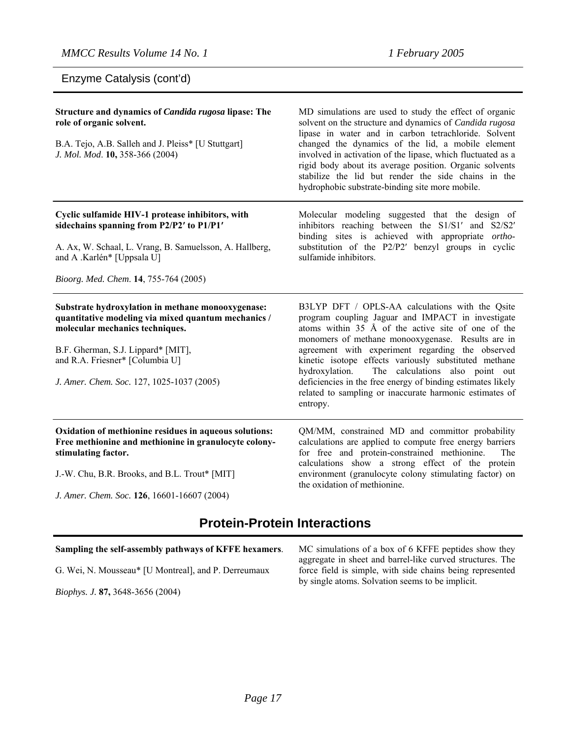Enzyme Catalysis (cont'd)

| Structure and dynamics of <i>Candida rugosa</i> lipase: The<br>role of organic solvent.<br>B.A. Tejo, A.B. Salleh and J. Pleiss* [U Stuttgart]<br>J. Mol. Mod. 10, 358-366 (2004)                                                                                 | MD simulations are used to study the effect of organic<br>solvent on the structure and dynamics of Candida rugosa<br>lipase in water and in carbon tetrachloride. Solvent<br>changed the dynamics of the lid, a mobile element<br>involved in activation of the lipase, which fluctuated as a<br>rigid body about its average position. Organic solvents<br>stabilize the lid but render the side chains in the<br>hydrophobic substrate-binding site more mobile.                                                      |
|-------------------------------------------------------------------------------------------------------------------------------------------------------------------------------------------------------------------------------------------------------------------|-------------------------------------------------------------------------------------------------------------------------------------------------------------------------------------------------------------------------------------------------------------------------------------------------------------------------------------------------------------------------------------------------------------------------------------------------------------------------------------------------------------------------|
| Cyclic sulfamide HIV-1 protease inhibitors, with<br>sidechains spanning from P2/P2' to P1/P1'<br>A. Ax, W. Schaal, L. Vrang, B. Samuelsson, A. Hallberg,<br>and A .Karlén* [Uppsala U]<br>Bioorg. Med. Chem. 14, 755-764 (2005)                                   | Molecular modeling suggested that the design of<br>inhibitors reaching between the S1/S1' and S2/S2'<br>binding sites is achieved with appropriate <i>ortho</i> -<br>substitution of the P2/P2' benzyl groups in cyclic<br>sulfamide inhibitors.                                                                                                                                                                                                                                                                        |
|                                                                                                                                                                                                                                                                   |                                                                                                                                                                                                                                                                                                                                                                                                                                                                                                                         |
| Substrate hydroxylation in methane monooxygenase:<br>quantitative modeling via mixed quantum mechanics /<br>molecular mechanics techniques.<br>B.F. Gherman, S.J. Lippard* [MIT],<br>and R.A. Friesner* [Columbia U]<br>J. Amer. Chem. Soc. 127, 1025-1037 (2005) | B3LYP DFT / OPLS-AA calculations with the Qsite<br>program coupling Jaguar and IMPACT in investigate<br>atoms within 35 Å of the active site of one of the<br>monomers of methane monooxygenase. Results are in<br>agreement with experiment regarding the observed<br>kinetic isotope effects variously substituted methane<br>The calculations also point out<br>hydroxylation.<br>deficiencies in the free energy of binding estimates likely<br>related to sampling or inaccurate harmonic estimates of<br>entropy. |
|                                                                                                                                                                                                                                                                   |                                                                                                                                                                                                                                                                                                                                                                                                                                                                                                                         |
| Oxidation of methionine residues in aqueous solutions:<br>Free methionine and methionine in granulocyte colony-<br>stimulating factor.                                                                                                                            | QM/MM, constrained MD and committor probability<br>calculations are applied to compute free energy barriers<br>for free and protein-constrained methionine.<br>The<br>calculations show a strong effect of the protein                                                                                                                                                                                                                                                                                                  |
| J.-W. Chu, B.R. Brooks, and B.L. Trout* [MIT]                                                                                                                                                                                                                     | environment (granulocyte colony stimulating factor) on                                                                                                                                                                                                                                                                                                                                                                                                                                                                  |

*J. Amer. Chem. Soc.* **126**, 16601-16607 (2004)

## **Protein-Protein Interactions**

#### **Sampling the self-assembly pathways of KFFE hexamers**.

G. Wei, N. Mousseau\* [U Montreal], and P. Derreumaux

*Biophys. J.* **87,** 3648-3656 (2004)

MC simulations of a box of 6 KFFE peptides show they aggregate in sheet and barrel-like curved structures. The force field is simple, with side chains being represented by single atoms. Solvation seems to be implicit.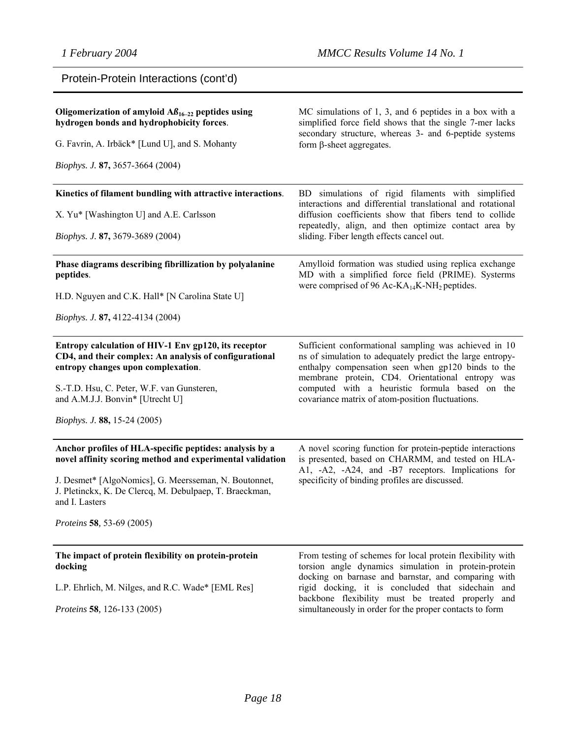| Protein-Protein Interactions (cont'd) |  |  |
|---------------------------------------|--|--|
|---------------------------------------|--|--|

| Oligomerization of amyloid $\mathbf{A}\beta_{16-22}$ peptides using<br>hydrogen bonds and hydrophobicity forces.<br>G. Favrin, A. Irbäck* [Lund U], and S. Mohanty<br>Biophys. J. 87, 3657-3664 (2004)                                                                                  | MC simulations of 1, 3, and 6 peptides in a box with a<br>simplified force field shows that the single 7-mer lacks<br>secondary structure, whereas 3- and 6-peptide systems<br>form $\beta$ -sheet aggregates.                                                                                                                                 |
|-----------------------------------------------------------------------------------------------------------------------------------------------------------------------------------------------------------------------------------------------------------------------------------------|------------------------------------------------------------------------------------------------------------------------------------------------------------------------------------------------------------------------------------------------------------------------------------------------------------------------------------------------|
| Kinetics of filament bundling with attractive interactions.<br>X. Yu* [Washington U] and A.E. Carlsson<br><i>Biophys. J.</i> 87, 3679-3689 (2004)                                                                                                                                       | BD simulations of rigid filaments with simplified<br>interactions and differential translational and rotational<br>diffusion coefficients show that fibers tend to collide<br>repeatedly, align, and then optimize contact area by<br>sliding. Fiber length effects cancel out.                                                                |
| Phase diagrams describing fibrillization by polyalanine<br>peptides.<br>H.D. Nguyen and C.K. Hall* [N Carolina State U]<br>Biophys. J. 87, 4122-4134 (2004)                                                                                                                             | Amylloid formation was studied using replica exchange<br>MD with a simplified force field (PRIME). Systerms<br>were comprised of 96 Ac- $KA_{14}K-NH_2$ peptides.                                                                                                                                                                              |
| Entropy calculation of HIV-1 Env gp120, its receptor<br>CD4, and their complex: An analysis of configurational<br>entropy changes upon complexation.<br>S.-T.D. Hsu, C. Peter, W.F. van Gunsteren,<br>and A.M.J.J. Bonvin* [Utrecht U]<br><i>Biophys. J.</i> 88, 15-24 (2005)           | Sufficient conformational sampling was achieved in 10<br>ns of simulation to adequately predict the large entropy-<br>enthalpy compensation seen when gp120 binds to the<br>membrane protein, CD4. Orientational entropy was<br>computed with a heuristic formula based on the<br>covariance matrix of atom-position fluctuations.             |
| Anchor profiles of HLA-specific peptides: analysis by a<br>novel affinity scoring method and experimental validation<br>J. Desmet* [AlgoNomics], G. Meersseman, N. Boutonnet,<br>J. Pletinckx, K. De Clercq, M. Debulpaep, T. Braeckman,<br>and I. Lasters<br>Proteins 58, 53-69 (2005) | A novel scoring function for protein-peptide interactions<br>is presented, based on CHARMM, and tested on HLA-<br>A1, -A2, -A24, and -B7 receptors. Implications for<br>specificity of binding profiles are discussed.                                                                                                                         |
| The impact of protein flexibility on protein-protein<br>docking<br>L.P. Ehrlich, M. Nilges, and R.C. Wade* [EML Res]<br>Proteins 58, 126-133 (2005)                                                                                                                                     | From testing of schemes for local protein flexibility with<br>torsion angle dynamics simulation in protein-protein<br>docking on barnase and barnstar, and comparing with<br>rigid docking, it is concluded that sidechain and<br>backbone flexibility must be treated properly and<br>simultaneously in order for the proper contacts to form |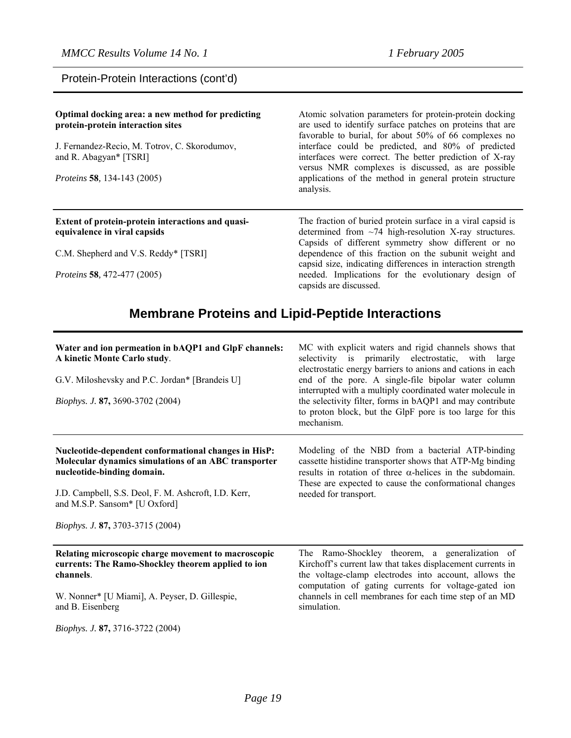Protein-Protein Interactions (cont'd)

| Optimal docking area: a new method for predicting<br>protein-protein interaction sites | Atomic solvation parameters for protein-protein docking<br>are used to identify surface patches on proteins that are<br>favorable to burial, for about 50% of 66 complexes no    |
|----------------------------------------------------------------------------------------|----------------------------------------------------------------------------------------------------------------------------------------------------------------------------------|
| J. Fernandez-Recio, M. Totrov, C. Skorodumov,<br>and R. Abagyan* [TSRI]                | interface could be predicted, and 80% of predicted<br>interfaces were correct. The better prediction of X-ray<br>versus NMR complexes is discussed, as are possible              |
| <i>Proteins</i> 58, 134-143 (2005)                                                     | applications of the method in general protein structure<br>analysis.                                                                                                             |
|                                                                                        |                                                                                                                                                                                  |
| Extent of protein-protein interactions and quasi-<br>equivalence in viral capsids      | The fraction of buried protein surface in a viral capsid is<br>determined from $\sim$ 74 high-resolution X-ray structures.<br>Capsids of different symmetry show different or no |
| C.M. Shepherd and V.S. Reddy* [TSRI]                                                   | dependence of this fraction on the subunit weight and<br>capsid size, indicating differences in interaction strength                                                             |

# **Membrane Proteins and Lipid-Peptide Interactions**

| Water and ion permeation in bAQP1 and GlpF channels:<br>A kinetic Monte Carlo study.<br>G.V. Miloshevsky and P.C. Jordan* [Brandeis U]     | MC with explicit waters and rigid channels shows that<br>selectivity is primarily electrostatic, with large<br>electrostatic energy barriers to anions and cations in each<br>end of the pore. A single-file bipolar water column          |
|--------------------------------------------------------------------------------------------------------------------------------------------|--------------------------------------------------------------------------------------------------------------------------------------------------------------------------------------------------------------------------------------------|
|                                                                                                                                            | interrupted with a multiply coordinated water molecule in                                                                                                                                                                                  |
| Biophys. J. 87, 3690-3702 (2004)                                                                                                           | the selectivity filter, forms in bAQP1 and may contribute<br>to proton block, but the GlpF pore is too large for this<br>mechanism.                                                                                                        |
| Nucleotide-dependent conformational changes in HisP:<br>Molecular dynamics simulations of an ABC transporter<br>nucleotide-binding domain. | Modeling of the NBD from a bacterial ATP-binding<br>cassette histidine transporter shows that ATP-Mg binding<br>results in rotation of three $\alpha$ -helices in the subdomain.<br>These are expected to cause the conformational changes |
| J.D. Campbell, S.S. Deol, F. M. Ashcroft, I.D. Kerr,<br>and M.S.P. Sansom* [U Oxford]                                                      | needed for transport.                                                                                                                                                                                                                      |
| Biophys. J. 87, 3703-3715 (2004)                                                                                                           |                                                                                                                                                                                                                                            |
| Relating microscopic charge movement to macroscopic<br>currents: The Ramo-Shockley theorem applied to ion<br>channels.                     | The Ramo-Shockley theorem, a generalization of<br>Kirchoff's current law that takes displacement currents in<br>the voltage-clamp electrodes into account, allows the<br>computation of gating currents for voltage-gated ion              |
| W. Nonner* [U Miami], A. Peyser, D. Gillespie,<br>and B. Eisenberg                                                                         | channels in cell membranes for each time step of an MD<br>simulation.                                                                                                                                                                      |
| <i>Biophys. J.</i> 87, 3716-3722 (2004)                                                                                                    |                                                                                                                                                                                                                                            |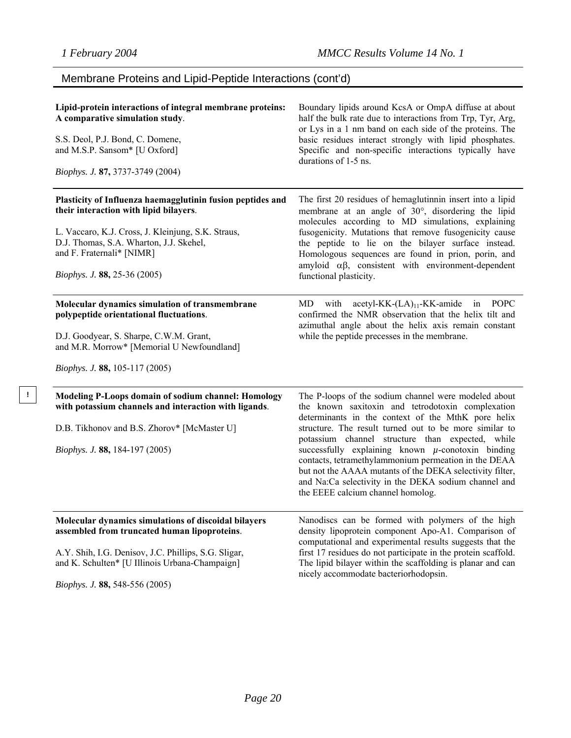**!** 

## Membrane Proteins and Lipid-Peptide Interactions (cont'd)

| Lipid-protein interactions of integral membrane proteins:<br>A comparative simulation study.<br>S.S. Deol, P.J. Bond, C. Domene,<br>and M.S.P. Sansom* [U Oxford]<br>Biophys. J. 87, 3737-3749 (2004)                                                              | Boundary lipids around KcsA or OmpA diffuse at about<br>half the bulk rate due to interactions from Trp, Tyr, Arg,<br>or Lys in a 1 nm band on each side of the proteins. The<br>basic residues interact strongly with lipid phosphates.<br>Specific and non-specific interactions typically have<br>durations of 1-5 ns.                                                                                                                                                                                                                                |
|--------------------------------------------------------------------------------------------------------------------------------------------------------------------------------------------------------------------------------------------------------------------|----------------------------------------------------------------------------------------------------------------------------------------------------------------------------------------------------------------------------------------------------------------------------------------------------------------------------------------------------------------------------------------------------------------------------------------------------------------------------------------------------------------------------------------------------------|
| Plasticity of Influenza haemagglutinin fusion peptides and<br>their interaction with lipid bilayers.<br>L. Vaccaro, K.J. Cross, J. Kleinjung, S.K. Straus,<br>D.J. Thomas, S.A. Wharton, J.J. Skehel,<br>and F. Fraternali* [NIMR]<br>Biophys. J. 88, 25-36 (2005) | The first 20 residues of hemaglutinnin insert into a lipid<br>membrane at an angle of 30°, disordering the lipid<br>molecules according to MD simulations, explaining<br>fusogenicity. Mutations that remove fusogenicity cause<br>the peptide to lie on the bilayer surface instead.<br>Homologous sequences are found in prion, porin, and<br>amyloid $\alpha\beta$ , consistent with environment-dependent<br>functional plasticity.                                                                                                                  |
| Molecular dynamics simulation of transmembrane<br>polypeptide orientational fluctuations.<br>D.J. Goodyear, S. Sharpe, C.W.M. Grant,<br>and M.R. Morrow* [Memorial U Newfoundland]<br><i>Biophys. J.</i> 88, 105-117 (2005)                                        | MD.<br>with acetyl-KK- $(LA)_{11}$ -KK-amide<br><b>POPC</b><br>in<br>confirmed the NMR observation that the helix tilt and<br>azimuthal angle about the helix axis remain constant<br>while the peptide precesses in the membrane.                                                                                                                                                                                                                                                                                                                       |
| Modeling P-Loops domain of sodium channel: Homology<br>with potassium channels and interaction with ligands.<br>D.B. Tikhonov and B.S. Zhorov* [McMaster U]<br><i>Biophys. J.</i> 88, 184-197 (2005)                                                               | The P-loops of the sodium channel were modeled about<br>the known saxitoxin and tetrodotoxin complexation<br>determinants in the context of the MthK pore helix<br>structure. The result turned out to be more similar to<br>potassium channel structure than expected, while<br>successfully explaining known $\mu$ -conotoxin binding<br>contacts, tetramethylammonium permeation in the DEAA<br>but not the AAAA mutants of the DEKA selectivity filter,<br>and Na:Ca selectivity in the DEKA sodium channel and<br>the EEEE calcium channel homolog. |
| Molecular dynamics simulations of discoidal bilayers<br>assembled from truncated human lipoproteins.<br>A.Y. Shih, I.G. Denisov, J.C. Phillips, S.G. Sligar,<br>and K. Schulten* [U Illinois Urbana-Champaign]<br>Biophys. J. 88, 548-556 (2005)                   | Nanodiscs can be formed with polymers of the high<br>density lipoprotein component Apo-A1. Comparison of<br>computational and experimental results suggests that the<br>first 17 residues do not participate in the protein scaffold.<br>The lipid bilayer within the scaffolding is planar and can<br>nicely accommodate bacteriorhodopsin.                                                                                                                                                                                                             |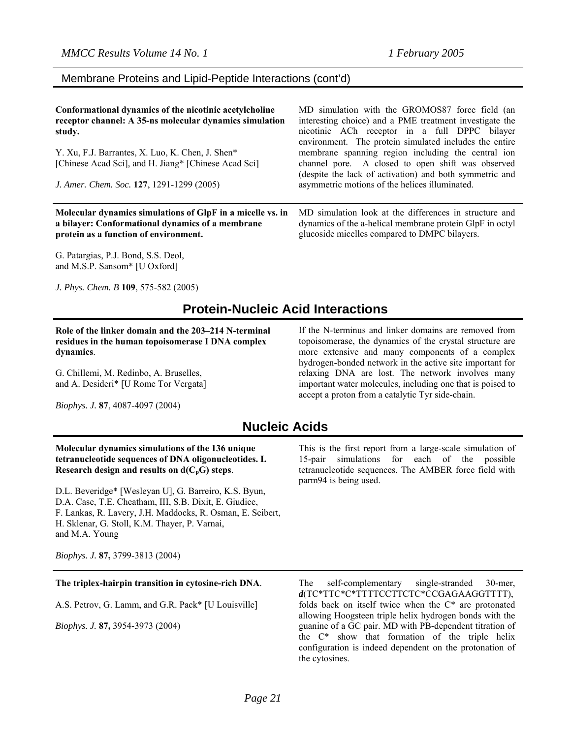#### Membrane Proteins and Lipid-Peptide Interactions (cont'd)

| Conformational dynamics of the nicotinic acetylcholine<br>receptor channel: A 35-ns molecular dynamics simulation<br>study.<br>Y. Xu, F.J. Barrantes, X. Luo, K. Chen, J. Shen*<br>[Chinese Acad Sci], and H. Jiang* [Chinese Acad Sci]<br>J. Amer. Chem. Soc. 127, 1291-1299 (2005) | MD simulation with the GROMOS87 force field (an<br>interesting choice) and a PME treatment investigate the<br>nicotinic ACh receptor in a full DPPC bilayer<br>environment. The protein simulated includes the entire<br>membrane spanning region including the central ion<br>channel pore. A closed to open shift was observed<br>(despite the lack of activation) and both symmetric and<br>asymmetric motions of the helices illuminated. |
|--------------------------------------------------------------------------------------------------------------------------------------------------------------------------------------------------------------------------------------------------------------------------------------|-----------------------------------------------------------------------------------------------------------------------------------------------------------------------------------------------------------------------------------------------------------------------------------------------------------------------------------------------------------------------------------------------------------------------------------------------|
| Molecular dynamics simulations of GlpF in a micelle vs. in                                                                                                                                                                                                                           | MD simulation look at the differences in structure and                                                                                                                                                                                                                                                                                                                                                                                        |
| a bilayer: Conformational dynamics of a membrane                                                                                                                                                                                                                                     | dynamics of the a-helical membrane protein GlpF in octyl                                                                                                                                                                                                                                                                                                                                                                                      |
| protein as a function of environment.                                                                                                                                                                                                                                                | glucoside micelles compared to DMPC bilayers.                                                                                                                                                                                                                                                                                                                                                                                                 |

G. Patargias, P.J. Bond, S.S. Deol, and M.S.P. Sansom\* [U Oxford]

*J. Phys. Chem. B* **109**, 575-582 (2005)

## **Protein-Nucleic Acid Interactions**

**Role of the linker domain and the 203–214 N-terminal residues in the human topoisomerase I DNA complex dynamics**.

G. Chillemi, M. Redinbo, A. Bruselles, and A. Desideri\* [U Rome Tor Vergata]

*Biophys. J.* **87**, 4087-4097 (2004)

#### If the N-terminus and linker domains are removed from topoisomerase, the dynamics of the crystal structure are more extensive and many components of a complex hydrogen-bonded network in the active site important for relaxing DNA are lost. The network involves many important water molecules, including one that is poised to accept a proton from a catalytic Tyr side-chain.

## **Nucleic Acids**

#### **Molecular dynamics simulations of the 136 unique tetranucleotide sequences of DNA oligonucleotides. I. Research design and results on**  $d(C_pG)$  **steps.**

D.L. Beveridge\* [Wesleyan U], G. Barreiro, K.S. Byun, D.A. Case, T.E. Cheatham, III, S.B. Dixit, E. Giudice, F. Lankas, R. Lavery, J.H. Maddocks, R. Osman, E. Seibert, H. Sklenar, G. Stoll, K.M. Thayer, P. Varnai, and M.A. Young

*Biophys. J.* **87,** 3799-3813 (2004)

#### **The triplex-hairpin transition in cytosine-rich DNA**.

A.S. Petrov, G. Lamm, and G.R. Pack\* [U Louisville]

*Biophys. J.* **87,** 3954-3973 (2004)

This is the first report from a large-scale simulation of 15-pair simulations for each of the possible tetranucleotide sequences. The AMBER force field with parm94 is being used.

The self-complementary single-stranded 30-mer, *d*(TC\*TTC\*C\*TTTTCCTTCTC\*CCGAGAAGGTTTT), folds back on itself twice when the C\* are protonated allowing Hoogsteen triple helix hydrogen bonds with the guanine of a GC pair. MD with PB-dependent titration of the C\* show that formation of the triple helix configuration is indeed dependent on the protonation of the cytosines.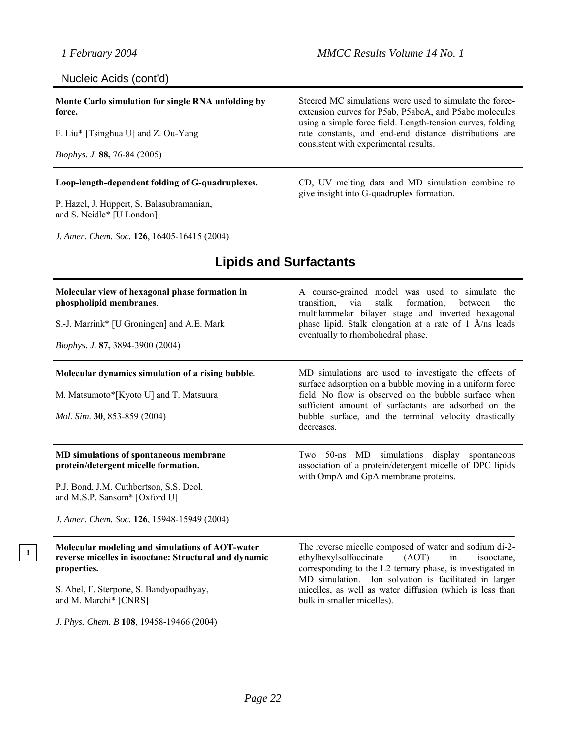#### Nucleic Acids (cont'd)

**Monte Carlo simulation for single RNA unfolding by force.** 

F. Liu\* [Tsinghua U] and Z. Ou-Yang

*Biophys. J.* **88,** 76-84 (2005)

**!**

#### **Loop-length-dependent folding of G-quadruplexes.**

P. Hazel, J. Huppert, S. Balasubramanian, and S. Neidle\* [U London]

*J. Amer. Chem. Soc.* **126**, 16405-16415 (2004)

Steered MC simulations were used to simulate the forceextension curves for P5ab, P5abcA, and P5abc molecules using a simple force field. Length-tension curves, folding rate constants, and end-end distance distributions are consistent with experimental results.

CD, UV melting data and MD simulation combine to give insight into G-quadruplex formation.

#### **Molecular view of hexagonal phase formation in phospholipid membranes**. S.-J. Marrink\* [U Groningen] and A.E. Mark *Biophys. J.* **87,** 3894-3900 (2004) A course-grained model was used to simulate the transition, via stalk formation, between the multilammelar bilayer stage and inverted hexagonal phase lipid. Stalk elongation at a rate of 1 Å/ns leads eventually to rhombohedral phase. **Molecular dynamics simulation of a rising bubble.**  M. Matsumoto\*[Kyoto U] and T. Matsuura *Mol. Sim.* **30**, 853-859 (2004) MD simulations are used to investigate the effects of surface adsorption on a bubble moving in a uniform force field. No flow is observed on the bubble surface when sufficient amount of surfactants are adsorbed on the bubble surface, and the terminal velocity drastically decreases. **MD simulations of spontaneous membrane protein/detergent micelle formation.** P.J. Bond, J.M. Cuthbertson, S.S. Deol, and M.S.P. Sansom\* [Oxford U] *J. Amer. Chem. Soc.* **126**, 15948-15949 (2004) Two 50-ns MD simulations display spontaneous association of a protein/detergent micelle of DPC lipids with OmpA and GpA membrane proteins. **Molecular modeling and simulations of AOT-water reverse micelles in isooctane: Structural and dynamic properties.** S. Abel, F. Sterpone, S. Bandyopadhyay, and M. Marchi\* [CNRS] *J. Phys. Chem. B* **108**, 19458-19466 (2004) The reverse micelle composed of water and sodium di-2 ethylhexylsolfoccinate (AOT) in isooctane, corresponding to the L2 ternary phase, is investigated in MD simulation. Ion solvation is facilitated in larger micelles, as well as water diffusion (which is less than bulk in smaller micelles).

## **Lipids and Surfactants**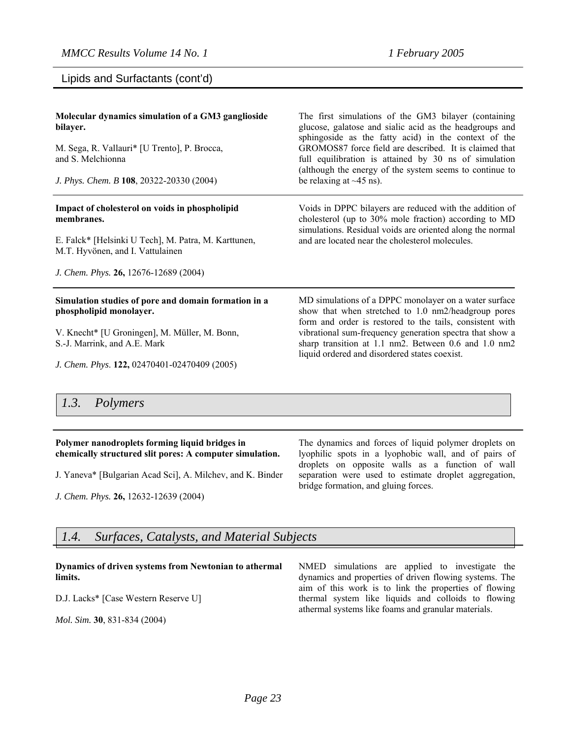Lipids and Surfactants (cont'd)

| Molecular dynamics simulation of a GM3 ganglioside<br>bilayer.<br>M. Sega, R. Vallauri* [U Trento], P. Brocca,<br>and S. Melchionna<br>J. Phys. Chem. B 108, 20322-20330 (2004)                                  | The first simulations of the GM3 bilayer (containing<br>glucose, galatose and sialic acid as the headgroups and<br>sphingoside as the fatty acid) in the context of the<br>GROMOS87 force field are described. It is claimed that<br>full equilibration is attained by 30 ns of simulation<br>(although the energy of the system seems to continue to<br>be relaxing at $\sim$ 45 ns). |
|------------------------------------------------------------------------------------------------------------------------------------------------------------------------------------------------------------------|----------------------------------------------------------------------------------------------------------------------------------------------------------------------------------------------------------------------------------------------------------------------------------------------------------------------------------------------------------------------------------------|
| Impact of cholesterol on voids in phospholipid<br>membranes.<br>E. Falck* [Helsinki U Tech], M. Patra, M. Karttunen,<br>M.T. Hyvönen, and I. Vattulainen<br>J. Chem. Phys. 26, 12676-12689 (2004)                | Voids in DPPC bilayers are reduced with the addition of<br>cholesterol (up to 30% mole fraction) according to MD<br>simulations. Residual voids are oriented along the normal<br>and are located near the cholesterol molecules.                                                                                                                                                       |
| Simulation studies of pore and domain formation in a<br>phospholipid monolayer.<br>V. Knecht* [U Groningen], M. Müller, M. Bonn,<br>S.-J. Marrink, and A.E. Mark<br>J. Chem. Phys. 122, 02470401-02470409 (2005) | MD simulations of a DPPC monolayer on a water surface<br>show that when stretched to 1.0 nm2/headgroup pores<br>form and order is restored to the tails, consistent with<br>vibrational sum-frequency generation spectra that show a<br>sharp transition at 1.1 nm2. Between 0.6 and 1.0 nm2<br>liquid ordered and disordered states coexist.                                          |

#### *1.3. Polymers*

#### **Polymer nanodroplets forming liquid bridges in chemically structured slit pores: A computer simulation.**

J. Yaneva\* [Bulgarian Acad Sci], A. Milchev, and K. Binder

*J. Chem. Phys.* **26,** 12632-12639 (2004)

The dynamics and forces of liquid polymer droplets on lyophilic spots in a lyophobic wall, and of pairs of droplets on opposite walls as a function of wall separation were used to estimate droplet aggregation, bridge formation, and gluing forces.

## *1.4. Surfaces, Catalysts, and Material Subjects*

#### **Dynamics of driven systems from Newtonian to athermal limits.**

D.J. Lacks\* [Case Western Reserve U]

*Mol. Sim.* **30**, 831-834 (2004)

NMED simulations are applied to investigate the dynamics and properties of driven flowing systems. The aim of this work is to link the properties of flowing thermal system like liquids and colloids to flowing athermal systems like foams and granular materials.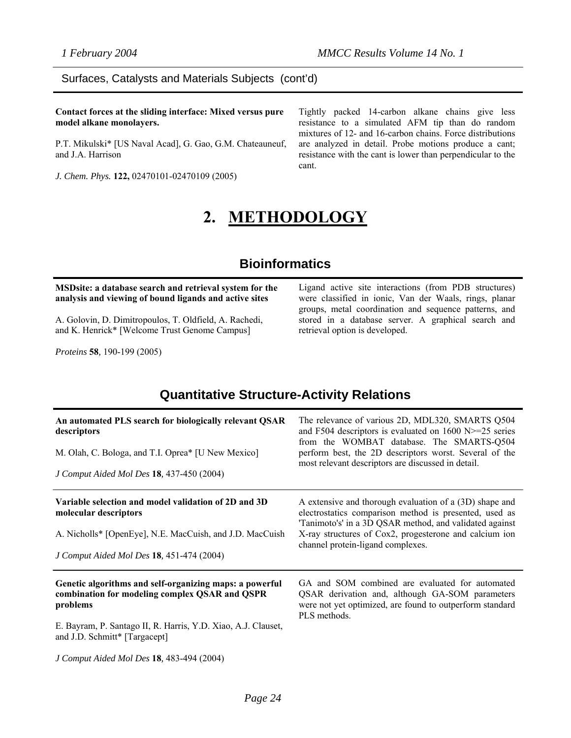#### Surfaces, Catalysts and Materials Subjects (cont'd)

**Contact forces at the sliding interface: Mixed versus pure model alkane monolayers.** 

P.T. Mikulski\* [US Naval Acad], G. Gao, G.M. Chateauneuf, and J.A. Harrison

*J. Chem. Phys.* **122,** 02470101-02470109 (2005)

Tightly packed 14-carbon alkane chains give less resistance to a simulated AFM tip than do random mixtures of 12- and 16-carbon chains. Force distributions are analyzed in detail. Probe motions produce a cant; resistance with the cant is lower than perpendicular to the cant.

# **2. METHODOLOGY**

## **Bioinformatics**

#### **MSDsite: a database search and retrieval system for the analysis and viewing of bound ligands and active sites**

A. Golovin, D. Dimitropoulos, T. Oldfield, A. Rachedi, and K. Henrick\* [Welcome Trust Genome Campus]

*Proteins* **58***,* 190-199 (2005)

Ligand active site interactions (from PDB structures) were classified in ionic, Van der Waals, rings, planar groups, metal coordination and sequence patterns, and stored in a database server. A graphical search and retrieval option is developed.

## **Quantitative Structure-Activity Relations**

| An automated PLS search for biologically relevant QSAR<br>descriptors<br>M. Olah, C. Bologa, and T.I. Oprea* [U New Mexico]<br>J Comput Aided Mol Des 18, 437-450 (2004)                                                                                             | The relevance of various 2D, MDL320, SMARTS Q504<br>and F504 descriptors is evaluated on 1600 N $\ge$ =25 series<br>from the WOMBAT database. The SMARTS-Q504<br>perform best, the 2D descriptors worst. Several of the<br>most relevant descriptors are discussed in detail. |
|----------------------------------------------------------------------------------------------------------------------------------------------------------------------------------------------------------------------------------------------------------------------|-------------------------------------------------------------------------------------------------------------------------------------------------------------------------------------------------------------------------------------------------------------------------------|
| Variable selection and model validation of 2D and 3D<br>molecular descriptors<br>A. Nicholls* [OpenEye], N.E. MacCuish, and J.D. MacCuish<br>J Comput Aided Mol Des 18, 451-474 (2004)                                                                               | A extensive and thorough evaluation of a (3D) shape and<br>electrostatics comparison method is presented, used as<br>Tanimoto's' in a 3D QSAR method, and validated against<br>X-ray structures of Cox2, progesterone and calcium ion<br>channel protein-ligand complexes.    |
| Genetic algorithms and self-organizing maps: a powerful<br>combination for modeling complex QSAR and QSPR<br>problems<br>E. Bayram, P. Santago II, R. Harris, Y.D. Xiao, A.J. Clauset,<br>and J.D. Schmitt* [Targacept]<br>J Comput Aided Mol Des 18, 483-494 (2004) | GA and SOM combined are evaluated for automated<br>QSAR derivation and, although GA-SOM parameters<br>were not yet optimized, are found to outperform standard<br>PLS methods.                                                                                                |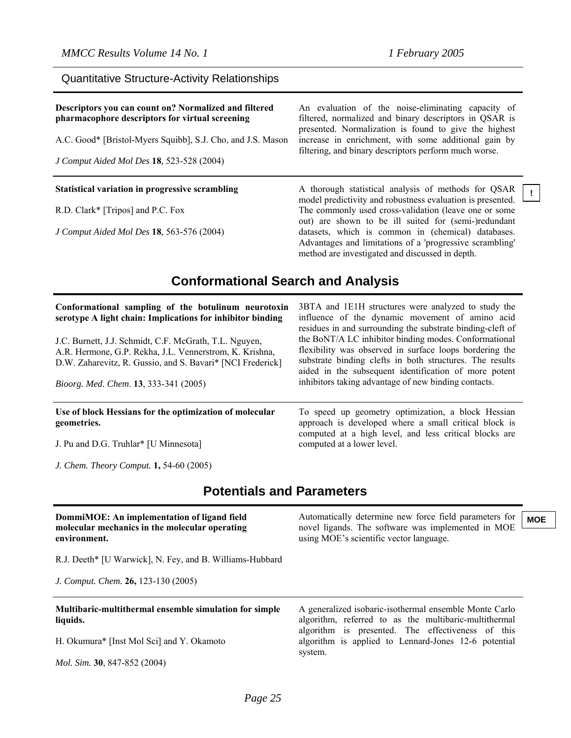**!**

| Descriptors you can count on? Normalized and filtered<br>pharmacophore descriptors for virtual screening<br>A.C. Good* [Bristol-Myers Squibb], S.J. Cho, and J.S. Mason<br>J Comput Aided Mol Des 18, 523-528 (2004) | An evaluation of the noise-eliminating capacity of<br>filtered, normalized and binary descriptors in QSAR is<br>presented. Normalization is found to give the highest<br>increase in enrichment, with some additional gain by<br>filtering, and binary descriptors perform much worse. |
|----------------------------------------------------------------------------------------------------------------------------------------------------------------------------------------------------------------------|----------------------------------------------------------------------------------------------------------------------------------------------------------------------------------------------------------------------------------------------------------------------------------------|
| Statistical variation in progressive scrambling                                                                                                                                                                      | A thorough statistical analysis of methods for QSAR<br>model predictivity and robustness evaluation is presented.                                                                                                                                                                      |
| R.D. Clark* [Tripos] and P.C. Fox                                                                                                                                                                                    | The commonly used cross-validation (leave one or some<br>out) are shown to be ill suited for (semi-)redundant                                                                                                                                                                          |
| J Comput Aided Mol Des 18, 563-576 (2004)                                                                                                                                                                            | datasets, which is common in (chemical) databases.<br>Advantages and limitations of a 'progressive scrambling'                                                                                                                                                                         |

#### Quantitative Structure-Activity Relationships

## **Conformational Search and Analysis**

| Conformational sampling of the botulinum neurotoxin<br>serotype A light chain: Implications for inhibitor binding<br>J.C. Burnett, J.J. Schmidt, C.F. McGrath, T.L. Nguyen,<br>A.R. Hermone, G.P. Rekha, J.L. Vennerstrom, K. Krishna,<br>D.W. Zaharevitz, R. Gussio, and S. Bavari* [NCI Frederick]<br>Bioorg. Med. Chem. 13, 333-341 (2005) | 3BTA and 1E1H structures were analyzed to study the<br>influence of the dynamic movement of amino acid<br>residues in and surrounding the substrate binding-cleft of<br>the BoNT/A LC inhibitor binding modes. Conformational<br>flexibility was observed in surface loops bordering the<br>substrate binding clefts in both structures. The results<br>aided in the subsequent identification of more potent<br>inhibitors taking advantage of new binding contacts. |  |
|-----------------------------------------------------------------------------------------------------------------------------------------------------------------------------------------------------------------------------------------------------------------------------------------------------------------------------------------------|-----------------------------------------------------------------------------------------------------------------------------------------------------------------------------------------------------------------------------------------------------------------------------------------------------------------------------------------------------------------------------------------------------------------------------------------------------------------------|--|
| Use of block Hessians for the optimization of molecular<br>geometries.<br>J. Pu and D.G. Truhlar* [U Minnesota]                                                                                                                                                                                                                               | To speed up geometry optimization, a block Hessian<br>approach is developed where a small critical block is<br>computed at a high level, and less critical blocks are<br>computed at a lower level.                                                                                                                                                                                                                                                                   |  |
| J. Chem. Theory Comput. 1, 54-60 (2005)                                                                                                                                                                                                                                                                                                       |                                                                                                                                                                                                                                                                                                                                                                                                                                                                       |  |
| <b>Potentials and Parameters</b>                                                                                                                                                                                                                                                                                                              |                                                                                                                                                                                                                                                                                                                                                                                                                                                                       |  |
| DommiMOE: An implementation of ligand field<br>molecular mechanics in the molecular operating<br>environment.                                                                                                                                                                                                                                 | Automatically determine new force field parameters for<br><b>MOE</b><br>novel ligands. The software was implemented in MOE<br>using MOE's scientific vector language.                                                                                                                                                                                                                                                                                                 |  |
| R.J. Deeth* [U Warwick], N. Fey, and B. Williams-Hubbard                                                                                                                                                                                                                                                                                      |                                                                                                                                                                                                                                                                                                                                                                                                                                                                       |  |

*J. Comput. Chem.* **26,** 123-130 (2005)

**Multibaric-multithermal ensemble simulation for simple liquids.** 

H. Okumura\* [Inst Mol Sci] and Y. Okamoto

*Mol. Sim.* **30**, 847-852 (2004)

A generalized isobaric-isothermal ensemble Monte Carlo algorithm, referred to as the multibaric-multithermal algorithm is presented. The effectiveness of this algorithm is applied to Lennard-Jones 12-6 potential system.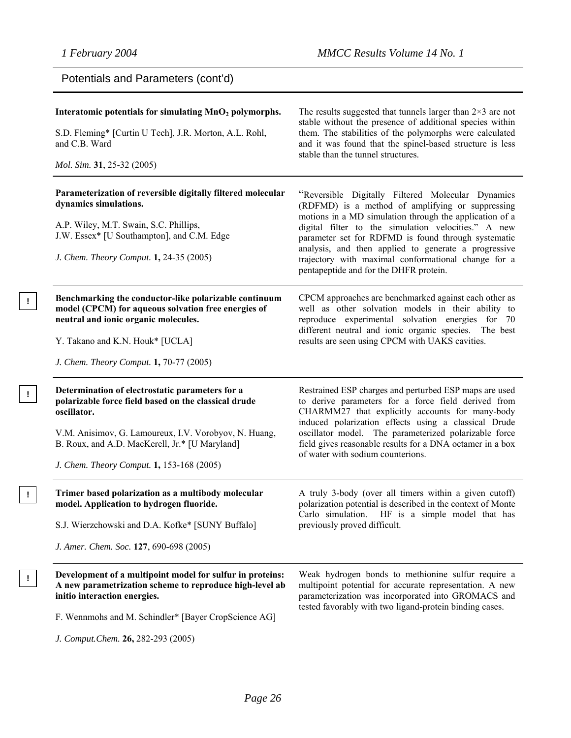**!**

**!**

**!**

| Potentials and Parameters (cont'd)                                                                                                                                                                                                                                             |                                                                                                                                                                                                                                                                                                                                                                                                                                         |
|--------------------------------------------------------------------------------------------------------------------------------------------------------------------------------------------------------------------------------------------------------------------------------|-----------------------------------------------------------------------------------------------------------------------------------------------------------------------------------------------------------------------------------------------------------------------------------------------------------------------------------------------------------------------------------------------------------------------------------------|
| Interatomic potentials for simulating MnO <sub>2</sub> polymorphs.<br>S.D. Fleming* [Curtin U Tech], J.R. Morton, A.L. Rohl,<br>and C.B. Ward<br>Mol. Sim. 31, 25-32 (2005)                                                                                                    | The results suggested that tunnels larger than $2\times 3$ are not<br>stable without the presence of additional species within<br>them. The stabilities of the polymorphs were calculated<br>and it was found that the spinel-based structure is less<br>stable than the tunnel structures.                                                                                                                                             |
| Parameterization of reversible digitally filtered molecular<br>dynamics simulations.<br>A.P. Wiley, M.T. Swain, S.C. Phillips,<br>J.W. Essex* [U Southampton], and C.M. Edge<br>J. Chem. Theory Comput. 1, 24-35 (2005)                                                        | "Reversible Digitally Filtered Molecular Dynamics<br>(RDFMD) is a method of amplifying or suppressing<br>motions in a MD simulation through the application of a<br>digital filter to the simulation velocities." A new<br>parameter set for RDFMD is found through systematic<br>analysis, and then applied to generate a progressive<br>trajectory with maximal conformational change for a<br>pentapeptide and for the DHFR protein. |
| Benchmarking the conductor-like polarizable continuum<br>model (CPCM) for aqueous solvation free energies of<br>neutral and ionic organic molecules.<br>Y. Takano and K.N. Houk* [UCLA]<br>J. Chem. Theory Comput. 1, 70-77 (2005)                                             | CPCM approaches are benchmarked against each other as<br>well as other solvation models in their ability to<br>reproduce experimental solvation energies for 70<br>different neutral and ionic organic species. The best<br>results are seen using CPCM with UAKS cavities.                                                                                                                                                             |
| Determination of electrostatic parameters for a<br>polarizable force field based on the classical drude<br>oscillator.<br>V.M. Anisimov, G. Lamoureux, I.V. Vorobyov, N. Huang,<br>B. Roux, and A.D. MacKerell, Jr.* [U Maryland]<br>J. Chem. Theory Comput. 1, 153-168 (2005) | Restrained ESP charges and perturbed ESP maps are used<br>to derive parameters for a force field derived from<br>CHARMM27 that explicitly accounts for many-body<br>induced polarization effects using a classical Drude<br>oscillator model. The parameterized polarizable force<br>field gives reasonable results for a DNA octamer in a box<br>of water with sodium counterions.                                                     |
| Trimer based polarization as a multibody molecular<br>model. Application to hydrogen fluoride.<br>S.J. Wierzchowski and D.A. Kofke* [SUNY Buffalo]<br>J. Amer. Chem. Soc. 127, 690-698 (2005)                                                                                  | A truly 3-body (over all timers within a given cutoff)<br>polarization potential is described in the context of Monte<br>Carlo simulation.<br>HF is a simple model that has<br>previously proved difficult.                                                                                                                                                                                                                             |
| Development of a multipoint model for sulfur in proteins:<br>A new parametrization scheme to reproduce high-level ab<br>initio interaction energies.<br>F. Wennmohs and M. Schindler* [Bayer CropScience AG]<br>J. Comput. Chem. 26, 282-293 (2005)                            | Weak hydrogen bonds to methionine sulfur require a<br>multipoint potential for accurate representation. A new<br>parameterization was incorporated into GROMACS and<br>tested favorably with two ligand-protein binding cases.                                                                                                                                                                                                          |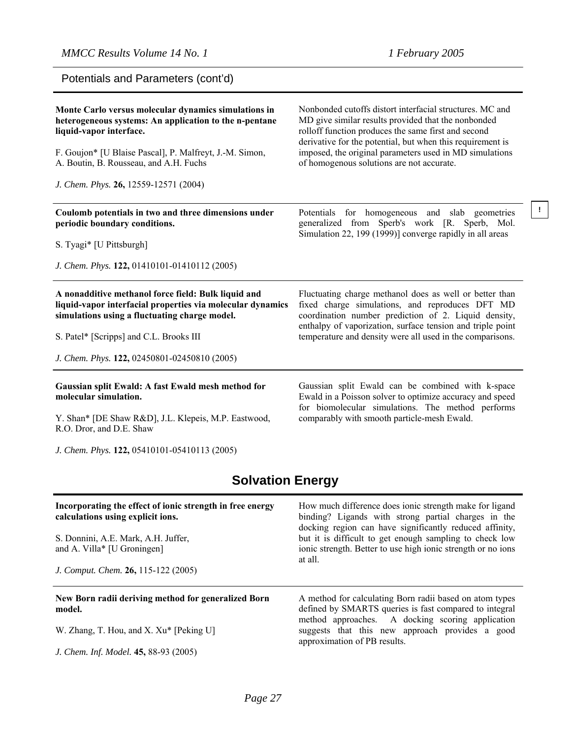Potentials and Parameters (cont'd)

| Monte Carlo versus molecular dynamics simulations in<br>heterogeneous systems: An application to the n-pentane<br>liquid-vapor interface.<br>F. Goujon* [U Blaise Pascal], P. Malfreyt, J.-M. Simon, | Nonbonded cutoffs distort interfacial structures. MC and<br>MD give similar results provided that the nonbonded<br>rolloff function produces the same first and second<br>derivative for the potential, but when this requirement is<br>imposed, the original parameters used in MD simulations |
|------------------------------------------------------------------------------------------------------------------------------------------------------------------------------------------------------|-------------------------------------------------------------------------------------------------------------------------------------------------------------------------------------------------------------------------------------------------------------------------------------------------|
| A. Boutin, B. Rousseau, and A.H. Fuchs                                                                                                                                                               | of homogenous solutions are not accurate.                                                                                                                                                                                                                                                       |
| J. Chem. Phys. 26, 12559-12571 (2004)                                                                                                                                                                |                                                                                                                                                                                                                                                                                                 |
| Coulomb potentials in two and three dimensions under<br>periodic boundary conditions.                                                                                                                | Potentials for homogeneous and slab geometries<br>generalized from Sperb's work [R. Sperb, Mol.<br>Simulation 22, 199 (1999)] converge rapidly in all areas                                                                                                                                     |
| S. Tyagi* [U Pittsburgh]                                                                                                                                                                             |                                                                                                                                                                                                                                                                                                 |
| J. Chem. Phys. 122, 01410101-01410112 (2005)                                                                                                                                                         |                                                                                                                                                                                                                                                                                                 |
| A nonadditive methanol force field: Bulk liquid and<br>liquid-vapor interfacial properties via molecular dynamics<br>simulations using a fluctuating charge model.                                   | Fluctuating charge methanol does as well or better than<br>fixed charge simulations, and reproduces DFT MD<br>coordination number prediction of 2. Liquid density,<br>enthalpy of vaporization, surface tension and triple point                                                                |
| S. Patel* [Scripps] and C.L. Brooks III                                                                                                                                                              | temperature and density were all used in the comparisons.                                                                                                                                                                                                                                       |
| J. Chem. Phys. 122, 02450801-02450810 (2005)                                                                                                                                                         |                                                                                                                                                                                                                                                                                                 |
| Gaussian split Ewald: A fast Ewald mesh method for<br>molecular simulation.                                                                                                                          | Gaussian split Ewald can be combined with k-space<br>Ewald in a Poisson solver to optimize accuracy and speed<br>for biomolecular simulations. The method performs                                                                                                                              |
| Y. Shan* [DE Shaw R&D], J.L. Klepeis, M.P. Eastwood,<br>R.O. Dror, and D.E. Shaw                                                                                                                     | comparably with smooth particle-mesh Ewald.                                                                                                                                                                                                                                                     |
| J. Chem. Phys. 122, 05410101-05410113 (2005)                                                                                                                                                         |                                                                                                                                                                                                                                                                                                 |

# **Solvation Energy**

| Incorporating the effect of ionic strength in free energy<br>calculations using explicit ions.<br>S. Donnini, A.E. Mark, A.H. Juffer,<br>and A. Villa* [U Groningen]<br>J. Comput. Chem. 26, 115-122 (2005) | How much difference does ionic strength make for ligand<br>binding? Ligands with strong partial charges in the<br>docking region can have significantly reduced affinity,<br>but it is difficult to get enough sampling to check low<br>ionic strength. Better to use high ionic strength or no ions<br>at all. |
|-------------------------------------------------------------------------------------------------------------------------------------------------------------------------------------------------------------|-----------------------------------------------------------------------------------------------------------------------------------------------------------------------------------------------------------------------------------------------------------------------------------------------------------------|
| New Born radii deriving method for generalized Born<br>model.                                                                                                                                               | A method for calculating Born radii based on atom types<br>defined by SMARTS queries is fast compared to integral                                                                                                                                                                                               |
| W. Zhang, T. Hou, and X. Xu* [Peking U]                                                                                                                                                                     | method approaches. A docking scoring application<br>suggests that this new approach provides a good<br>approximation of PB results.                                                                                                                                                                             |
| J. Chem. Inf. Model. 45, 88-93 (2005)                                                                                                                                                                       |                                                                                                                                                                                                                                                                                                                 |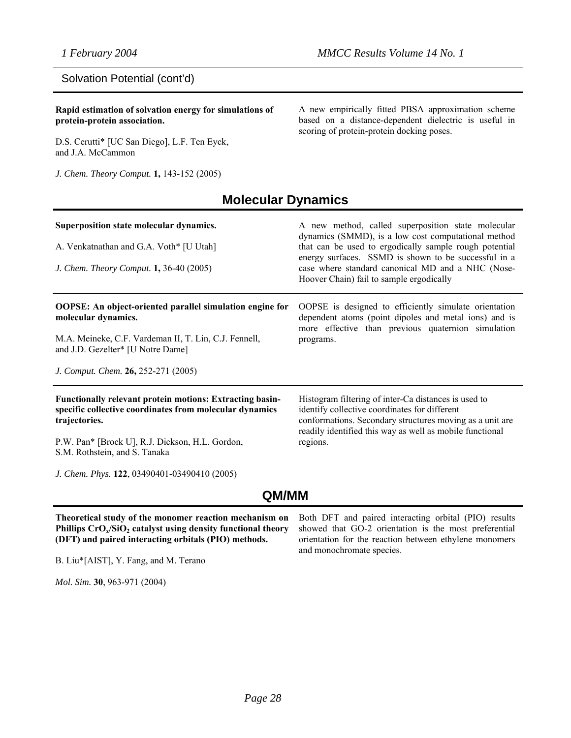#### Solvation Potential (cont'd)

**Rapid estimation of solvation energy for simulations of protein-protein association.**

D.S. Cerutti\* [UC San Diego], L.F. Ten Eyck, and J.A. McCammon

*J. Chem. Theory Comput.* **1,** 143-152 (2005)

A new empirically fitted PBSA approximation scheme based on a distance-dependent dielectric is useful in scoring of protein-protein docking poses.

## **Molecular Dynamics**

| Superposition state molecular dynamics.<br>A. Venkatnathan and G.A. Voth* [U Utah]<br>J. Chem. Theory Comput. 1, 36-40 (2005)               | A new method, called superposition state molecular<br>dynamics (SMMD), is a low cost computational method<br>that can be used to ergodically sample rough potential<br>energy surfaces. SSMD is shown to be successful in a<br>case where standard canonical MD and a NHC (Nose-<br>Hoover Chain) fail to sample ergodically |
|---------------------------------------------------------------------------------------------------------------------------------------------|------------------------------------------------------------------------------------------------------------------------------------------------------------------------------------------------------------------------------------------------------------------------------------------------------------------------------|
| OOPSE: An object-oriented parallel simulation engine for<br>molecular dynamics.<br>M.A. Meineke, C.F. Vardeman II, T. Lin, C.J. Fennell,    | OOPSE is designed to efficiently simulate orientation<br>dependent atoms (point dipoles and metal ions) and is<br>more effective than previous quaternion simulation<br>programs.                                                                                                                                            |
| and J.D. Gezelter* [U Notre Dame]<br>J. Comput. Chem. 26, 252-271 (2005)                                                                    |                                                                                                                                                                                                                                                                                                                              |
| <b>Functionally relevant protein motions: Extracting basin-</b><br>specific collective coordinates from molecular dynamics<br>trajectories. | Histogram filtering of inter-Ca distances is used to<br>identify collective coordinates for different<br>conformations. Secondary structures moving as a unit are<br>readily identified this way as well as mobile functional                                                                                                |
| P.W. Pan* [Brock U], R.J. Dickson, H.L. Gordon,<br>S.M. Rothstein, and S. Tanaka                                                            | regions.                                                                                                                                                                                                                                                                                                                     |
| J. Chem. Phys. 122, 03490401-03490410 (2005)                                                                                                |                                                                                                                                                                                                                                                                                                                              |

## **QM/MM**

**Theoretical study of the monomer reaction mechanism on Phillips CrO<sub>x</sub>/SiO<sub>2</sub> catalyst using density functional theory (DFT) and paired interacting orbitals (PIO) methods.**

B. Liu\*[AIST], Y. Fang, and M. Terano

*Mol. Sim.* **30**, 963-971 (2004)

Both DFT and paired interacting orbital (PIO) results showed that GO-2 orientation is the most preferential orientation for the reaction between ethylene monomers and monochromate species.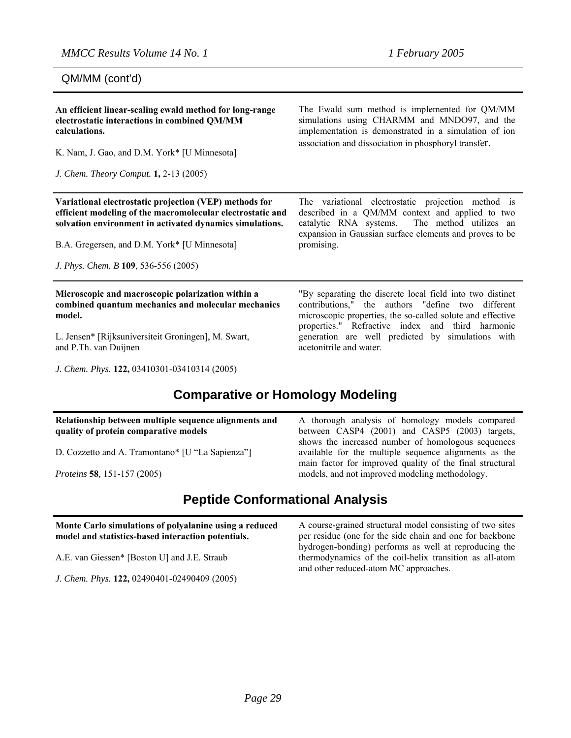QM/MM (cont'd)

| An efficient linear-scaling ewald method for long-range<br>electrostatic interactions in combined QM/MM<br>calculations.<br>K. Nam, J. Gao, and D.M. York* [U Minnesota]<br><i>J. Chem. Theory Comput.</i> <b>1,</b> 2-13 (2005)                                         | The Ewald sum method is implemented for QM/MM<br>simulations using CHARMM and MNDO97, and the<br>implementation is demonstrated in a simulation of ion<br>association and dissociation in phosphoryl transfer.                                                                                                   |
|--------------------------------------------------------------------------------------------------------------------------------------------------------------------------------------------------------------------------------------------------------------------------|------------------------------------------------------------------------------------------------------------------------------------------------------------------------------------------------------------------------------------------------------------------------------------------------------------------|
| Variational electrostatic projection (VEP) methods for<br>efficient modeling of the macromolecular electrostatic and<br>solvation environment in activated dynamics simulations.<br>B.A. Gregersen, and D.M. York* [U Minnesota]<br>J. Phys. Chem. B 109, 536-556 (2005) | The variational electrostatic projection method is<br>described in a QM/MM context and applied to two<br>catalytic RNA systems.<br>The method utilizes an<br>expansion in Gaussian surface elements and proves to be<br>promising.                                                                               |
| Microscopic and macroscopic polarization within a<br>combined quantum mechanics and molecular mechanics<br>model.<br>L. Jensen* [Rijksuniversiteit Groningen], M. Swart,<br>and P.Th. van Duijnen                                                                        | "By separating the discrete local field into two distinct<br>contributions," the authors "define two different<br>microscopic properties, the so-called solute and effective<br>properties." Refractive index and third harmonic<br>generation are well predicted by simulations with<br>acetonitrile and water. |

*J. Chem. Phys.* **122,** 03410301-03410314 (2005)

## **Comparative or Homology Modeling**

#### **Relationship between multiple sequence alignments and quality of protein comparative models**

D. Cozzetto and A. Tramontano\* [U "La Sapienza"]

*Proteins* **58***,* 151-157 (2005)

# **Peptide Conformational Analysis**

**Monte Carlo simulations of polyalanine using a reduced model and statistics-based interaction potentials.** 

A.E. van Giessen\* [Boston U] and J.E. Straub

*J. Chem. Phys.* **122,** 02490401-02490409 (2005)

main factor for improved quality of the final structural models, and not improved modeling methodology.

A thorough analysis of homology models compared between CASP4 (2001) and CASP5 (2003) targets, shows the increased number of homologous sequences available for the multiple sequence alignments as the

A course-grained structural model consisting of two sites per residue (one for the side chain and one for backbone hydrogen-bonding) performs as well at reproducing the thermodynamics of the coil-helix transition as all-atom and other reduced-atom MC approaches.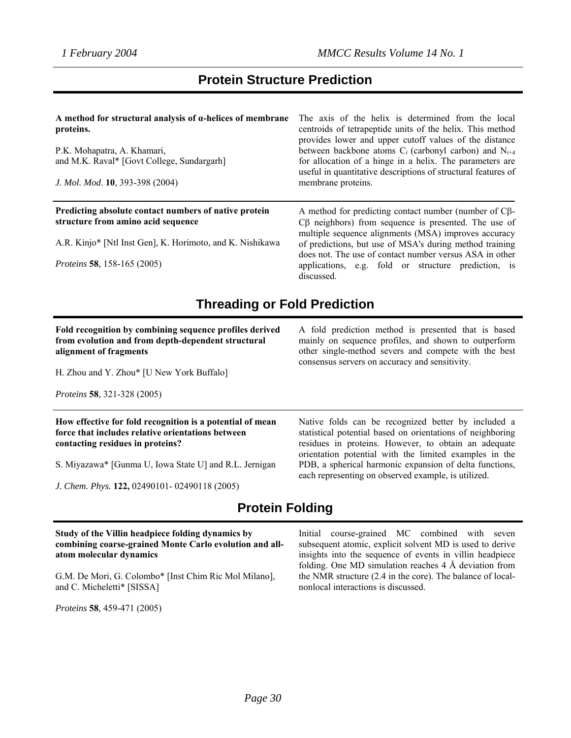## **Protein Structure Prediction**

| A method for structural analysis of $\alpha$ -helices of membrane<br>proteins.<br>P.K. Mohapatra, A. Khamari,<br>and M.K. Raval* [Govt College, Sundargarh]<br>J. Mol. Mod. 10, 393-398 (2004) | The axis of the helix is determined from the local<br>centroids of tetrapeptide units of the helix. This method<br>provides lower and upper cutoff values of the distance<br>between backbone atoms $C_i$ (carbonyl carbon) and $N_{i+4}$<br>for allocation of a hinge in a helix. The parameters are<br>useful in quantitative descriptions of structural features of<br>membrane proteins. |
|------------------------------------------------------------------------------------------------------------------------------------------------------------------------------------------------|----------------------------------------------------------------------------------------------------------------------------------------------------------------------------------------------------------------------------------------------------------------------------------------------------------------------------------------------------------------------------------------------|
| Predicting absolute contact numbers of native protein<br>structure from amino acid sequence                                                                                                    | A method for predicting contact number (number of $C\beta$ -<br>$C\beta$ neighbors) from sequence is presented. The use of<br>multiple sequence alignments (MSA) improves accuracy                                                                                                                                                                                                           |
| A.R. Kinjo* [Ntl Inst Gen], K. Horimoto, and K. Nishikawa                                                                                                                                      | of predictions, but use of MSA's during method training<br>does not. The use of contact number versus ASA in other                                                                                                                                                                                                                                                                           |
| <i>Proteins</i> 58, 158-165 (2005)                                                                                                                                                             | applications, e.g. fold or structure prediction, is<br>discussed.                                                                                                                                                                                                                                                                                                                            |

## **Threading or Fold Prediction**

**Fold recognition by combining sequence profiles derived from evolution and from depth-dependent structural alignment of fragments**

H. Zhou and Y. Zhou\* [U New York Buffalo]

*Proteins* **58***,* 321-328 (2005)

**How effective for fold recognition is a potential of mean force that includes relative orientations between contacting residues in proteins?** 

S. Miyazawa\* [Gunma U, Iowa State U] and R.L. Jernigan

*J. Chem. Phys.* **122,** 02490101- 02490118 (2005)

A fold prediction method is presented that is based mainly on sequence profiles, and shown to outperform other single-method severs and compete with the best consensus servers on accuracy and sensitivity.

Native folds can be recognized better by included a statistical potential based on orientations of neighboring residues in proteins. However, to obtain an adequate orientation potential with the limited examples in the PDB, a spherical harmonic expansion of delta functions, each representing on observed example, is utilized.

## **Protein Folding**

#### **Study of the Villin headpiece folding dynamics by combining coarse-grained Monte Carlo evolution and allatom molecular dynamics**

G.M. De Mori, G. Colombo\* [Inst Chim Ric Mol Milano], and C. Micheletti\* [SISSA]

*Proteins* **58***,* 459-471 (2005)

Initial course-grained MC combined with seven subsequent atomic, explicit solvent MD is used to derive insights into the sequence of events in villin headpiece folding. One MD simulation reaches 4 Å deviation from the NMR structure (2.4 in the core). The balance of localnonlocal interactions is discussed.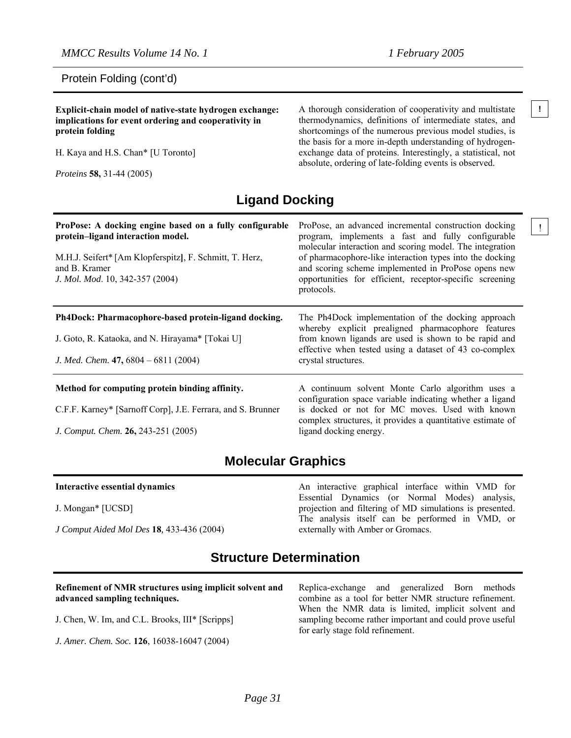#### Protein Folding (cont'd)

**Explicit-chain model of native-state hydrogen exchange: ! implications for event ordering and cooperativity in protein folding**

H. Kaya and H.S. Chan\* [U Toronto]

*Proteins* **58,** 31-44 (2005)

A thorough consideration of cooperativity and multistate thermodynamics, definitions of intermediate states, and shortcomings of the numerous previous model studies, is the basis for a more in-depth understanding of hydrogenexchange data of proteins. Interestingly, a statistical, not absolute, ordering of late-folding events is observed.

## **Ligand Docking**

| ProPose: A docking engine based on a fully configurable<br>protein-ligand interaction model.<br>M.H.J. Seifert* [Am Klopferspitz], F. Schmitt, T. Herz,<br>and B. Kramer<br>J. Mol. Mod. 10, 342-357 (2004) | ProPose, an advanced incremental construction docking<br>program, implements a fast and fully configurable<br>molecular interaction and scoring model. The integration<br>of pharmacophore-like interaction types into the docking<br>and scoring scheme implemented in ProPose opens new<br>opportunities for efficient, receptor-specific screening<br>protocols. |  |
|-------------------------------------------------------------------------------------------------------------------------------------------------------------------------------------------------------------|---------------------------------------------------------------------------------------------------------------------------------------------------------------------------------------------------------------------------------------------------------------------------------------------------------------------------------------------------------------------|--|
| Ph4Dock: Pharmacophore-based protein-ligand docking.<br>J. Goto, R. Kataoka, and N. Hirayama* [Tokai U]<br>J. Med. Chem. $47,6804 - 6811(2004)$                                                             | The Ph4Dock implementation of the docking approach<br>whereby explicit prealigned pharmacophore features<br>from known ligands are used is shown to be rapid and<br>effective when tested using a dataset of 43 co-complex<br>crystal structures.                                                                                                                   |  |
| Method for computing protein binding affinity.<br>C.F.F. Karney* [Sarnoff Corp], J.E. Ferrara, and S. Brunner<br>J. Comput. Chem. 26, 243-251 (2005)                                                        | A continuum solvent Monte Carlo algorithm uses a<br>configuration space variable indicating whether a ligand<br>is docked or not for MC moves. Used with known<br>complex structures, it provides a quantitative estimate of<br>ligand docking energy.                                                                                                              |  |

## **Molecular Graphics**

| Interactive essential dynamics            | An interactive graphical interface within VMD for        |
|-------------------------------------------|----------------------------------------------------------|
|                                           | Essential Dynamics (or Normal Modes) analysis,           |
| J. Mongan* [UCSD]                         | projection and filtering of MD simulations is presented. |
|                                           | The analysis itself can be performed in VMD, or          |
| J Comput Aided Mol Des 18, 433-436 (2004) | externally with Amber or Gromacs.                        |
|                                           |                                                          |

## **Structure Determination**

| Refinement of NMR structures using implicit solvent and | Replica-exchange and generalized Born methods                                                                                                     |  |  |  |  |  |
|---------------------------------------------------------|---------------------------------------------------------------------------------------------------------------------------------------------------|--|--|--|--|--|
| advanced sampling techniques.                           | combine as a tool for better NMR structure refinement.                                                                                            |  |  |  |  |  |
| J. Chen, W. Im, and C.L. Brooks, III* [Scripps]         | When the NMR data is limited, implicit solvent and<br>sampling become rather important and could prove useful<br>for early stage fold refinement. |  |  |  |  |  |
| J. Amer. Chem. Soc. 126, 16038-16047 (2004)             |                                                                                                                                                   |  |  |  |  |  |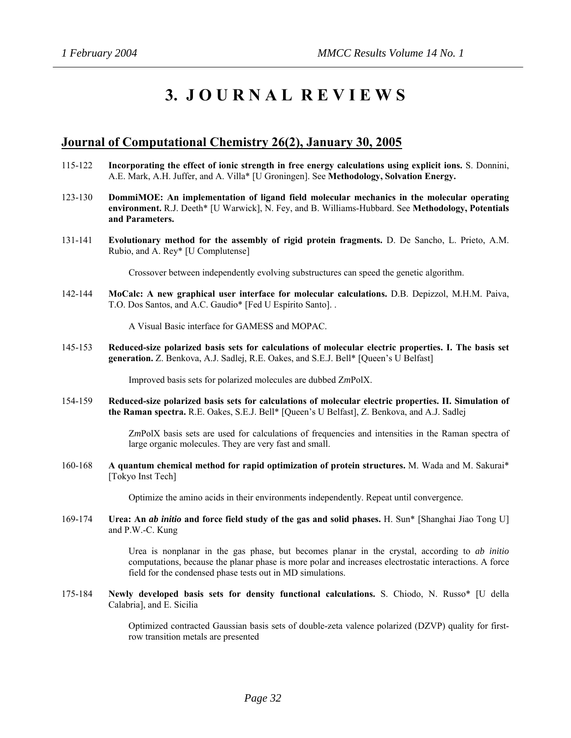# **3. J O U R N A L R E V I E W S**

#### **Journal of Computational Chemistry 26(2), January 30, 2005**

- 115-122 **Incorporating the effect of ionic strength in free energy calculations using explicit ions.** S. Donnini, A.E. Mark, A.H. Juffer, and A. Villa\* [U Groningen]. See **Methodology, Solvation Energy.**
- 123-130 **DommiMOE: An implementation of ligand field molecular mechanics in the molecular operating environment.** R.J. Deeth\* [U Warwick], N. Fey, and B. Williams-Hubbard. See **Methodology, Potentials and Parameters.**
- 131-141 **Evolutionary method for the assembly of rigid protein fragments.** D. De Sancho, L. Prieto, A.M. Rubio, and A. Rey\* [U Complutense]

Crossover between independently evolving substructures can speed the genetic algorithm.

142-144 **MoCalc: A new graphical user interface for molecular calculations.** D.B. Depizzol, M.H.M. Paiva, T.O. Dos Santos, and A.C. Gaudio\* [Fed U Espírito Santo]. .

A Visual Basic interface for GAMESS and MOPAC.

145-153 **Reduced-size polarized basis sets for calculations of molecular electric properties. I. The basis set generation.** Z. Benkova, A.J. Sadlej, R.E. Oakes, and S.E.J. Bell\* [Queen's U Belfast]

Improved basis sets for polarized molecules are dubbed Z*m*PolX.

154-159 **Reduced-size polarized basis sets for calculations of molecular electric properties. II. Simulation of the Raman spectra.** R.E. Oakes, S.E.J. Bell\* [Queen's U Belfast], Z. Benkova, and A.J. Sadlej

> Z*m*PolX basis sets are used for calculations of frequencies and intensities in the Raman spectra of large organic molecules. They are very fast and small.

160-168 **A quantum chemical method for rapid optimization of protein structures.** M. Wada and M. Sakurai\* [Tokyo Inst Tech]

Optimize the amino acids in their environments independently. Repeat until convergence.

169-174 **Urea: An** *ab initio* **and force field study of the gas and solid phases.** H. Sun\* [Shanghai Jiao Tong U] and P.W.-C. Kung

> Urea is nonplanar in the gas phase, but becomes planar in the crystal, according to *ab initio* computations, because the planar phase is more polar and increases electrostatic interactions. A force field for the condensed phase tests out in MD simulations.

175-184 **Newly developed basis sets for density functional calculations.** S. Chiodo, N. Russo\* [U della Calabria], and E. Sicilia

> Optimized contracted Gaussian basis sets of double-zeta valence polarized (DZVP) quality for firstrow transition metals are presented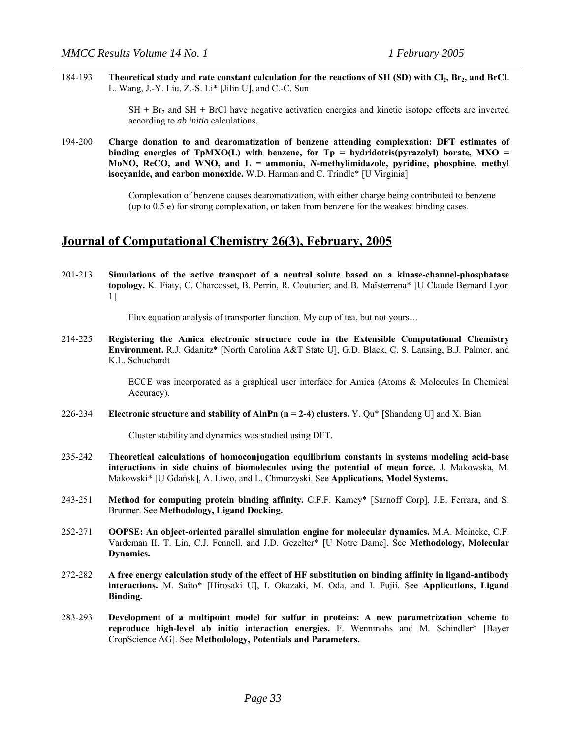184-193 **Theoretical study and rate constant calculation for the reactions of SH (SD) with Cl<sub>2</sub>, Br<sub>2</sub>, and BrCl.** L. Wang, J.-Y. Liu, Z.-S. Li\* [Jilin U], and C.-C. Sun

> $SH + Br<sub>2</sub>$  and  $SH + BrCl$  have negative activation energies and kinetic isotope effects are inverted according to *ab initio* calculations.

194-200 **Charge donation to and dearomatization of benzene attending complexation: DFT estimates of binding energies of TpMXO(L) with benzene, for Tp = hydridotris(pyrazolyl) borate, MXO = MoNO, ReCO, and WNO, and L = ammonia,** *N***-methylimidazole, pyridine, phosphine, methyl isocyanide, and carbon monoxide.** W.D. Harman and C. Trindle\* [U Virginia]

> Complexation of benzene causes dearomatization, with either charge being contributed to benzene (up to 0.5 e) for strong complexation, or taken from benzene for the weakest binding cases.

#### **Journal of Computational Chemistry 26(3), February, 2005**

201-213 **Simulations of the active transport of a neutral solute based on a kinase-channel-phosphatase topology.** K. Fiaty, C. Charcosset, B. Perrin, R. Couturier, and B. Maïsterrena\* [U Claude Bernard Lyon 1]

Flux equation analysis of transporter function. My cup of tea, but not yours...

214-225 **Registering the Amica electronic structure code in the Extensible Computational Chemistry Environment.** R.J. Gdanitz\* [North Carolina A&T State U], G.D. Black, C. S. Lansing, B.J. Palmer, and K.L. Schuchardt

> ECCE was incorporated as a graphical user interface for Amica (Atoms & Molecules In Chemical Accuracy).

226-234 **Electronic structure and stability of AlnPn (n = 2-4) clusters.** Y. Qu\* [Shandong U] and X. Bian

Cluster stability and dynamics was studied using DFT.

- 235-242 **Theoretical calculations of homoconjugation equilibrium constants in systems modeling acid-base interactions in side chains of biomolecules using the potential of mean force.** J. Makowska, M. Makowski\* [U Gdańsk], A. Liwo, and L. Chmurzyski. See **Applications, Model Systems.**
- 243-251 **Method for computing protein binding affinity.** C.F.F. Karney\* [Sarnoff Corp], J.E. Ferrara, and S. Brunner. See **Methodology, Ligand Docking.**
- 252-271 **OOPSE: An object-oriented parallel simulation engine for molecular dynamics.** M.A. Meineke, C.F. Vardeman II, T. Lin, C.J. Fennell, and J.D. Gezelter\* [U Notre Dame]. See **Methodology, Molecular Dynamics.**
- 272-282 **A free energy calculation study of the effect of HF substitution on binding affinity in ligand-antibody interactions.** M. Saito\* [Hirosaki U], I. Okazaki, M. Oda, and I. Fujii. See **Applications, Ligand Binding.**
- 283-293 **Development of a multipoint model for sulfur in proteins: A new parametrization scheme to reproduce high-level ab initio interaction energies.** F. Wennmohs and M. Schindler\* [Bayer CropScience AG]. See **Methodology, Potentials and Parameters.**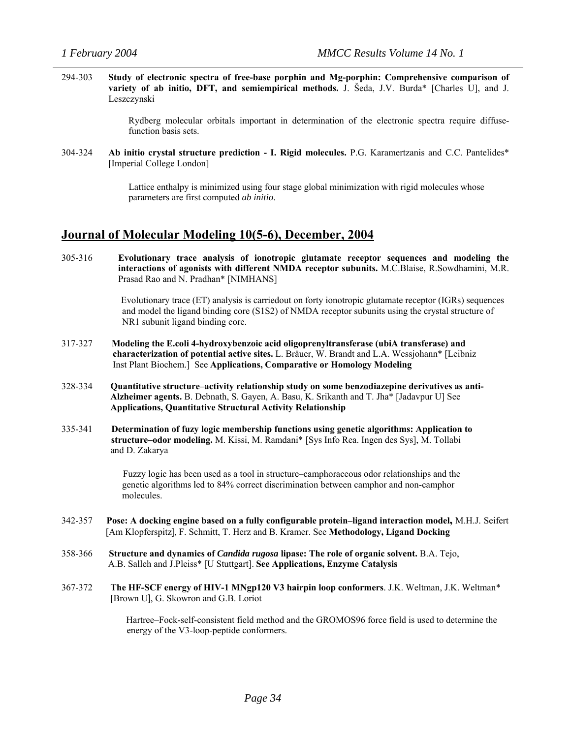294-303 **Study of electronic spectra of free-base porphin and Mg-porphin: Comprehensive comparison of variety of ab initio, DFT, and semiempirical methods.** J. Šeda, J.V. Burda\* [Charles U], and J. Leszczynski

> Rydberg molecular orbitals important in determination of the electronic spectra require diffusefunction basis sets.

304-324 **Ab initio crystal structure prediction - I. Rigid molecules.** P.G. Karamertzanis and C.C. Pantelides\* [Imperial College London]

> Lattice enthalpy is minimized using four stage global minimization with rigid molecules whose parameters are first computed *ab initio*.

#### **Journal of Molecular Modeling 10(5-6), December, 2004**

305-316 **Evolutionary trace analysis of ionotropic glutamate receptor sequences and modeling the interactions of agonists with different NMDA receptor subunits.** M.C.Blaise, R.Sowdhamini, M.R. Prasad Rao and N. Pradhan\* [NIMHANS]

> Evolutionary trace (ET) analysis is carriedout on forty ionotropic glutamate receptor (IGRs) sequences and model the ligand binding core (S1S2) of NMDA receptor subunits using the crystal structure of NR1 subunit ligand binding core.

- 317-327 **Modeling the E.coli 4-hydroxybenzoic acid oligoprenyltransferase (ubiA transferase) and characterization of potential active sites.** L. Bräuer, W. Brandt and L.A. Wessjohann\* [Leibniz Inst Plant Biochem.] See **Applications, Comparative or Homology Modeling**
- 328-334 **Quantitative structure–activity relationship study on some benzodiazepine derivatives as anti- Alzheimer agents.** B. Debnath, S. Gayen, A. Basu, K. Srikanth and T. Jha\* [Jadavpur U] See **Applications, Quantitative Structural Activity Relationship**
- 335-341 **Determination of fuzy logic membership functions using genetic algorithms: Application to structure–odor modeling.** M. Kissi, M. Ramdani\* [Sys Info Rea. Ingen des Sys], M. Tollabi and D. Zakarya

 Fuzzy logic has been used as a tool in structure–camphoraceous odor relationships and the genetic algorithms led to 84% correct discrimination between camphor and non-camphor molecules.

- 342-357 **Pose: A docking engine based on a fully configurable protein–ligand interaction model,** M.H.J. Seifert[Am Klopferspitz], F. Schmitt, T. Herz and B. Kramer. See **Methodology, Ligand Docking**
- 358-366 **Structure and dynamics of** *Candida rugosa* **lipase: The role of organic solvent.** B.A. Tejo, A.B. Salleh and J.Pleiss\* [U Stuttgart]. **See Applications, Enzyme Catalysis**
- 367-372 **The HF-SCF energy of HIV-1 MNgp120 V3 hairpin loop conformers**. J.K. Weltman, J.K. Weltman\* [Brown U], G. Skowron and G.B. Loriot

 Hartree–Fock-self-consistent field method and the GROMOS96 force field is used to determine the energy of the V3-loop-peptide conformers.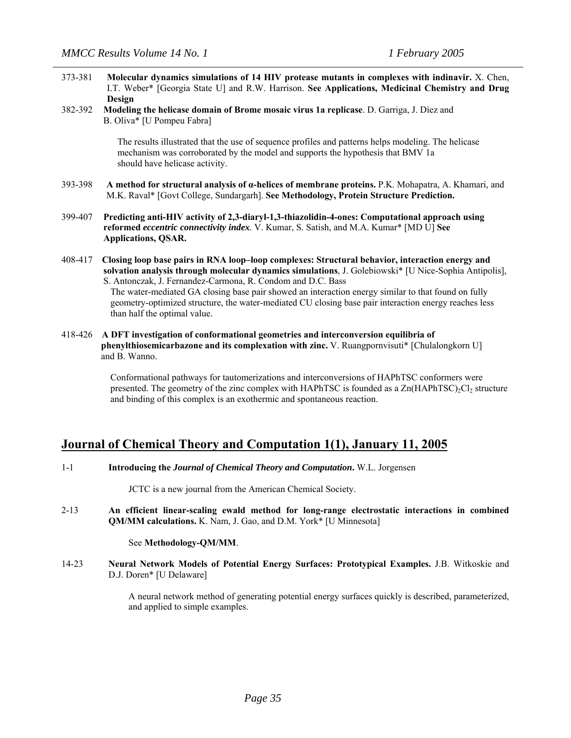- 373-381 **Molecular dynamics simulations of 14 HIV protease mutants in complexes with indinavir.** X. Chen, I.T. Weber\* [Georgia State U] and R.W. Harrison. **See Applications, Medicinal Chemistry and Drug Design**
- 382-392 **Modeling the helicase domain of Brome mosaic virus 1a replicase**. D. Garriga, J. Dìez and B. Oliva\* [U Pompeu Fabra]

 The results illustrated that the use of sequence profiles and patterns helps modeling. The helicase mechanism was corroborated by the model and supports the hypothesis that BMV 1a should have helicase activity.

- 393-398 **A method for structural analysis of α-helices of membrane proteins.** P.K. Mohapatra, A. Khamari, and M.K. Raval\* [Govt College, Sundargarh]. **See Methodology, Protein Structure Prediction.**
- 399-407 **Predicting anti-HIV activity of 2,3-diaryl-1,3-thiazolidin-4-ones: Computational approach using reformed** *eccentric connectivity index.* V. Kumar, S. Satish, and M.A. Kumar\* [MD U] **See Applications, QSAR.**
- 408-417 **Closing loop base pairs in RNA loop–loop complexes: Structural behavior, interaction energy and solvation analysis through molecular dynamics simulations**, J. Golebiowski\* [U Nice-Sophia Antipolis], S. Antonczak, J. Fernandez-Carmona, R. Condom and D.C. Bass The water-mediated GA closing base pair showed an interaction energy similar to that found on fully geometry-optimized structure, the water-mediated CU closing base pair interaction energy reaches less than half the optimal value.
- 418-426 **A DFT investigation of conformational geometries and interconversion equilibria of phenylthiosemicarbazone and its complexation with zinc.** V. Ruangpornvisuti\* [Chulalongkorn U] and B. Wanno.

 Conformational pathways for tautomerizations and interconversions of HAPhTSC conformers were presented. The geometry of the zinc complex with HAPhTSC is founded as a  $\text{Zn}(\text{HAPhTSC})_2\text{Cl}_2$  structure and binding of this complex is an exothermic and spontaneous reaction.

## **Journal of Chemical Theory and Computation 1(1), January 11, 2005**

1-1 **Introducing the** *Journal of Chemical Theory and Computation***.** W.L. Jorgensen

JCTC is a new journal from the American Chemical Society.

2-13 **An efficient linear-scaling ewald method for long-range electrostatic interactions in combined QM/MM calculations.** K. Nam, J. Gao, and D.M. York\* [U Minnesota]

#### See **Methodology-QM/MM**.

14-23 **Neural Network Models of Potential Energy Surfaces: Prototypical Examples.** J.B. Witkoskie and D.J. Doren\* [U Delaware]

> A neural network method of generating potential energy surfaces quickly is described, parameterized, and applied to simple examples.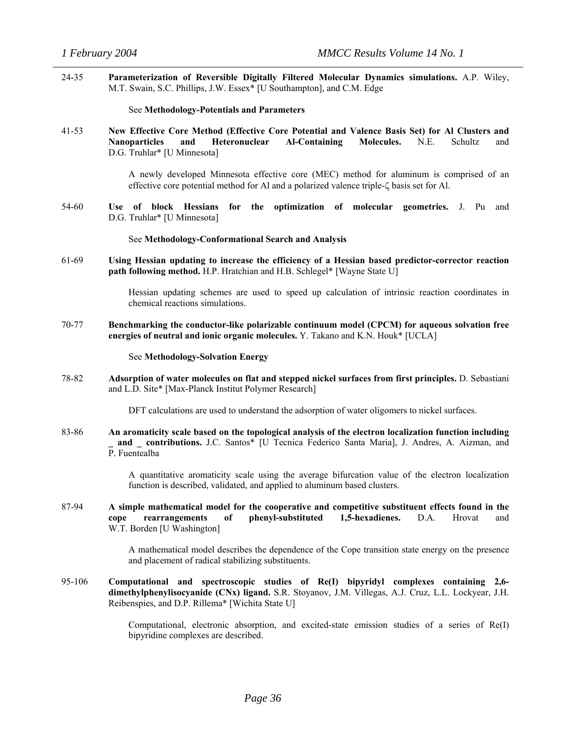24-35 **Parameterization of Reversible Digitally Filtered Molecular Dynamics simulations.** A.P. Wiley, M.T. Swain, S.C. Phillips, J.W. Essex\* [U Southampton], and C.M. Edge

See **Methodology-Potentials and Parameters**

41-53 **New Effective Core Method (Effective Core Potential and Valence Basis Set) for Al Clusters and Nanoparticles and Heteronuclear Al-Containing Molecules.** N.E. Schultz and D.G. Truhlar\* [U Minnesota]

> A newly developed Minnesota effective core (MEC) method for aluminum is comprised of an effective core potential method for Al and a polarized valence triple-ζ basis set for Al.

54-60 **Use of block Hessians for the optimization of molecular geometries.** J. Pu and D.G. Truhlar\* [U Minnesota]

#### See **Methodology-Conformational Search and Analysis**

61-69 **Using Hessian updating to increase the efficiency of a Hessian based predictor-corrector reaction path following method.** H.P. Hratchian and H.B. Schlegel\* [Wayne State U]

> Hessian updating schemes are used to speed up calculation of intrinsic reaction coordinates in chemical reactions simulations.

70-77 **Benchmarking the conductor-like polarizable continuum model (CPCM) for aqueous solvation free energies of neutral and ionic organic molecules.** Y. Takano and K.N. Houk\* [UCLA]

#### See **Methodology-Solvation Energy**

78-82 **Adsorption of water molecules on flat and stepped nickel surfaces from first principles.** D. Sebastiani and L.D. Site\* [Max-Planck Institut Polymer Research]

DFT calculations are used to understand the adsorption of water oligomers to nickel surfaces.

83-86 **An aromaticity scale based on the topological analysis of the electron localization function including \_ and \_ contributions.** J.C. Santos\* [U Tecnica Federico Santa Maria], J. Andres, A. Aizman, and P. Fuentealba

> A quantitative aromaticity scale using the average bifurcation value of the electron localization function is described, validated, and applied to aluminum based clusters.

87-94 **A simple mathematical model for the cooperative and competitive substituent effects found in the cope rearrangements of phenyl-substituted 1,5-hexadienes.** D.A. Hrovat and W.T. Borden [U Washington]

> A mathematical model describes the dependence of the Cope transition state energy on the presence and placement of radical stabilizing substituents.

95-106 **Computational and spectroscopic studies of Re(I) bipyridyl complexes containing 2,6 dimethylphenylisocyanide (CNx) ligand.** S.R. Stoyanov, J.M. Villegas, A.J. Cruz, L.L. Lockyear, J.H. Reibenspies, and D.P. Rillema\* [Wichita State U]

> Computational, electronic absorption, and excited-state emission studies of a series of Re(I) bipyridine complexes are described.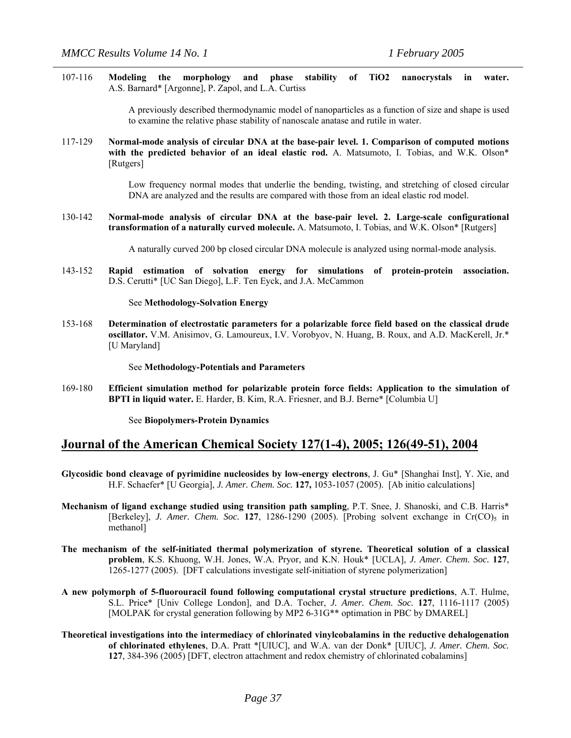107-116 **Modeling the morphology and phase stability of TiO2 nanocrystals in water.** A.S. Barnard\* [Argonne], P. Zapol, and L.A. Curtiss

> A previously described thermodynamic model of nanoparticles as a function of size and shape is used to examine the relative phase stability of nanoscale anatase and rutile in water.

117-129 **Normal-mode analysis of circular DNA at the base-pair level. 1. Comparison of computed motions**  with the predicted behavior of an ideal elastic rod. A. Matsumoto, I. Tobias, and W.K. Olson\* [Rutgers]

> Low frequency normal modes that underlie the bending, twisting, and stretching of closed circular DNA are analyzed and the results are compared with those from an ideal elastic rod model.

130-142 **Normal-mode analysis of circular DNA at the base-pair level. 2. Large-scale configurational transformation of a naturally curved molecule.** A. Matsumoto, I. Tobias, and W.K. Olson\* [Rutgers]

A naturally curved 200 bp closed circular DNA molecule is analyzed using normal-mode analysis.

143-152 **Rapid estimation of solvation energy for simulations of protein-protein association.**  D.S. Cerutti\* [UC San Diego], L.F. Ten Eyck, and J.A. McCammon

#### See **Methodology-Solvation Energy**

153-168 **Determination of electrostatic parameters for a polarizable force field based on the classical drude oscillator.** V.M. Anisimov, G. Lamoureux, I.V. Vorobyov, N. Huang, B. Roux, and A.D. MacKerell, Jr.\* [U Maryland]

See **Methodology-Potentials and Parameters**

169-180 **Efficient simulation method for polarizable protein force fields: Application to the simulation of BPTI in liquid water.** E. Harder, B. Kim, R.A. Friesner, and B.J. Berne\* [Columbia U]

See **Biopolymers-Protein Dynamics**

#### **Journal of the American Chemical Society 127(1-4), 2005; 126(49-51), 2004**

- **Glycosidic bond cleavage of pyrimidine nucleosides by low-energy electrons**, J. Gu\* [Shanghai Inst], Y. Xie, and H.F. Schaefer\* [U Georgia], *J. Amer. Chem. Soc.* **127,** 1053-1057 (2005). [Ab initio calculations]
- **Mechanism of ligand exchange studied using transition path sampling**, P.T. Snee, J. Shanoski, and C.B. Harris\* [Berkeley], *J. Amer. Chem. Soc.* **127**, 1286-1290 (2005). [Probing solvent exchange in Cr(CO)<sub>5</sub> in methanol]
- **The mechanism of the self-initiated thermal polymerization of styrene. Theoretical solution of a classical problem**, K.S. Khuong, W.H. Jones, W.A. Pryor, and K.N. Houk\* [UCLA], *J. Amer. Chem. Soc.* **127**, 1265-1277 (2005). [DFT calculations investigate self-initiation of styrene polymerization]
- **A new polymorph of 5-fluorouracil found following computational crystal structure predictions**, A.T. Hulme, S.L. Price\* [Univ College London], and D.A. Tocher, *J. Amer. Chem. Soc.* **127**, 1116-1117 (2005) [MOLPAK for crystal generation following by MP2 6-31G\*\* optimation in PBC by DMAREL]
- **Theoretical investigations into the intermediacy of chlorinated vinylcobalamins in the reductive dehalogenation of chlorinated ethylenes**, D.A. Pratt \*[UIUC], and W.A. van der Donk\* [UIUC], *J. Amer. Chem. Soc.*  **127**, 384-396 (2005) [DFT, electron attachment and redox chemistry of chlorinated cobalamins]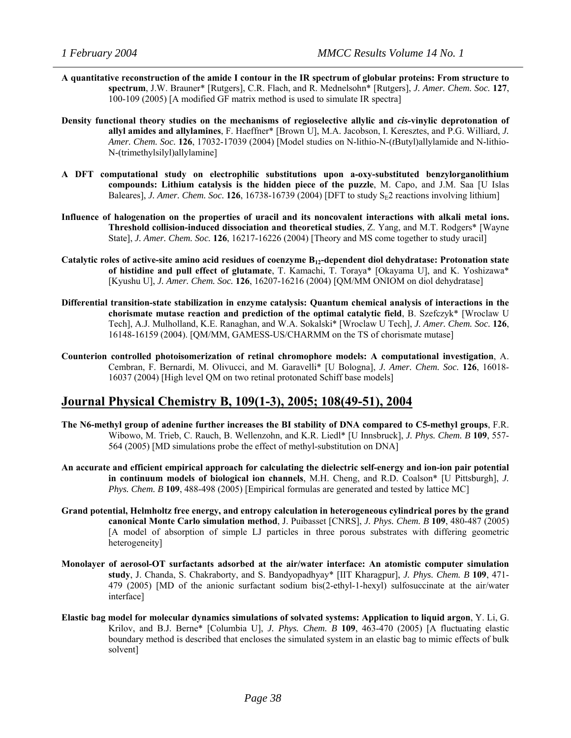- **A quantitative reconstruction of the amide I contour in the IR spectrum of globular proteins: From structure to spectrum**, J.W. Brauner\* [Rutgers], C.R. Flach, and R. Mednelsohn\* [Rutgers], *J. Amer. Chem. Soc.* **127**, 100-109 (2005) [A modified GF matrix method is used to simulate IR spectra]
- **Density functional theory studies on the mechanisms of regioselective allylic and** *cis***-vinylic deprotonation of allyl amides and allylamines**, F. Haeffner\* [Brown U], M.A. Jacobson, I. Keresztes, and P.G. Williard, *J. Amer. Chem. Soc.* **126**, 17032-17039 (2004) [Model studies on N-lithio-N-(*t*Butyl)allylamide and N-lithio-N-(trimethylsilyl)allylamine]
- **A DFT computational study on electrophilic substitutions upon a-oxy-substituted benzylorganolithium compounds: Lithium catalysis is the hidden piece of the puzzle**, M. Capo, and J.M. Saa [U Islas Baleares], *J. Amer. Chem. Soc.* **126**, 16738-16739 (2004) [DFT to study  $S_E2$  reactions involving lithium]
- **Influence of halogenation on the properties of uracil and its noncovalent interactions with alkali metal ions. Threshold collision-induced dissociation and theoretical studies**, Z. Yang, and M.T. Rodgers\* [Wayne State], *J. Amer. Chem. Soc.* **126**, 16217-16226 (2004) [Theory and MS come together to study uracil]
- **Catalytic roles of active-site amino acid residues of coenzyme B12-dependent diol dehydratase: Protonation state of histidine and pull effect of glutamate**, T. Kamachi, T. Toraya\* [Okayama U], and K. Yoshizawa\* [Kyushu U], *J. Amer. Chem. Soc.* **126**, 16207-16216 (2004) [QM/MM ONIOM on diol dehydratase]
- **Differential transition-state stabilization in enzyme catalysis: Quantum chemical analysis of interactions in the chorismate mutase reaction and prediction of the optimal catalytic field**, B. Szefczyk\* [Wroclaw U Tech], A.J. Mulholland, K.E. Ranaghan, and W.A. Sokalski\* [Wroclaw U Tech], *J. Amer. Chem. Soc.* **126**, 16148-16159 (2004). [QM/MM, GAMESS-US/CHARMM on the TS of chorismate mutase]
- **Counterion controlled photoisomerization of retinal chromophore models: A computational investigation**, A. Cembran, F. Bernardi, M. Olivucci, and M. Garavelli\* [U Bologna], *J. Amer. Chem. Soc.* **126**, 16018- 16037 (2004) [High level QM on two retinal protonated Schiff base models]

## **Journal Physical Chemistry B, 109(1-3), 2005; 108(49-51), 2004**

- **The N6-methyl group of adenine further increases the BI stability of DNA compared to C5-methyl groups**, F.R. Wibowo, M. Trieb, C. Rauch, B. Wellenzohn, and K.R. Liedl\* [U Innsbruck], *J. Phys. Chem. B* **109**, 557- 564 (2005) [MD simulations probe the effect of methyl-substitution on DNA]
- **An accurate and efficient empirical approach for calculating the dielectric self-energy and ion-ion pair potential in continuum models of biological ion channels**, M.H. Cheng, and R.D. Coalson\* [U Pittsburgh], *J. Phys. Chem. B* **109**, 488-498 (2005) [Empirical formulas are generated and tested by lattice MC]
- **Grand potential, Helmholtz free energy, and entropy calculation in heterogeneous cylindrical pores by the grand canonical Monte Carlo simulation method**, J. Puibasset [CNRS], *J. Phys. Chem. B* **109**, 480-487 (2005) [A model of absorption of simple LJ particles in three porous substrates with differing geometric heterogeneity]
- **Monolayer of aerosol-OT surfactants adsorbed at the air/water interface: An atomistic computer simulation study**, J. Chanda, S. Chakraborty, and S. Bandyopadhyay\* [IIT Kharagpur], *J. Phys. Chem. B* **109**, 471- 479 (2005) [MD of the anionic surfactant sodium bis(2-ethyl-1-hexyl) sulfosuccinate at the air/water interface]
- **Elastic bag model for molecular dynamics simulations of solvated systems: Application to liquid argon**, Y. Li, G. Krilov, and B.J. Berne\* [Columbia U], *J. Phys. Chem. B* **109**, 463-470 (2005) [A fluctuating elastic boundary method is described that encloses the simulated system in an elastic bag to mimic effects of bulk solvent]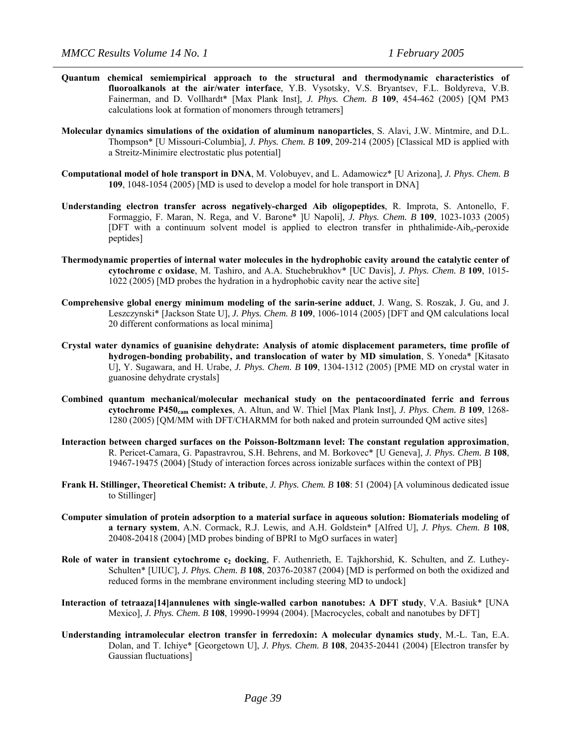- **Quantum chemical semiempirical approach to the structural and thermodynamic characteristics of fluoroalkanols at the air/water interface**, Y.B. Vysotsky, V.S. Bryantsev, F.L. Boldyreva, V.B. Fainerman, and D. Vollhardt\* [Max Plank Inst], *J. Phys. Chem. B* **109**, 454-462 (2005) [QM PM3 calculations look at formation of monomers through tetramers]
- **Molecular dynamics simulations of the oxidation of aluminum nanoparticles**, S. Alavi, J.W. Mintmire, and D.L. Thompson\* [U Missouri-Columbia], *J. Phys. Chem. B* **109**, 209-214 (2005) [Classical MD is applied with a Streitz-Minimire electrostatic plus potential]
- **Computational model of hole transport in DNA**, M. Volobuyev, and L. Adamowicz\* [U Arizona], *J. Phys. Chem. B*  **109**, 1048-1054 (2005) [MD is used to develop a model for hole transport in DNA]
- **Understanding electron transfer across negatively-charged Aib oligopeptides**, R. Improta, S. Antonello, F. Formaggio, F. Maran, N. Rega, and V. Barone\* ]U Napoli], *J. Phys. Chem. B* **109**, 1023-1033 (2005) [DFT with a continuum solvent model is applied to electron transfer in phthalimide-Aib*n*-peroxide peptides]
- **Thermodynamic properties of internal water molecules in the hydrophobic cavity around the catalytic center of cytochrome** *c* **oxidase**, M. Tashiro, and A.A. Stuchebrukhov\* [UC Davis], *J. Phys. Chem. B* **109**, 1015- 1022 (2005) [MD probes the hydration in a hydrophobic cavity near the active site]
- **Comprehensive global energy minimum modeling of the sarin-serine adduct**, J. Wang, S. Roszak, J. Gu, and J. Leszczynski\* [Jackson State U], *J. Phys. Chem. B* **109**, 1006-1014 (2005) [DFT and QM calculations local 20 different conformations as local minima]
- **Crystal water dynamics of guanisine dehydrate: Analysis of atomic displacement parameters, time profile of hydrogen-bonding probability, and translocation of water by MD simulation**, S. Yoneda\* [Kitasato U], Y. Sugawara, and H. Urabe, *J. Phys. Chem. B* **109**, 1304-1312 (2005) [PME MD on crystal water in guanosine dehydrate crystals]
- **Combined quantum mechanical/molecular mechanical study on the pentacoordinated ferric and ferrous cytochrome P450cam complexes**, A. Altun, and W. Thiel [Max Plank Inst], *J. Phys. Chem. B* **109**, 1268- 1280 (2005) [QM/MM with DFT/CHARMM for both naked and protein surrounded QM active sites]
- **Interaction between charged surfaces on the Poisson-Boltzmann level: The constant regulation approximation**, R. Pericet-Camara, G. Papastravrou, S.H. Behrens, and M. Borkovec\* [U Geneva], *J. Phys. Chem. B* **108**, 19467-19475 (2004) [Study of interaction forces across ionizable surfaces within the context of PB]
- **Frank H. Stillinger, Theoretical Chemist: A tribute**, *J. Phys. Chem. B* 108: 51 (2004) [A voluminous dedicated issue to Stillinger]
- **Computer simulation of protein adsorption to a material surface in aqueous solution: Biomaterials modeling of a ternary system**, A.N. Cormack, R.J. Lewis, and A.H. Goldstein\* [Alfred U], *J. Phys. Chem. B* **108**, 20408-20418 (2004) [MD probes binding of BPRI to MgO surfaces in water]
- **Role of water in transient cytochrome c<sub>2</sub> docking**, F. Authenrieth, E. Tajkhorshid, K. Schulten, and Z. Luthey-Schulten\* [UIUC], *J. Phys. Chem. B* **108**, 20376-20387 (2004) [MD is performed on both the oxidized and reduced forms in the membrane environment including steering MD to undock]
- **Interaction of tetraaza[14]annulenes with single-walled carbon nanotubes: A DFT study**, V.A. Basiuk\* [UNA Mexico], *J. Phys. Chem. B* **108**, 19990-19994 (2004). [Macrocycles, cobalt and nanotubes by DFT]
- **Understanding intramolecular electron transfer in ferredoxin: A molecular dynamics study**, M.-L. Tan, E.A. Dolan, and T. Ichiye\* [Georgetown U], *J. Phys. Chem. B* **108**, 20435-20441 (2004) [Electron transfer by Gaussian fluctuations]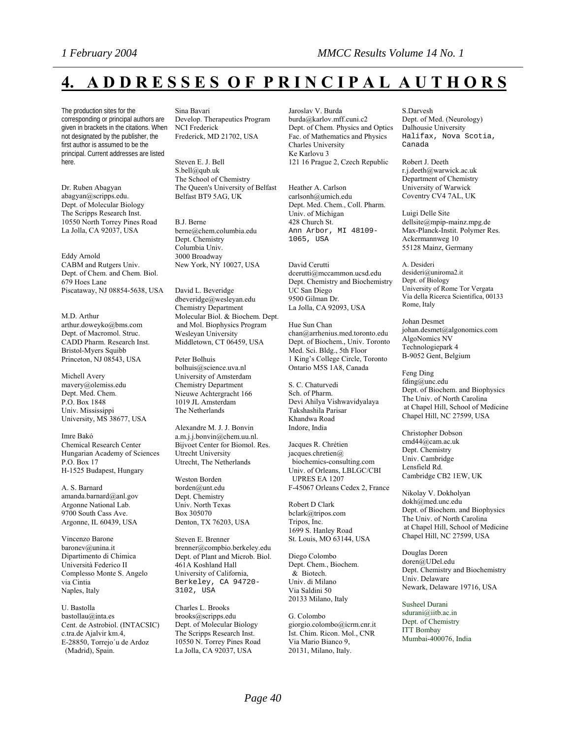# **4. A D D R E S S E S O F P R I N C I P A L A U T H O R S**

The production sites for the corresponding or principal authors are given in brackets in the citations. When not designated by the publisher, the first author is assumed to be the principal. Current addresses are listed here.

Dr. Ruben Abagyan abagyan@scripps.edu. Dept. of Molecular Biology The Scripps Research Inst. 10550 North Torrey Pines Road La Jolla, CA 92037, USA

Eddy Arnold CABM and Rutgers Univ. Dept. of Chem. and Chem. Biol. 679 Hoes Lane Piscataway, NJ 08854-5638, USA

M.D. Arthur arthur.doweyko@bms.com Dept. of Macromol. Struc. CADD Pharm. Research Inst. Bristol-Myers Squibb Princeton, NJ 08543, USA

Michell Avery mavery@olemiss.edu Dept. Med. Chem. P.O. Box 1848 Univ. Mississippi University, MS 38677, USA

Imre Bakó Chemical Research Center Hungarian Academy of Sciences P.O. Box 17 H-1525 Budapest, Hungary

A. S. Barnard amanda.barnard@anl.gov Argonne National Lab. 9700 South Cass Ave. Argonne, IL 60439, USA

Vincenzo Barone baronev@unina.it Dipartimento di Chimica Università Federico II Complesso Monte S. Angelo via Cintia Naples, Italy

U. Bastolla bastollau@inta.es Cent. de Astrobiol. (INTACSIC) c.tra.de Ajalvir km.4, E-28850, Torrejo´u de Ardoz (Madrid), Spain.

Sina Bavari

Develop. Therapeutics Program NCI Frederick Frederick, MD 21702, USA

Steven E. J. Bell S.bell@qub.uk The School of Chemistry The Queen's University of Belfast Belfast BT9 5AG, UK

B.J. Berne berne@chem.columbia.edu Dept. Chemistry Columbia Univ. 3000 Broadway New York, NY 10027, USA

David L. Beveridge dbeveridge@wesleyan.edu Chemistry Department Molecular Biol. & Biochem. Dept. and Mol. Biophysics Program Wesleyan University Middletown, CT 06459, USA

Peter Bolhuis bolhuis@science.uva.nl University of Amsterdam Chemistry Department Nieuwe Achtergracht 166 1019 JL Amsterdam The Netherlands

Alexandre M. J. J. Bonvin a.m.j.j.bonvin@chem.uu.nl. Bijvoet Center for Biomol. Res. Utrecht University Utrecht, The Netherlands

Weston Borden borden@unt.edu Dept. Chemistry Univ. North Texas Box 305070 Denton, TX 76203, USA

Steven E. Brenner brenner@compbio.berkeley.edu Dept. of Plant and Microb. Biol. 461A Koshland Hall University of California, Berkeley, CA 94720- 3102, USA

Charles L. Brooks brooks@scripps.edu Dept. of Molecular Biology The Scripps Research Inst. 10550 N. Torrey Pines Road La Jolla, CA 92037, USA

Jaroslav V. Burda burda@karlov.mff.cuni.c2 Dept. of Chem. Physics and Optics Fac. of Mathematics and Physics Charles University Ke Karlovu 3 121 16 Prague 2, Czech Republic

Heather A. Carlson carlsonh@umich.edu Dept. Med. Chem., Coll. Pharm. Univ. of Michigan 428 Church St. Ann Arbor, MI 48109- 1065, USA

David Cerutti dcerutti@mccammon.ucsd.edu Dept. Chemistry and Biochemistry UC San Diego 9500 Gilman Dr. La Jolla, CA 92093, USA

Hue Sun Chan chan@arrhenius.med.toronto.edu Dept. of Biochem., Univ. Toronto Med. Sci. Bldg., 5th Floor 1 King's College Circle, Toronto Ontario M5S 1A8, Canada

S. C. Chaturvedi Sch. of Pharm. Devi Ahilya Vishwavidyalaya Takshashila Parisar Khandwa Road Indore, India

Jacques R. Chrétien jacques.chretien@ biochemics-consulting.com Univ. of Orleans, LBLGC/CBI UPRES EA 1207 F-45067 Orleans Cedex 2, France

Robert D Clark bclark@tripos.com Tripos, Inc. 1699 S. Hanley Road St. Louis, MO 63144, USA

Diego Colombo Dept. Chem., Biochem. & Biotech. Univ. di Milano Via Saldini 50 20133 Milano, Italy

G. Colombo giorgio.colombo@icrm.cnr.it Ist. Chim. Ricon. Mol., CNR Via Mario Bianco 9, 20131, Milano, Italy.

S.Darvesh Dept. of Med. (Neurology) Dalhousie University Halifax, Nova Scotia, Canada

Robert J. Deeth r.j.deeth@warwick.ac.uk Department of Chemistry University of Warwick Coventry CV4 7AL, UK

Luigi Delle Site dellsite@mpip-mainz.mpg.de Max-Planck-Instit. Polymer Res. Ackermannweg 10 55128 Mainz, Germany

A. Desideri desideri@uniroma2.it Dept. of Biology University of Rome Tor Vergata Via della Ricerca Scientifica, 00133 Rome, Italy

Johan Desmet johan.desmet@algonomics.com AlgoNomics NV Technologiepark 4 B-9052 Gent, Belgium

Feng Ding fding@unc.edu Dept. of Biochem. and Biophysics The Univ. of North Carolina at Chapel Hill, School of Medicine Chapel Hill, NC 27599, USA

Christopher Dobson cmd44@cam.ac.uk Dept. Chemistry Univ. Cambridge Lensfield Rd. Cambridge CB2 1EW, UK

Nikolay V. Dokholyan dokh@med.unc.edu Dept. of Biochem. and Biophysics The Univ. of North Carolina at Chapel Hill, School of Medicine Chapel Hill, NC 27599, USA

Douglas Doren doren@UDel.edu Dept. Chemistry and Biochemistry Univ. Delaware Newark, Delaware 19716, USA

Susheel Durani sdurani@iitb.ac.in Dept. of Chemistry ITT Bombay Mumbai-400076, India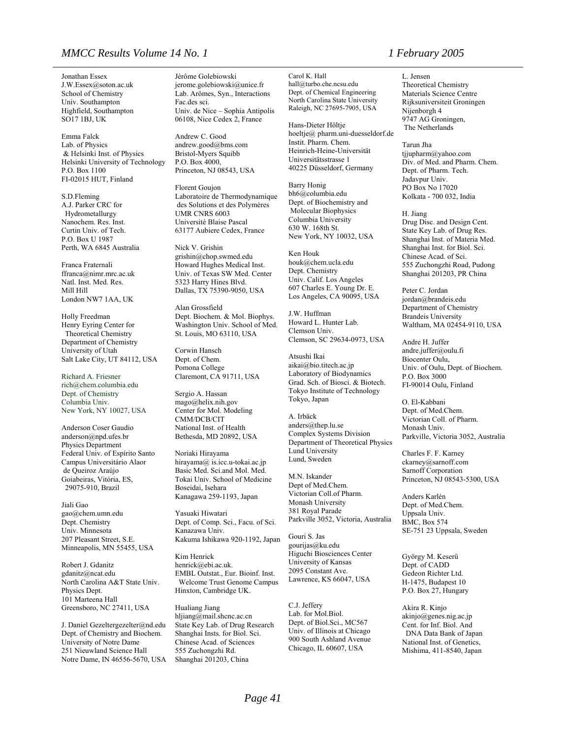#### *MMCC Results Volume 14 No. 1 1 February 2005*

Jonathan Essex J.W.Essex@soton.ac.uk School of Chemistry Univ. Southampton Highfield, Southampton SO17 1BJ, UK

Emma Falck Lab. of Physics & Helsinki Inst. of Physics Helsinki University of Technology P.O. Box 1100 FI-02015 HUT, Finland

S.D.Fleming A.J. Parker CRC for Hydrometallurgy Nanochem. Res. Inst. Curtin Univ. of Tech. P.O. Box U 1987 Perth, WA 6845 Australia

Franca Fraternali ffranca@nimr.mrc.ac.uk Natl. Inst. Med. Res. Mill Hill London NW7 1AA, UK

Holly Freedman Henry Eyring Center for Theoretical Chemistry Department of Chemistry University of Utah Salt Lake City, UT 84112, USA

Richard A. Friesner rich@chem.columbia.edu Dept. of Chemistry Columbia Univ. New York, NY 10027, USA

Anderson Coser Gaudio anderson@npd.ufes.br Physics Department Federal Univ. of Espírito Santo Campus Universitário Alaor de Queiroz Araújo Goiabeiras, Vitória, ES, 29075-910, Brazil

Jiali Gao gao@chem.umn.edu Dept. Chemistry Univ. Minnesota 207 Pleasant Street, S.E. Minneapolis, MN 55455, USA

Robert J. Gdanitz gdanitz@ncat.edu North Carolina A&T State Univ. Physics Dept. 101 Marteena Hall Greensboro, NC 27411, USA

J. Daniel Gezeltergezelter@nd.edu Dept. of Chemistry and Biochem. University of Notre Dame 251 Nieuwland Science Hall Notre Dame, IN 46556-5670, USA Jérôme Golebiowski [jerome.golebiowski@unice.fr](mailto:jerome.golebiowski@unice.fr) Lab. Arômes, Syn., Interactions Fac.des sci. Univ. de Nice – Sophia Antipolis 06108, Nice Cedex 2, France

Andrew C. Good andrew.good@bms.com Bristol-Myers Squibb P.O. Box 4000, Princeton, NJ 08543, USA

Florent Goujon Laboratoire de Thermodynamique des Solutions et des Polymères UMR CNRS 6003 Université Blaise Pascal 63177 Aubiere Cedex, France

Nick V. Grishin grishin@chop.swmed.edu Howard Hughes Medical Inst. Univ. of Texas SW Med. Center 5323 Harry Hines Blvd. Dallas, TX 75390-9050, USA

Alan Grossfield Dept. Biochem. & Mol. Biophys. Washington Univ. School of Med. St. Louis, MO 63110, USA

Corwin Hansch Dept. of Chem. Pomona College Claremont, CA 91711, USA

Sergio A. Hassan mago@helix.nih.gov Center for Mol. Modeling CMM/DCB/CIT National Inst. of Health Bethesda, MD 20892, USA

Noriaki Hirayama hirayama@ is.icc.u-tokai.ac.jp Basic Med. Sci.and Mol. Med. Tokai Univ. School of Medicine Boseidai, Isehara Kanagawa 259-1193, Japan

Yasuaki Hiwatari Dept. of Comp. Sci., Facu. of Sci. Kanazawa Univ. Kakuma Ishikawa 920-1192, Japan

Kim Henrick henrick@ebi.ac.uk. EMBL Outstat., Eur. Bioinf. Inst. Welcome Trust Genome Campus Hinxton, Cambridge UK.

Hualiang Jiang hljiang@mail.shcnc.ac.cn State Key Lab. of Drug Research Shanghai Insts. for Biol. Sci. Chinese Acad. of Sciences 555 Zuchongzhi Rd. Shanghai 201203, China

Carol K. Hall hall@turbo.che.ncsu.edu Dept. of Chemical Engineering North Carolina State University Raleigh, NC 27695-7905, USA

Hans-Dieter Höltje hoeltje@ pharm.uni-duesseldorf.de Instit. Pharm. Chem. Heinrich-Heine-Universität Universitätsstrasse 1 40225 Düsseldorf, Germany

Barry Honig bh6@columbia.edu Dept. of Biochemistry and Molecular Biophysics Columbia University 630 W. 168th St. New York, NY 10032, USA

Ken Houk houk@chem.ucla.edu Dept. Chemistry Univ. Calif. Los Angeles 607 Charles E. Young Dr. E. Los Angeles, CA 90095, USA

J.W. Huffman Howard L. Hunter Lab. Clemson Univ. Clemson, SC 29634-0973, USA

Atsushi Ikai aikai@bio.titech.ac.jp Laboratory of Biodynamics Grad. Sch. of Biosci. & Biotech. Tokyo Institute of Technology Tokyo, Japan

A. Irbäck anders@thep.lu.se Complex Systems Division Department of Theoretical Physics Lund University Lund, Sweden

M.N. Iskander Dept of Med.Chem. Victorian Coll.of Pharm. Monash University 381 Royal Parade Parkville 3052, Victoria, Australia

Gouri S. Jas gourijas@ku.edu Higuchi Biosciences Center University of Kansas 2095 Constant Ave. Lawrence, KS 66047, USA

C.J. Jeffery Lab. for Mol.Biol. Dept. of Biol.Sci., MC567 Univ. of Illinois at Chicago 900 South Ashland Avenue Chicago, IL 60607, USA

L. Jensen Theoretical Chemistry Materials Science Centre Rijksuniversiteit Groningen Nijenborgh 4 9747 AG Groningen, The Netherlands

Tarun Jha [tjjupharm@yahoo.com](mailto:tjjupharm@yahoo.com) Div. of Med. and Pharm. Chem. Dept. of Pharm. Tech. Jadavpur Univ. PO Box No 17020 Kolkata - 700 032, India

H. Jiang Drug Disc. and Design Cent. State Key Lab. of Drug Res. Shanghai Inst. of Materia Med. Shanghai Inst. for Biol. Sci. Chinese Acad. of Sci. 555 Zuchongzhi Road, Pudong Shanghai 201203, PR China

Peter C. Jordan jordan@brandeis.edu Department of Chemistry Brandeis University Waltham, MA 02454-9110, USA

Andre H. Juffer andre.juffer@oulu.fi Biocenter Oulu, Univ. of Oulu, Dept. of Biochem. P.O. Box 3000 FI-90014 Oulu, Finland

O. El-Kabbani Dept. of Med.Chem. Victorian Coll. of Pharm. Monash Univ. Parkville, Victoria 3052, Australia

Charles F. F. Karney ckarney@sarnoff.com Sarnoff Corporation Princeton, NJ 08543-5300, USA

Anders Karlén Dept. of Med.Chem. Uppsala Univ. BMC, Box 574 SE-751 23 Uppsala, Sweden

György M. Keserű Dept. of CADD Gedeon Richter Ltd. H-1475, Budapest 10 P.O. Box 27, Hungary

Akira R. Kinjo akinjo@genes.nig.ac.jp Cent. for Inf. Biol. And DNA Data Bank of Japan National Inst. of Genetics, Mishima, 411-8540, Japan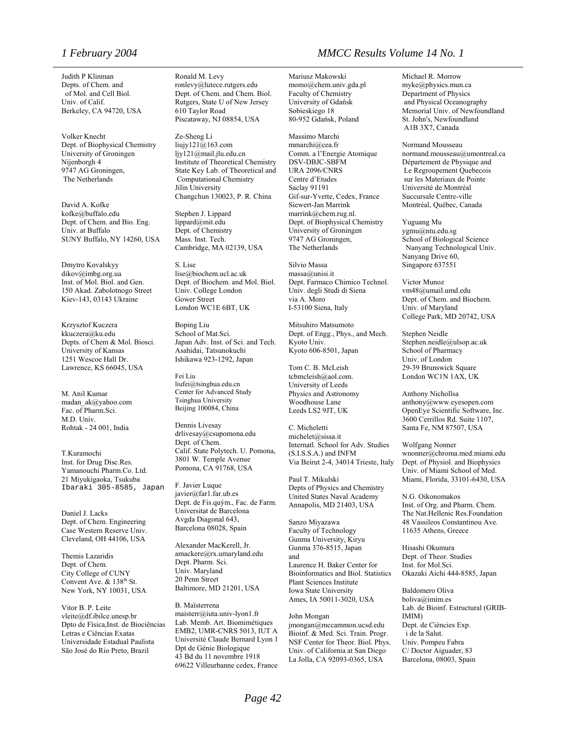Judith P Klinman Depts. of Chem. and of Mol. and Cell Biol. Univ. of Calif. Berkeley, CA 94720, USA

Volker Knecht Dept. of Biophysical Chemistry University of Groningen Nijenborgh 4 9747 AG Groningen, The Netherlands

David A. Kofke kofke@buffalo.edu Dept. of Chem. and Bio. Eng. Univ. at Buffalo SUNY Buffalo, NY 14260, USA

Dmytro Kovalskyy dikov@imbg.org.ua Inst. of Mol. Biol. and Gen. 150 Akad. Zabolotnogo Street Kiev-143, 03143 Ukraine

Krzysztof Kuczera kkuczera@ku.edu Depts. of Chem & Mol. Biosci. University of Kansas 1251 Wescoe Hall Dr. Lawrence, KS 66045, USA

M. Anil Kumar [madan\\_ak@yahoo.com](mailto:madan_ak@yahoo.com) Fac. of Pharm.Sci. M.D. Univ. Rohtak - 24 001, India

T.Kuramochi Inst. for Drug Disc.Res. Yamanouchi Pharm.Co. Ltd. 21 Miyukigaoka, Tsukuba Ibaraki 305-8585, Japan

Daniel J. Lacks Dept. of Chem. Engineering Case Western Reserve Univ. Cleveland, OH 44106, USA

Themis Lazaridis Dept. of Chem. City College of CUNY Convent Ave. & 138<sup>th</sup> St. New York, NY 10031, USA

Vitor B. P. Leite vleite@df.ibilce.unesp.br Dpto de Física,Inst. de Biociências Letras e Ciências Exatas Universidade Estadual Paulista São José do Rio Preto, Brazil

Ronald M. Levy ronlevy@lutece.rutgers.edu Dept. of Chem. and Chem. Biol. Rutgers, State U of New Jersey 610 Taylor Road Piscataway, NJ 08854, USA

Ze-Sheng Li liujy121@163.com ljy121@mail.jlu.edu.cn Institute of Theoretical Chemistry State Key Lab. of Theoretical and Computational Chemistry Jilin University Changchun 130023, P. R. China

Stephen J. Lippard lippard@mit.edu Dept. of Chemistry Mass. Inst. Tech. Cambridge, MA 02139, USA

S. Lise lise@biochem.ucl.ac.uk Dept. of Biochem. and Mol. Biol. Univ. College London Gower Street London WC1E 6BT, UK

Boping Liu School of Mat.Sci. Japan Adv. Inst. of Sci. and Tech. Asahidai, Tatsunokuchi Ishikawa 923-1292, Japan

Fei Liu liufei@tsinghua.edu.cn Center for Advanced Study Tsinghua University Beijing 100084, China

Dennis Livesay drlivesay@csupomona.edu Dept. of Chem. Calif. State Polytech. U. Pomona, 3801 W. Temple Avenue Pomona, CA 91768, USA

F. Javier Luque javier@far1.far.ub.es Dept. de Fis.quým., Fac. de Farm. Universitat de Barcelona Avgda Diagonal 643, Barcelona 08028, Spain

Alexander MacKerell, Jr. amackere@rx.umaryland.edu Dept. Pharm. Sci. Univ. Maryland 20 Penn Street Baltimore, MD 21201, USA

B. Maïsterrena maisterr@iuta.univ-lyon1.fr Lab. Memb. Art. Biomimétiques EMB2, UMR-CNRS 5013, IUT A Université Claude Bernard Lyon 1 Dpt de Génie Biologique 43 Bd du 11 novembre 1918 69622 Villeurbanne cedex, France

#### *1 February 2004 MMCC Results Volume 14 No. 1*

Mariusz Makowski momo@chem.univ.gda.pl Faculty of Chemistry University of Gdańsk Sobieskiego 18 80-952 Gdańsk, Poland

Massimo Marchi mmarchi@cea.fr Comm. a l'Energie Atomique DSV-DBJC-SBFM URA 2096/CNRS Centre d'Etudes Saclay 91191 Gif-sur-Yvette, Cedex, France Siewert-Jan Marrink marrink@chem.rug.nl. Dept. of Biophysical Chemistry University of Groningen 9747 AG Groningen, The Netherlands

Silvio Massa massa@unisi.it Dept. Farmaco Chimico Technol. Univ. degli Studi di Siena via A. Moro I-53100 Siena, Italy

Mitsuhiro Matsumoto Dept. of Engg., Phys., and Mech. Kyoto Univ. Kyoto 606-8501, Japan

Tom C. B. McLeish tcbmcleish@aol.com. University of Leeds Physics and Astronomy Woodhouse Lane Leeds LS2 9JT, UK

C. Micheletti michelet@sissa.it Internatl. School for Adv. Studies (S.I.S.S.A.) and INFM Via Beirut 2-4, 34014 Trieste, Italy

Paul T. Mikulski Depts of Physics and Chemistry United States Naval Academy Annapolis, MD 21403, USA

Sanzo Miyazawa Faculty of Technology Gunma University, Kiryu Gunma 376-8515, Japan and Laurence H. Baker Center for Bioinformatics and Biol. Statistics Plant Sciences Institute Iowa State University Ames, IA 50011-3020, USA

John Mongan jmongan@mccammon.ucsd.edu Bioinf. & Med. Sci. Train. Progr. NSF Center for Theor. Biol. Phys. Univ. of California at San Diego La Jolla, CA 92093-0365, USA

Michael R. Morrow myke@physics.mun.ca Department of Physics and Physical Oceanography Memorial Univ. of Newfoundland St. John's, Newfoundland A1B 3X7, Canada

Normand Mousseau normand.mousseau@umontreal.ca Département de Physique and Le Regroupement Quebecois sur les Materiaux de Pointe Université de Montréal Succursale Centre-ville Montréal, Québec, Canada

Yuguang Mu ygmu@ntu.edu.sg School of Biological Science Nanyang Technological Univ. Nanyang Drive 60, Singapore 637551

Victor Munoz vm48@umail.umd.edu Dept. of Chem. and Biochem. Univ. of Maryland College Park, MD 20742, USA

Stephen Neidle Stephen.neidle@ulsop.ac.uk School of Pharmacy Univ. of London 29-39 Brunswick Square London WC1N 1AX, UK

Anthony Nichollsa anthony@www.eyesopen.com OpenEye Scientific Software, Inc. 3600 Cerrillos Rd. Suite 1107, Santa Fe, NM 87507, USA

Wolfgang Nonner wnonner@chroma.med.miami.edu Dept. of Physiol. and Biophysics Univ. of Miami School of Med. Miami, Florida, 33101-6430, USA

N.G. Oikonomakos Inst. of Org. and Pharm. Chem. The Nat.Hellenic Res.Foundation 48 Vassileos Constantinou Ave. 11635 Athens, Greece

Hisashi Okumura Dept. of Theor. Studies Inst. for Mol.Sci. Okazaki Aichi 444-8585, Japan

Baldomero Oliva [boliva@imim.es](mailto:boliva@imim.es) Lab. de Bioinf. Estructural (GRIB-IMIM) Dept. de Ciències Exp. i de la Salut. Univ. Pompeu Fabra C/ Doctor Aiguader, 83 Barcelona, 08003, Spain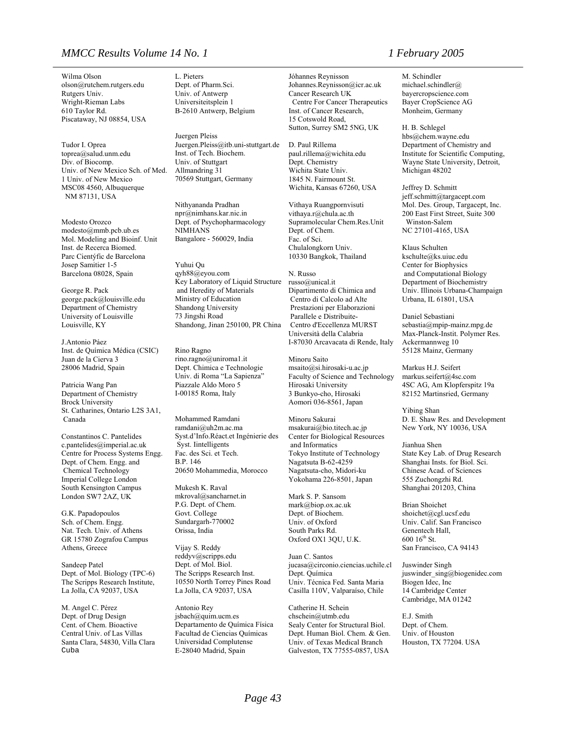#### *MMCC Results Volume 14 No. 1 1 February 2005*

Wilma Olson olson@rutchem.rutgers.edu Rutgers Univ. Wright-Rieman Labs 610 Taylor Rd. Piscataway, NJ 08854, USA

Tudor I. Oprea toprea@salud.unm.edu Div. of Biocomp. Univ. of New Mexico Sch. of Med. 1 Univ. of New Mexico MSC08 4560, Albuquerque NM 87131, USA

Modesto Orozco modesto@mmb.pcb.ub.es Mol. Modeling and Bioinf. Unit Inst. de Recerca Biomed. Parc Cientýfic de Barcelona Josep Samitier 1-5 Barcelona 08028, Spain

George R. Pack george.pack@louisville.edu Department of Chemistry University of Louisville Louisville, KY

J.Antonio Páez Inst. de Química Médica (CSIC) Juan de la Cierva 3 28006 Madrid, Spain

Patricia Wang Pan Department of Chemistry Brock University St. Catharines, Ontario L2S 3A1, Canada

Constantinos C. Pantelides c.pantelides@imperial.ac.uk Centre for Process Systems Engg. Dept. of Chem. Engg. and Chemical Technology Imperial College London South Kensington Campus London SW7 2AZ, UK

G.K. Papadopoulos Sch. of Chem. Engg. Nat. Tech. Univ. of Athens GR 15780 Zografou Campus Athens, Greece

Sandeep Patel Dept. of Mol. Biology (TPC-6) The Scripps Research Institute, La Jolla, CA 92037, USA

M. Angel C. Pérez Dept. of Drug Design Cent. of Chem. Bioactive Central Univ. of Las Villas Santa Clara, 54830, Villa Clara Cuba

L. Pieters Dept. of Pharm.Sci. Univ. of Antwerp Universiteitsplein 1 B-2610 Antwerp, Belgium

Juergen Pleiss [Juergen.Pleiss@itb.uni-stuttgart.de](mailto:Juergen.Pleiss@itb.uni-stuttgart.de) Inst. of Tech. Biochem. Univ. of Stuttgart Allmandring 31 70569 Stuttgart, Germany

Nithyananda Pradhan [npr@nimhans.kar.nic.in](mailto:npr@nimhans.kar.nic.in) Dept. of Psychopharmacology NIMHANS Bangalore - 560029, India

Yuhui Qu qyh88@eyou.com Key Laboratory of Liquid Structure and Heredity of Materials Ministry of Education Shandong University 73 Jingshi Road Shandong, Jinan 250100, PR China

Rino Ragno rino.ragno@uniroma1.it Dept. Chimica e Technologie Univ. di Roma "La Sapienza" Piazzale Aldo Moro 5 I-00185 Roma, Italy

Mohammed Ramdani [ramdani@uh2m.ac.ma](mailto:ramdani@uh2m.ac.ma) Syst.d'Info.Réact.et Ingénierie des Syst. Iintelligents Fac. des Sci. et Tech. B.P. 146 20650 Mohammedia, Morocco

Mukesh K. Raval [mkroval@sancharnet.in](mailto:mkroval@sancharnet.in) P.G. Dept. of Chem. Govt. College Sundargarh-770002 Orissa, India

Vijay S. Reddy reddyv@scripps.edu Dept. of Mol. Biol. The Scripps Research Inst. 10550 North Torrey Pines Road La Jolla, CA 92037, USA

Antonio Rey jsbach@quim.ucm.es Departamento de Química Física Facultad de Ciencias Químicas Universidad Complutense E-28040 Madrid, Spain

Jóhannes Reynisson Johannes.Reynisson@icr.ac.uk Cancer Research UK Centre For Cancer Therapeutics Inst. of Cancer Research, 15 Cotswold Road, Sutton, Surrey SM2 5NG, UK

D. Paul Rillema paul.rillema@wichita.edu Dept. Chemistry Wichita State Univ. 1845 N. Fairmount St. Wichita, Kansas 67260, USA

Vithaya Ruangpornvisuti [vithaya.r@chula.ac.th](mailto:vithaya.r@chula.ac.th) Supramolecular Chem.Res.Unit Dept. of Chem. Fac. of Sci. Chulalongkorn Univ. 10330 Bangkok, Thailand

N. Russo russo@unical.it Dipartimento di Chimica and Centro di Calcolo ad Alte Prestazioni per Elaborazioni Parallele e Distribuite- Centro d'Eccellenza MURST Università della Calabria I-87030 Arcavacata di Rende, Italy

Minoru Saito msaito@si.hirosaki-u.ac.jp Faculty of Science and Technology Hirosaki University 3 Bunkyo-cho, Hirosaki Aomori 036-8561, Japan

Minoru Sakurai msakurai@bio.titech.ac.jp Center for Biological Resources and Informatics Tokyo Institute of Technology Nagatsuta B-62-4259 Nagatsuta-cho, Midori-ku Yokohama 226-8501, Japan

Mark S. P. Sansom mark@biop.ox.ac.uk Dept. of Biochem. Univ. of Oxford South Parks Rd. Oxford OX1 3QU, U.K.

Juan C. Santos jucasa@circonio.ciencias.uchile.cl Dept. Química Univ. Técnica Fed. Santa Maria Casilla 110V, Valparaíso, Chile

Catherine H. Schein chschein@utmb.edu Sealy Center for Structural Biol. Dept. Human Biol. Chem. & Gen. Univ. of Texas Medical Branch Galveston, TX 77555-0857, USA

M. Schindler michael.schindler@ bayercropscience.com Bayer CropScience AG Monheim, Germany

H. B. Schlegel hbs@chem.wayne.edu Department of Chemistry and Institute for Scientific Computing, Wayne State University, Detroit, Michigan 48202

Jeffrey D. Schmitt jeff.schmitt@targacept.com Mol. Des. Group, Targacept, Inc. 200 East First Street, Suite 300 Winston-Salem NC 27101-4165, USA

Klaus Schulten kschulte@ks.uiuc.edu Center for Biophysics and Computational Biology Department of Biochemistry Univ. Illinois Urbana-Champaign Urbana, IL 61801, USA

Daniel Sebastiani sebastia@mpip-mainz.mpg.de Max-Planck-Instit. Polymer Res. Ackermannweg 10 55128 Mainz, Germany

Markus H.J. Seifert [markus.seifert@4sc.com](mailto:markus.seifert@4sc.com) 4SC AG, Am Klopferspitz 19a 82152 Martinsried, Germany

Yibing Shan D. E. Shaw Res. and Development New York, NY 10036, USA

Jianhua Shen State Key Lab. of Drug Research Shanghai Insts. for Biol. Sci. Chinese Acad. of Sciences 555 Zuchongzhi Rd. Shanghai 201203, China

Brian Shoichet shoichet@cgl.ucsf.edu Univ. Calif. San Francisco Genentech Hall,  $60016^{th}$  St. San Francisco, CA 94143

Juswinder Singh juswinder\_sing@biogenidec.com Biogen Idec, Inc 14 Cambridge Center Cambridge, MA 01242

E.J. Smith Dept. of Chem. Univ. of Houston Houston, TX 77204. USA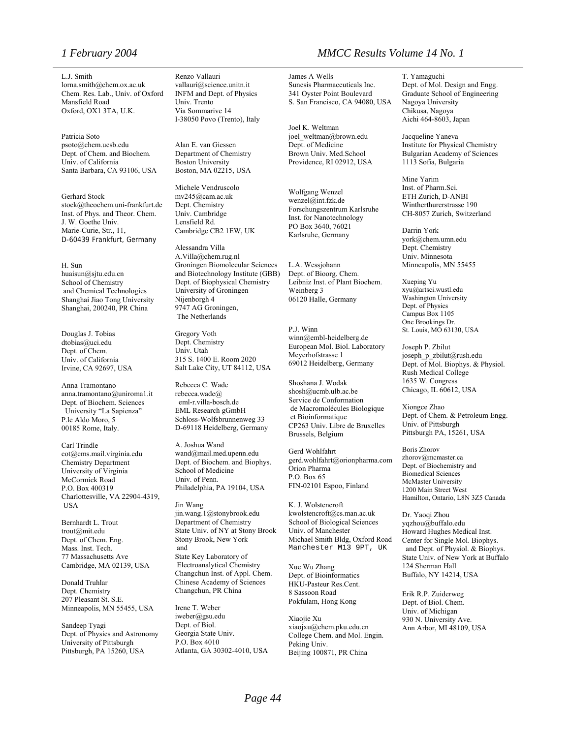L.J. Smith lorna.smith@chem.ox.ac.uk Chem. Res. Lab., Univ. of Oxford Mansfield Road Oxford, OX1 3TA, U.K.

Patricia Soto psoto@chem.ucsb.edu Dept. of Chem. and Biochem. Univ. of California Santa Barbara, CA 93106, USA

Gerhard Stock stock@theochem.uni-frankfurt.de Inst. of Phys. and Theor. Chem. J. W. Goethe Univ. Marie-Curie, Str., 11, D-60439 Frankfurt, Germany

H. Sun huaisun@sjtu.edu.cn School of Chemistry and Chemical Technologies Shanghai Jiao Tong University Shanghai, 200240, PR China

Douglas J. Tobias dtobias@uci.edu Dept. of Chem. Univ. of California Irvine, CA 92697, USA

Anna Tramontano anna.tramontano@uniroma1.it Dept. of Biochem. Sciences University "La Sapienza" P.le Aldo Moro, 5 00185 Rome, Italy.

Carl Trindle cot@cms.mail.virginia.edu Chemistry Department University of Virginia McCormick Road P.O. Box 400319 Charlottesville, VA 22904-4319, **USA** 

Bernhardt L. Trout trout@mit.edu Dept. of Chem. Eng. Mass. Inst. Tech. 77 Massachusetts Ave Cambridge, MA 02139, USA

Donald Truhlar Dept. Chemistry 207 Pleasant St. S.E. Minneapolis, MN 55455, USA

Sandeep Tyagi Dept. of Physics and Astronomy University of Pittsburgh Pittsburgh, PA 15260, USA

Renzo Vallauri vallauri@science.unitn.it INFM and Dept. of Physics Univ. Trento Via Sommarive 14 I-38050 Povo (Trento), Italy

Alan E. van Giessen Department of Chemistry Boston University Boston, MA 02215, USA

Michele Vendruscolo mv245@cam.ac.uk Dept. Chemistry Univ. Cambridge Lensfield Rd. Cambridge CB2 1EW, UK

Alessandra Villa A.Villa@chem.rug.nl Groningen Biomolecular Sciences and Biotechnology Institute (GBB) Dept. of Biophysical Chemistry University of Groningen Nijenborgh 4 9747 AG Groningen, The Netherlands

Gregory Voth Dept. Chemistry Univ. Utah 315 S. 1400 E. Room 2020 Salt Lake City, UT 84112, USA

Rebecca C. Wade rebecca.wade@ eml-r.villa-bosch.de EML Research gGmbH Schloss-Wolfsbrunnenweg 33 D-69118 Heidelberg, Germany

A. Joshua Wand wand@mail.med.upenn.edu Dept. of Biochem. and Biophys. School of Medicine Univ. of Penn. Philadelphia, PA 19104, USA

Jin Wang jin.wang.1@stonybrook.edu Department of Chemistry State Univ. of NY at Stony Brook Stony Brook, New York and State Key Laboratory of Electroanalytical Chemistry Changchun Inst. of Appl. Chem. Chinese Academy of Sciences Changchun, PR China

Irene T. Weber [iweber@gsu.edu](mailto:iweber@gsu.edu)  Dept. of Biol. Georgia State Univ. P.O. Box 4010 Atlanta, GA 30302-4010, USA

#### *1 February 2004 MMCC Results Volume 14 No. 1*

James A Wells Sunesis Pharmaceuticals Inc. 341 Oyster Point Boulevard S. San Francisco, CA 94080, USA

Joel K. Weltman [joel\\_weltman@brown.edu](mailto:joel_weltman@brown.edu) Dept. of Medicine Brown Univ. Med.School Providence, RI 02912, USA

Wolfgang Wenzel wenzel@int.fzk.de Forschungszentrum Karlsruhe Inst. for Nanotechnology PO Box 3640, 76021 Karlsruhe, Germany

L.A. Wessjohann Dept. of Bioorg. Chem. Leibniz Inst. of Plant Biochem. Weinberg 3 06120 Halle, Germany

P.J. Winn winn@embl-heidelberg.de European Mol. Biol. Laboratory Meyerhofstrasse 1 69012 Heidelberg, Germany

Shoshana J. Wodak shosh@ucmb.ulb.ac.be Service de Conformation de Macromolécules Biologique et Bioinformatique CP263 Univ. Libre de Bruxelles Brussels, Belgium

Gerd Wohlfahrt gerd.wohlfahrt@orionpharma.com Orion Pharma P.O. Box 65 FIN-02101 Espoo, Finland

K. J. Wolstencroft kwolstencroft@cs.man.ac.uk School of Biological Sciences Univ. of Manchester Michael Smith Bldg, Oxford Road Manchester M13 9PT, UK

Xue Wu Zhang Dept. of Bioinformatics HKU-Pasteur Res.Cent. 8 Sassoon Road Pokfulam, Hong Kong

Xiaojie Xu xiaojxu@chem.pku.edu.cn College Chem. and Mol. Engin. Peking Univ. Beijing 100871, PR China

T. Yamaguchi Dept. of Mol. Design and Engg. Graduate School of Engineering Nagoya University Chikusa, Nagoya Aichi 464-8603, Japan

Jacqueline Yaneva Institute for Physical Chemistry Bulgarian Academy of Sciences 1113 Sofia, Bulgaria

Mine Yarim Inst. of Pharm.Sci. ETH Zurich, D-ANBI Wintherthurerstrasse 190 CH-8057 Zurich, Switzerland

Darrin York york@chem.umn.edu Dept. Chemistry Univ. Minnesota Minneapolis, MN 55455

Xueping Yu xyu@artsci.wustl.edu Washington University Dept. of Physics Campus Box 1105 One Brookings Dr. St. Louis, MO 63130, USA

Joseph P. Zbilut joseph\_p\_zbilut@rush.edu Dept. of Mol. Biophys. & Physiol. Rush Medical College 1635 W. Congress Chicago, IL 60612, USA

Xiongce Zhao Dept. of Chem. & Petroleum Engg. Univ. of Pittsburgh Pittsburgh PA, 15261, USA

Boris Zhorov zhorov@mcmaster.ca Dept. of Biochemistry and Biomedical Sciences McMaster University 1200 Main Street West Hamilton, Ontario, L8N 3Z5 Canada

Dr. Yaoqi Zhou yqzhou@buffalo.edu Howard Hughes Medical Inst. Center for Single Mol. Biophys. and Dept. of Physiol. & Biophys. State Univ. of New York at Buffalo 124 Sherman Hall Buffalo, NY 14214, USA

Erik R.P. Zuiderweg Dept. of Biol. Chem. Univ. of Michigan 930 N. University Ave. Ann Arbor, MI 48109, USA